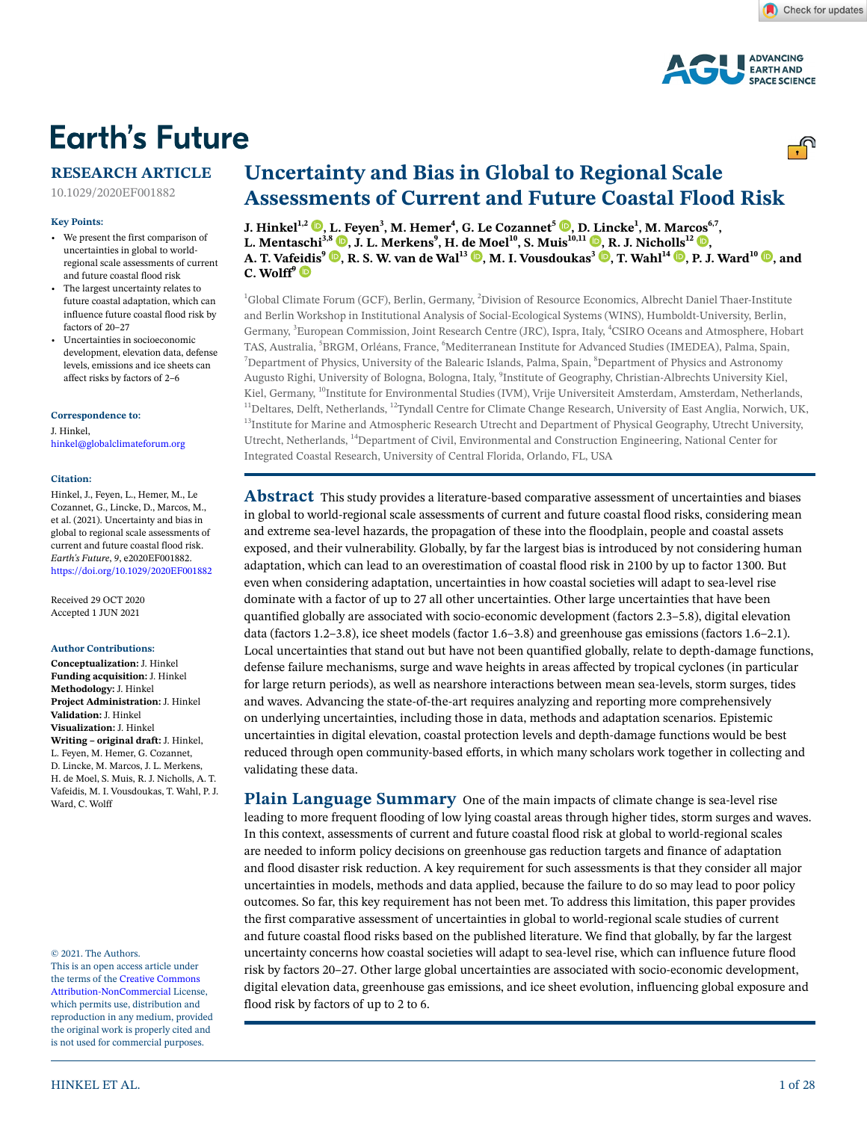

# **Earth's Future**

# **RESEARCH ARTICLE**

10.1029/2020EF001882

#### **Key Points:**

- We present the first comparison of uncertainties in global to worldregional scale assessments of current and future coastal flood risk
- The largest uncertainty relates to future coastal adaptation, which can influence future coastal flood risk by factors of 20–27
- Uncertainties in socioeconomic development, elevation data, defense levels, emissions and ice sheets can affect risks by factors of 2–6

#### **Correspondence to:**

J. Hinkel, hinkel@globalclimateforum.org

#### **Citation:**

Hinkel, J., Feyen, L., Hemer, M., Le Cozannet, G., Lincke, D., Marcos, M., et al. (2021). Uncertainty and bias in global to regional scale assessments of current and future coastal flood risk. *Earth's Future*, *9*, e2020EF001882. <https://doi.org/10.1029/2020EF001882>

Received 29 OCT 2020 Accepted 1 JUN 2021

#### **Author Contributions:**

**Conceptualization:** J. Hinkel **Funding acquisition:** J. Hinkel **Methodology:** J. Hinkel **Project Administration:** J. Hinkel **Validation:** J. Hinkel **Visualization:** J. Hinkel **Writing – original draft:** J. Hinkel, L. Feyen, M. Hemer, G. Cozannet, D. Lincke, M. Marcos, J. L. Merkens, H. de Moel, S. Muis, R. J. Nicholls, A. T. Vafeidis, M. I. Vousdoukas, T. Wahl, P. J. Ward, C. Wolff

© 2021. The Authors.

This is an open access article under the terms of the [Creative Commons](http://creativecommons.org/licenses/by-nc/4.0/)  [Attribution-NonCommercial](http://creativecommons.org/licenses/by-nc/4.0/) License, which permits use, distribution and reproduction in any medium, provided the original work is properly cited and is not used for commercial purposes.

# **Uncertainty and Bias in Global to Regional Scale Assessments of Current and Future Coastal Flood Risk**

**J. Hinkel<sup>1[,](https://orcid.org/0000-0003-2421-3003)2</sup>**  $\bullet$ **, [L. F](https://orcid.org/0000-0002-2967-9593)eyen<sup>3</sup>, M. Hemer<sup>4</sup>, G. Le Cozannet<sup>5</sup>**  $\bullet$ **, [D. Li](https://orcid.org/0000-0002-8145-0171)ncke<sup>1</sup>, M. Mar[cos](https://orcid.org/0000-0002-9715-1109)<sup>6,7</sup>, L. Mentaschi<sup>3,8</sup> <b>b**, J. L. Merkens<sup>9</sup>, H. [de M](https://orcid.org/0000-0003-2543-3892)oel<sup>10</sup>, S. Muis<sup>10,11</sup> **b**, R. J. Nich[olls](https://orcid.org/0000-0003-3643-5463)<sup>12</sup> **b**, **A. T. Vaf[eidi](https://orcid.org/0000-0002-9724-484X)s<sup>9</sup> <b>.[,](https://orcid.org/0000-0001-7702-7859)** R. S. W. van de Wal<sup>13</sup> **.**, M. I. Vousdoukas<sup>3</sup> **.**, T. Wahl<sup>14</sup> **.**, P. J. Ward<sup>10</sup> **.**, and **C. Wolff<sup>9</sup>**

<sup>1</sup>Global Climate Forum (GCF), Berlin, Germany, <sup>2</sup>Division of Resource Economics, Albrecht Daniel Thaer-Institute and Berlin Workshop in Institutional Analysis of Social-Ecological Systems (WINS), Humboldt-University, Berlin, Germany, <sup>3</sup>European Commission, Joint Research Centre (JRC), Ispra, Italy, <sup>4</sup>CSIRO Oceans and Atmosphere, Hobart TAS, Australia, <sup>5</sup>BRGM, Orléans, France, <sup>6</sup>Mediterranean Institute for Advanced Studies (IMEDEA), Palma, Spain,<br><sup>7</sup>Department of Physics, University of the Palearia Islands, Palma, Spain, <sup>8</sup>Department of Physics and Ast Department of Physics, University of the Balearic Islands, Palma, Spain, <sup>8</sup>Department of Physics and Astronomy Augusto Righi, University of Bologna, Bologna, Italy, <sup>9</sup>Institute of Geography, Christian-Albrechts University Kiel, Kiel, Germany, <sup>10</sup>Institute for Environmental Studies (IVM), Vrije Universiteit Amsterdam, Amsterdam, Netherlands,<br><sup>11</sup>Deltares, Delft, Netherlands, <sup>12</sup>Tyndall Centre for Climate Change Research, University of East Angli Utrecht, Netherlands, 14Department of Civil, Environmental and Construction Engineering, National Center for Integrated Coastal Research, University of Central Florida, Orlando, FL, USA

**Abstract** This study provides a literature-based comparative assessment of uncertainties and biases in global to world-regional scale assessments of current and future coastal flood risks, considering mean and extreme sea-level hazards, the propagation of these into the floodplain, people and coastal assets exposed, and their vulnerability. Globally, by far the largest bias is introduced by not considering human adaptation, which can lead to an overestimation of coastal flood risk in 2100 by up to factor 1300. But even when considering adaptation, uncertainties in how coastal societies will adapt to sea-level rise dominate with a factor of up to 27 all other uncertainties. Other large uncertainties that have been quantified globally are associated with socio-economic development (factors 2.3–5.8), digital elevation data (factors 1.2–3.8), ice sheet models (factor 1.6–3.8) and greenhouse gas emissions (factors 1.6–2.1). Local uncertainties that stand out but have not been quantified globally, relate to depth-damage functions, defense failure mechanisms, surge and wave heights in areas affected by tropical cyclones (in particular for large return periods), as well as nearshore interactions between mean sea-levels, storm surges, tides and waves. Advancing the state-of-the-art requires analyzing and reporting more comprehensively on underlying uncertainties, including those in data, methods and adaptation scenarios. Epistemic uncertainties in digital elevation, coastal protection levels and depth-damage functions would be best reduced through open community-based efforts, in which many scholars work together in collecting and validating these data.

**Plain Language Summary** One of the main impacts of climate change is sea-level rise leading to more frequent flooding of low lying coastal areas through higher tides, storm surges and waves. In this context, assessments of current and future coastal flood risk at global to world-regional scales are needed to inform policy decisions on greenhouse gas reduction targets and finance of adaptation and flood disaster risk reduction. A key requirement for such assessments is that they consider all major uncertainties in models, methods and data applied, because the failure to do so may lead to poor policy outcomes. So far, this key requirement has not been met. To address this limitation, this paper provides the first comparative assessment of uncertainties in global to world-regional scale studies of current and future coastal flood risks based on the published literature. We find that globally, by far the largest uncertainty concerns how coastal societies will adapt to sea-level rise, which can influence future flood risk by factors 20–27. Other large global uncertainties are associated with socio-economic development, digital elevation data, greenhouse gas emissions, and ice sheet evolution, influencing global exposure and flood risk by factors of up to 2 to 6.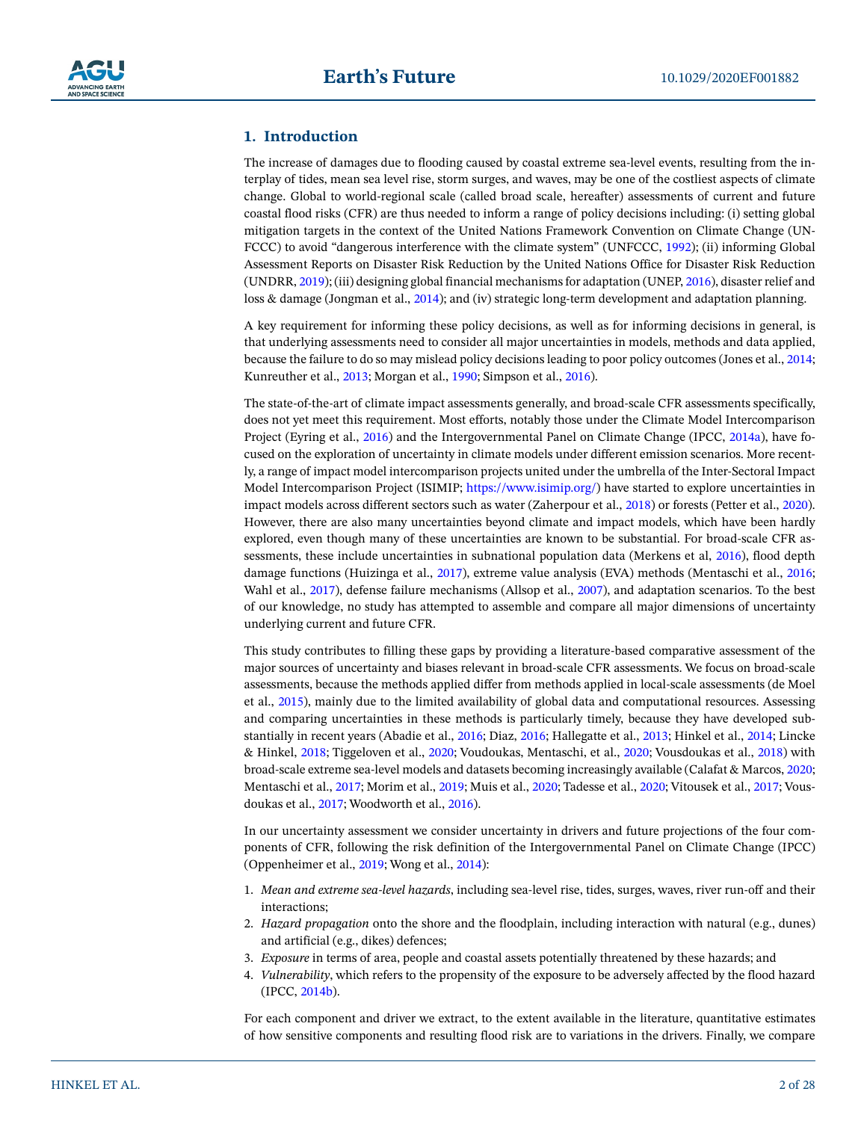

# **1. Introduction**

The increase of damages due to flooding caused by coastal extreme sea-level events, resulting from the interplay of tides, mean sea level rise, storm surges, and waves, may be one of the costliest aspects of climate change. Global to world-regional scale (called broad scale, hereafter) assessments of current and future coastal flood risks (CFR) are thus needed to inform a range of policy decisions including: (i) setting global mitigation targets in the context of the United Nations Framework Convention on Climate Change (UN-FCCC) to avoid "dangerous interference with the climate system" (UNFCCC, [1992](#page-26-0)); (ii) informing Global Assessment Reports on Disaster Risk Reduction by the United Nations Office for Disaster Risk Reduction (UNDRR, [2019](#page-26-1)); (iii) designing global financial mechanisms for adaptation (UNEP, [2016](#page-26-2)), disaster relief and loss & damage (Jongman et al., [2014](#page-23-0)); and (iv) strategic long-term development and adaptation planning.

A key requirement for informing these policy decisions, as well as for informing decisions in general, is that underlying assessments need to consider all major uncertainties in models, methods and data applied, because the failure to do so may mislead policy decisions leading to poor policy outcomes (Jones et al., [2014;](#page-23-1) Kunreuther et al., [2013](#page-24-0); Morgan et al., [1990](#page-25-0); Simpson et al., [2016](#page-26-3)).

The state-of-the-art of climate impact assessments generally, and broad-scale CFR assessments specifically, does not yet meet this requirement. Most efforts, notably those under the Climate Model Intercomparison Project (Eyring et al., [2016](#page-22-0)) and the Intergovernmental Panel on Climate Change (IPCC, [2014a](#page-23-2)), have focused on the exploration of uncertainty in climate models under different emission scenarios. More recently, a range of impact model intercomparison projects united under the umbrella of the Inter-Sectoral Impact Model Intercomparison Project (ISIMIP;<https://www.isimip.org/>) have started to explore uncertainties in impact models across different sectors such as water (Zaherpour et al., [2018\)](#page-27-0) or forests (Petter et al., [2020\)](#page-25-1). However, there are also many uncertainties beyond climate and impact models, which have been hardly explored, even though many of these uncertainties are known to be substantial. For broad-scale CFR assessments, these include uncertainties in subnational population data (Merkens et al, [2016\)](#page-25-2), flood depth damage functions (Huizinga et al., [2017\)](#page-23-3), extreme value analysis (EVA) methods (Mentaschi et al., [2016;](#page-25-3) Wahl et al., [2017\)](#page-27-1), defense failure mechanisms (Allsop et al., [2007\)](#page-21-0), and adaptation scenarios. To the best of our knowledge, no study has attempted to assemble and compare all major dimensions of uncertainty underlying current and future CFR.

This study contributes to filling these gaps by providing a literature-based comparative assessment of the major sources of uncertainty and biases relevant in broad-scale CFR assessments. We focus on broad-scale assessments, because the methods applied differ from methods applied in local-scale assessments (de Moel et al., [2015](#page-22-1)), mainly due to the limited availability of global data and computational resources. Assessing and comparing uncertainties in these methods is particularly timely, because they have developed substantially in recent years (Abadie et al., [2016](#page-20-0); Diaz, [2016;](#page-22-2) Hallegatte et al., [2013;](#page-23-4) Hinkel et al., [2014;](#page-23-5) Lincke & Hinkel, [2018](#page-24-1); Tiggeloven et al., [2020;](#page-26-4) Voudoukas, Mentaschi, et al., [2020](#page-27-2); Vousdoukas et al., [2018](#page-27-3)) with broad-scale extreme sea-level models and datasets becoming increasingly available (Calafat & Marcos, [2020;](#page-21-1) Mentaschi et al., [2017;](#page-24-2) Morim et al., [2019;](#page-25-4) Muis et al., [2020;](#page-25-5) Tadesse et al., [2020;](#page-26-5) Vitousek et al., [2017](#page-27-4); Vousdoukas et al., [2017;](#page-27-5) Woodworth et al., [2016](#page-27-6)).

In our uncertainty assessment we consider uncertainty in drivers and future projections of the four components of CFR, following the risk definition of the Intergovernmental Panel on Climate Change (IPCC) (Oppenheimer et al., [2019](#page-25-6); Wong et al., [2014](#page-27-7)):

- 1. *Mean and extreme sea-level hazards*, including sea-level rise, tides, surges, waves, river run-off and their interactions;
- 2. *Hazard propagation* onto the shore and the floodplain, including interaction with natural (e.g., dunes) and artificial (e.g., dikes) defences;
- 3. *Exposure* in terms of area, people and coastal assets potentially threatened by these hazards; and
- 4. *Vulnerability*, which refers to the propensity of the exposure to be adversely affected by the flood hazard (IPCC, [2014b\)](#page-23-6).

For each component and driver we extract, to the extent available in the literature, quantitative estimates of how sensitive components and resulting flood risk are to variations in the drivers. Finally, we compare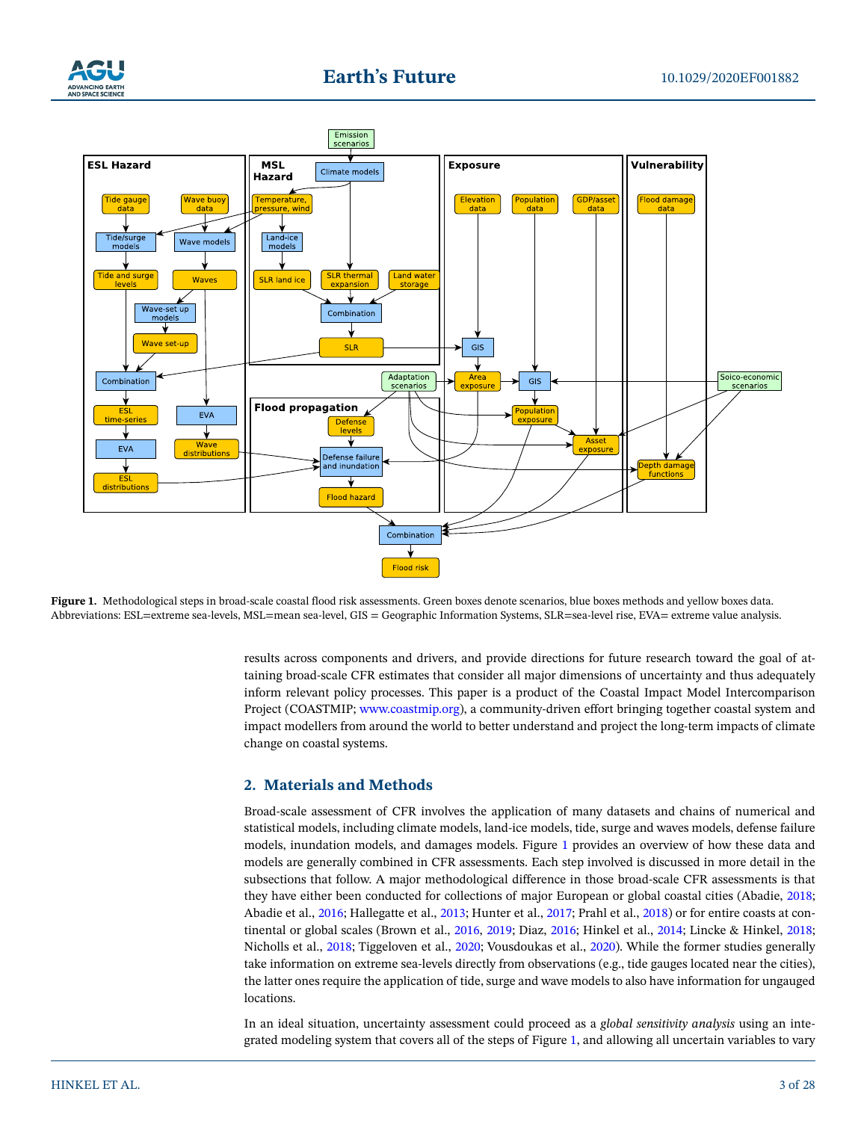



<span id="page-2-0"></span>Figure 1. Methodological steps in broad-scale coastal flood risk assessments. Green boxes denote scenarios, blue boxes methods and yellow boxes data. Abbreviations: ESL=extreme sea-levels, MSL=mean sea-level, GIS = Geographic Information Systems, SLR=sea-level rise, EVA= extreme value analysis.

results across components and drivers, and provide directions for future research toward the goal of attaining broad-scale CFR estimates that consider all major dimensions of uncertainty and thus adequately inform relevant policy processes. This paper is a product of the Coastal Impact Model Intercomparison Project (COASTMIP; [www.coastmip.org\)](http://www.coastmip.org/), a community-driven effort bringing together coastal system and impact modellers from around the world to better understand and project the long-term impacts of climate change on coastal systems.

# <span id="page-2-1"></span>**2. Materials and Methods**

Broad-scale assessment of CFR involves the application of many datasets and chains of numerical and statistical models, including climate models, land-ice models, tide, surge and waves models, defense failure models, inundation models, and damages models. Figure [1](#page-2-0) provides an overview of how these data and models are generally combined in CFR assessments. Each step involved is discussed in more detail in the subsections that follow. A major methodological difference in those broad-scale CFR assessments is that they have either been conducted for collections of major European or global coastal cities (Abadie, [2018;](#page-20-1) Abadie et al., [2016;](#page-20-0) Hallegatte et al., [2013;](#page-23-4) Hunter et al., [2017](#page-23-7); Prahl et al., [2018\)](#page-25-7) or for entire coasts at continental or global scales (Brown et al., [2016,](#page-21-2) [2019;](#page-21-3) Diaz, [2016;](#page-22-2) Hinkel et al., [2014](#page-23-5); Lincke & Hinkel, [2018;](#page-24-1) Nicholls et al., [2018;](#page-25-8) Tiggeloven et al., [2020](#page-26-4); Vousdoukas et al., [2020\)](#page-27-2). While the former studies generally take information on extreme sea-levels directly from observations (e.g., tide gauges located near the cities), the latter ones require the application of tide, surge and wave models to also have information for ungauged locations.

In an ideal situation, uncertainty assessment could proceed as a *global sensitivity analysis* using an integrated modeling system that covers all of the steps of Figure [1](#page-2-0), and allowing all uncertain variables to vary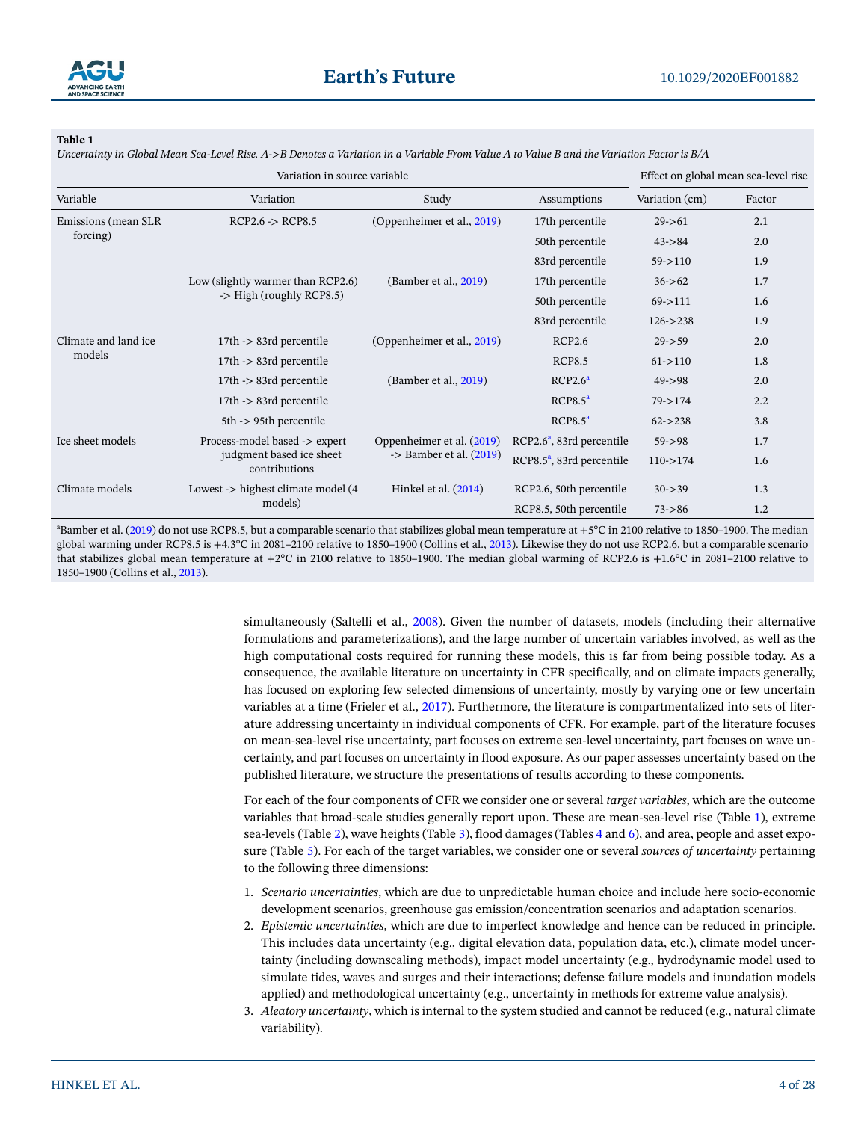

<span id="page-3-0"></span>*Uncertainty in Global Mean Sea-Level Rise. A->B Denotes a Variation in a Variable From Value A to Value B and the Variation Factor is B/A*

|                                  | Effect on global mean sea-level rise                                                                                                          |                                                                 |                              |                  |        |
|----------------------------------|-----------------------------------------------------------------------------------------------------------------------------------------------|-----------------------------------------------------------------|------------------------------|------------------|--------|
| Variable                         | Variation                                                                                                                                     | Study                                                           | Assumptions                  | Variation (cm)   | Factor |
| Emissions (mean SLR)<br>forcing) | $RCP2.6 \rightarrow RCP8.5$                                                                                                                   | (Oppenheimer et al., 2019)                                      | 17th percentile              | $29 - 61$        | 2.1    |
|                                  |                                                                                                                                               |                                                                 | 50th percentile              | $43 - > 84$      | 2.0    |
|                                  |                                                                                                                                               |                                                                 | 83rd percentile              | $59 - > 110$     | 1.9    |
|                                  | Low (slightly warmer than RCP2.6)<br>-> High (roughly RCP8.5)                                                                                 | (Bamber et al., 2019)                                           | 17th percentile              | 1.7<br>$36 - 62$ |        |
|                                  |                                                                                                                                               |                                                                 | 50th percentile              | $69 - > 111$     | 1.6    |
|                                  |                                                                                                                                               |                                                                 | 83rd percentile              | $126 - > 238$    | 1.9    |
| Climate and land ice             | $17th$ -> 83rd percentile<br>$17th$ -> 83rd percentile<br>$17th$ -> 83rd percentile<br>17th -> 83rd percentile<br>$5th$ - $>$ 95th percentile | (Oppenheimer et al., 2019)                                      | RCP2.6                       | $29 - 59$        | 2.0    |
| models                           |                                                                                                                                               | (Bamber et al., 2019)                                           | <b>RCP8.5</b>                | $61 - > 110$     | 1.8    |
|                                  |                                                                                                                                               |                                                                 | RCP2.6 <sup>a</sup>          | $49 - > 98$      | 2.0    |
|                                  |                                                                                                                                               |                                                                 | RCP8.5 <sup>a</sup>          | $79 - > 174$     | 2.2    |
|                                  |                                                                                                                                               |                                                                 | RCP8.5 <sup>a</sup>          | $62 - > 238$     | 3.8    |
| Ice sheet models                 | Process-model based -> expert<br>judgment based ice sheet<br>contributions                                                                    | Oppenheimer et al. (2019)<br>$\rightarrow$ Bamber et al. (2019) | $RCP2.6^a$ , 83rd percentile | $59 - 98$        | 1.7    |
|                                  |                                                                                                                                               |                                                                 | $RCP8.5^a$ , 83rd percentile | $110 - > 174$    | 1.6    |
| Climate models                   | Lowest -> highest climate model (4                                                                                                            | Hinkel et al. (2014)                                            | RCP2.6, 50th percentile      | $30 - > 39$      | 1.3    |
|                                  | models)                                                                                                                                       |                                                                 | RCP8.5, 50th percentile      | $73 - 86$        | 1.2    |

<sup>a</sup>Bamber et al. ([2019\)](#page-21-4) do not use RCP8.5, but a comparable scenario that stabilizes global mean temperature at +5°C in 2100 relative to 1850–1900. The median global warming under RCP8.5 is +4.3°C in 2081–2100 relative to 1850–1900 (Collins et al., [2013\)](#page-22-4). Likewise they do not use RCP2.6, but a comparable scenario that stabilizes global mean temperature at +2°C in 2100 relative to 1850–1900. The median global warming of RCP2.6 is +1.6°C in 2081–2100 relative to 1850–1900 (Collins et al., [2013](#page-22-4)).

> simultaneously (Saltelli et al., [2008\)](#page-26-6). Given the number of datasets, models (including their alternative formulations and parameterizations), and the large number of uncertain variables involved, as well as the high computational costs required for running these models, this is far from being possible today. As a consequence, the available literature on uncertainty in CFR specifically, and on climate impacts generally, has focused on exploring few selected dimensions of uncertainty, mostly by varying one or few uncertain variables at a time (Frieler et al., [2017\)](#page-22-3). Furthermore, the literature is compartmentalized into sets of literature addressing uncertainty in individual components of CFR. For example, part of the literature focuses on mean-sea-level rise uncertainty, part focuses on extreme sea-level uncertainty, part focuses on wave uncertainty, and part focuses on uncertainty in flood exposure. As our paper assesses uncertainty based on the published literature, we structure the presentations of results according to these components.

> For each of the four components of CFR we consider one or several *target variables*, which are the outcome variables that broad-scale studies generally report upon. These are mean-sea-level rise (Table [1](#page-3-0)), extreme sea-levels (Table [2\)](#page-4-0), wave heights (Table [3\)](#page-5-0), flood damages (Tables [4](#page-6-0) and [6](#page-8-0)), and area, people and asset exposure (Table [5](#page-7-0)). For each of the target variables, we consider one or several *sources of uncertainty* pertaining to the following three dimensions:

- 1. *Scenario uncertainties*, which are due to unpredictable human choice and include here socio-economic development scenarios, greenhouse gas emission/concentration scenarios and adaptation scenarios.
- 2. *Epistemic uncertainties*, which are due to imperfect knowledge and hence can be reduced in principle. This includes data uncertainty (e.g., digital elevation data, population data, etc.), climate model uncertainty (including downscaling methods), impact model uncertainty (e.g., hydrodynamic model used to simulate tides, waves and surges and their interactions; defense failure models and inundation models applied) and methodological uncertainty (e.g., uncertainty in methods for extreme value analysis).
- 3. *Aleatory uncertainty*, which is internal to the system studied and cannot be reduced (e.g., natural climate variability).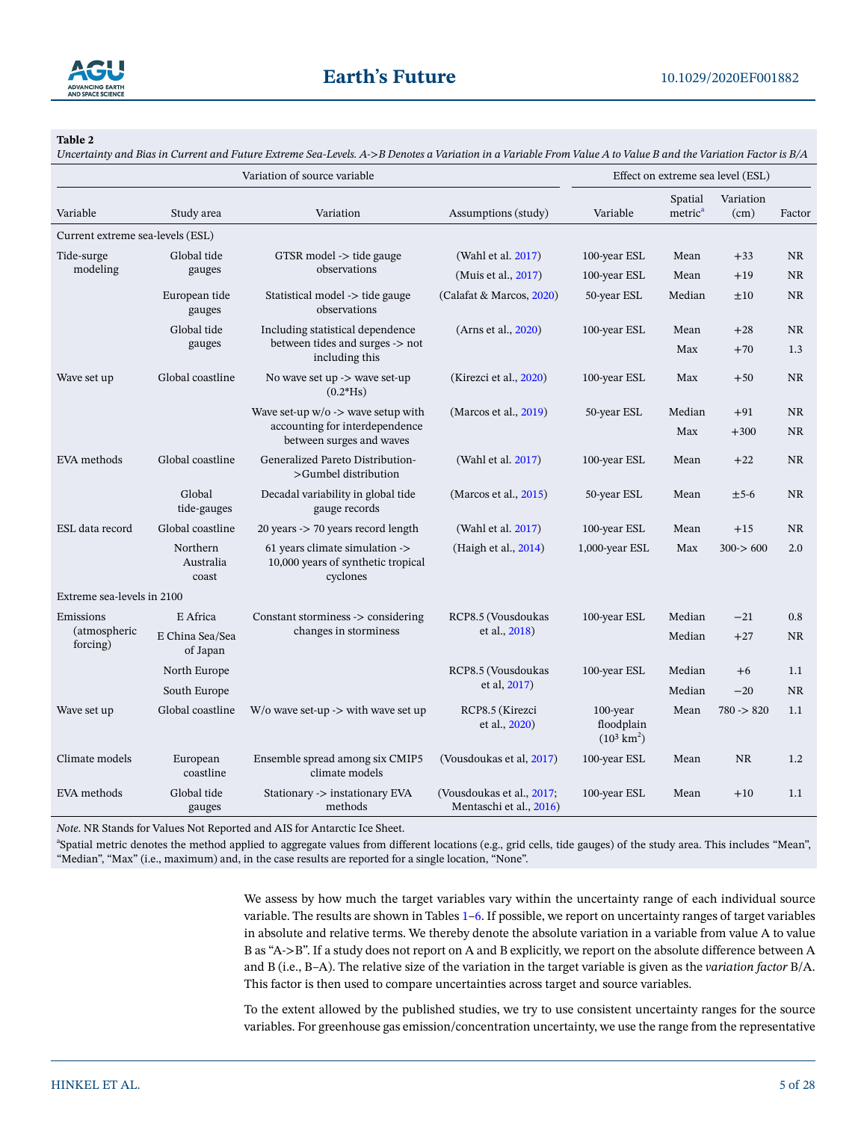

<span id="page-4-0"></span>*Uncertainty and Bias in Current and Future Extreme Sea-Levels. A->B Denotes a Variation in a Variable From Value A to Value B and the Variation Factor is B/A*

| Variation of source variable     |                                |                                                                                  |                                                      | Effect on extreme sea level (ESL)                  |                                |                   |           |
|----------------------------------|--------------------------------|----------------------------------------------------------------------------------|------------------------------------------------------|----------------------------------------------------|--------------------------------|-------------------|-----------|
| Variable                         | Study area                     | Variation                                                                        | Assumptions (study)                                  | Variable                                           | Spatial<br>metric <sup>a</sup> | Variation<br>(cm) | Factor    |
| Current extreme sea-levels (ESL) |                                |                                                                                  |                                                      |                                                    |                                |                   |           |
| Tide-surge                       | Global tide                    | GTSR model -> tide gauge                                                         | (Wahl et al. 2017)                                   | 100-year ESL                                       | Mean                           | $+33$             | <b>NR</b> |
| modeling                         | gauges                         | observations                                                                     | (Muis et al., 2017)                                  | 100-year ESL                                       | Mean                           | $+19$             | <b>NR</b> |
|                                  | European tide<br>gauges        | Statistical model -> tide gauge<br>observations                                  | (Calafat & Marcos, 2020)                             | 50-year ESL                                        | Median                         | ±10               | <b>NR</b> |
|                                  | Global tide                    | Including statistical dependence                                                 | (Arns et al., 2020)                                  | 100-year ESL                                       | Mean                           | $+28$             | <b>NR</b> |
|                                  | gauges                         | between tides and surges -> not<br>including this                                |                                                      |                                                    | Max                            | $+70$             | 1.3       |
| Wave set up                      | Global coastline               | No wave set up $\rightarrow$ wave set-up<br>$(0.2*Hs)$                           | (Kirezci et al., 2020)                               | 100-year ESL                                       | Max                            | $+50$             | <b>NR</b> |
|                                  |                                | Wave set-up $w/o$ -> wave setup with                                             | (Marcos et al., 2019)                                | 50-year ESL                                        | Median                         | $+91$             | <b>NR</b> |
|                                  |                                | accounting for interdependence<br>between surges and waves                       |                                                      |                                                    | Max                            | $+300$            | <b>NR</b> |
| EVA methods                      | Global coastline               | Generalized Pareto Distribution-<br>>Gumbel distribution                         | (Wahl et al. 2017)                                   | 100-year ESL                                       | Mean                           | $+22$             | <b>NR</b> |
|                                  | Global<br>tide-gauges          | Decadal variability in global tide<br>gauge records                              | (Marcos et al., 2015)                                | 50-year ESL                                        | Mean                           | $±5-6$            | <b>NR</b> |
| ESL data record                  | Global coastline               | 20 years -> 70 years record length                                               | (Wahl et al. 2017)                                   | 100-year ESL                                       | Mean                           | $+15$             | <b>NR</b> |
|                                  | Northern<br>Australia<br>coast | 61 years climate simulation -><br>10,000 years of synthetic tropical<br>cyclones | (Haigh et al., 2014)                                 | 1,000-year ESL                                     | Max                            | 300 > 600         | 2.0       |
| Extreme sea-levels in 2100       |                                |                                                                                  |                                                      |                                                    |                                |                   |           |
| Emissions                        | E Africa                       | Constant storminess -> considering                                               | RCP8.5 (Vousdoukas                                   | 100-year ESL                                       | Median                         | $-21$             | 0.8       |
| (atmospheric<br>forcing)         | E China Sea/Sea<br>of Japan    | changes in storminess                                                            | et al., 2018)                                        |                                                    |                                | $+27$             | <b>NR</b> |
|                                  | North Europe                   |                                                                                  | RCP8.5 (Vousdoukas                                   | 100-year ESL                                       | Median                         | $+6$              | 1.1       |
|                                  | South Europe                   |                                                                                  | et al, 2017)                                         |                                                    | Median                         | $-20$             | <b>NR</b> |
| Wave set up                      | Global coastline               | $W$ /0 wave set-up -> with wave set up                                           | RCP8.5 (Kirezci<br>et al., 2020)                     | $100$ -year<br>floodplain<br>$(10^3 \text{ km}^2)$ | Mean                           | $780 \div 820$    | 1.1       |
| Climate models                   | European<br>coastline          | Ensemble spread among six CMIP5<br>climate models                                | (Vousdoukas et al, 2017)                             | 100-year ESL                                       | Mean                           | <b>NR</b>         | 1.2       |
| EVA methods                      | Global tide<br>gauges          | Stationary -> instationary EVA<br>methods                                        | (Vousdoukas et al., 2017;<br>Mentaschi et al., 2016) | 100-year ESL                                       | Mean                           | $+10$             | 1.1       |

*Note*. NR Stands for Values Not Reported and AIS for Antarctic Ice Sheet.

a Spatial metric denotes the method applied to aggregate values from different locations (e.g., grid cells, tide gauges) of the study area. This includes "Mean", "Median", "Max" (i.e., maximum) and, in the case results are reported for a single location, "None".

> We assess by how much the target variables vary within the uncertainty range of each individual source variable. The results are shown in Tables [1](#page-3-0)[–6.](#page-8-0) If possible, we report on uncertainty ranges of target variables in absolute and relative terms. We thereby denote the absolute variation in a variable from value A to value B as "A->B". If a study does not report on A and B explicitly, we report on the absolute difference between A and B (i.e., B–A). The relative size of the variation in the target variable is given as the *variation factor* B/A. This factor is then used to compare uncertainties across target and source variables.

> To the extent allowed by the published studies, we try to use consistent uncertainty ranges for the source variables. For greenhouse gas emission/concentration uncertainty, we use the range from the representative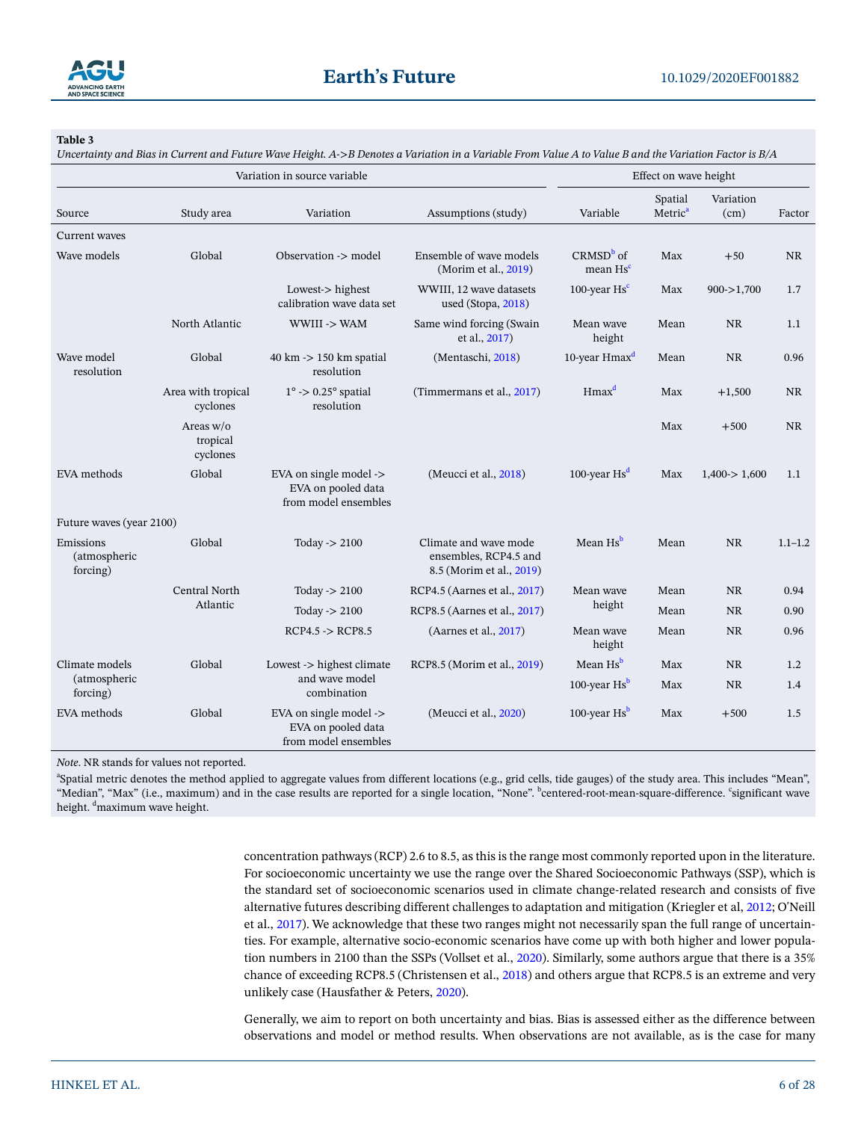

<span id="page-5-0"></span>*Uncertainty and Bias in Current and Future Wave Height. A->B Denotes a Variation in a Variable From Value A to Value B and the Variation Factor is B/A*

| Variation in source variable          |                                     |                                                                      | Effect on wave height                                                      |                                     |                                |                   |             |
|---------------------------------------|-------------------------------------|----------------------------------------------------------------------|----------------------------------------------------------------------------|-------------------------------------|--------------------------------|-------------------|-------------|
| Source                                | Study area                          | Variation                                                            | Assumptions (study)                                                        | Variable                            | Spatial<br>Metric <sup>a</sup> | Variation<br>(cm) | Factor      |
| Current waves                         |                                     |                                                                      |                                                                            |                                     |                                |                   |             |
| Wave models                           | Global                              | Observation -> model                                                 | Ensemble of wave models<br>(Morim et al., 2019)                            | $CRMSDb$ of<br>mean Hs <sup>c</sup> | Max                            | $+50$             | <b>NR</b>   |
|                                       |                                     | Lowest-> highest<br>calibration wave data set                        | WWIII, 12 wave datasets<br>used (Stopa, 2018)                              | 100-year $\text{Hs}^c$              | Max                            | $900 - >1,700$    | 1.7         |
|                                       | North Atlantic                      | WWIII -> WAM                                                         | Same wind forcing (Swain<br>et al., 2017)                                  | Mean wave<br>height                 | Mean                           | <b>NR</b>         | 1.1         |
| Wave model<br>resolution              | Global                              | $40 \text{ km}$ -> $150 \text{ km}$ spatial<br>resolution            | (Mentaschi, 2018)                                                          | 10-year Hmax <sup>d</sup>           | Mean                           | <b>NR</b>         | 0.96        |
|                                       | Area with tropical<br>cyclones      | $1^{\circ}$ -> 0.25 $^{\circ}$ spatial<br>resolution                 | (Timmermans et al., 2017)                                                  | Hmax <sup>d</sup>                   | Max                            | $+1,500$          | <b>NR</b>   |
|                                       | Areas $w/o$<br>tropical<br>cyclones |                                                                      |                                                                            |                                     | Max                            | $+500$            | NR.         |
| EVA methods                           | Global                              | EVA on single model -><br>EVA on pooled data<br>from model ensembles | (Meucci et al., 2018)                                                      | 100-year $\text{Hs}^d$              | Max                            | 1,400 > 1,600     | 1.1         |
| Future waves (year 2100)              |                                     |                                                                      |                                                                            |                                     |                                |                   |             |
| Emissions<br>(atmospheric<br>forcing) | Global                              | Today $\geq$ 2100                                                    | Climate and wave mode<br>ensembles, RCP4.5 and<br>8.5 (Morim et al., 2019) | Mean Hs <sup>b</sup>                | Mean                           | <b>NR</b>         | $1.1 - 1.2$ |
|                                       | Central North                       | Today $\geq$ 2100                                                    | RCP4.5 (Aarnes et al., 2017)                                               | Mean wave                           | Mean                           | <b>NR</b>         | 0.94        |
|                                       | Atlantic                            | Today $\rightarrow$ 2100                                             | RCP8.5 (Aarnes et al., 2017)                                               | height                              | Mean                           | <b>NR</b>         | 0.90        |
|                                       |                                     | $RCP4.5 \rightarrow RCP8.5$                                          | (Aarnes et al., 2017)                                                      | Mean wave<br>height                 | Mean                           | <b>NR</b>         | 0.96        |
| Climate models                        | Global                              | Lowest -> highest climate                                            | RCP8.5 (Morim et al., 2019)                                                | Mean Hs <sup>b</sup>                | Max                            | <b>NR</b>         | 1.2         |
| (atmospheric<br>forcing)              |                                     | and wave model<br>combination                                        |                                                                            | 100-year $\text{Hs}^b$              | Max                            | <b>NR</b>         | 1.4         |
| EVA methods                           | Global                              | EVA on single model -><br>EVA on pooled data<br>from model ensembles | (Meucci et al., 2020)                                                      | 100-year $\text{Hs}^b$              | Max                            | $+500$            | 1.5         |

*Note*. NR stands for values not reported.

a Spatial metric denotes the method applied to aggregate values from different locations (e.g., grid cells, tide gauges) of the study area. This includes "Mean", "Median", "Max" (i.e., maximum) and in the case results are reported for a single location, "None". "centered-root-mean-square-difference. "significant wave height. <sup>d</sup>maximum wave height.

> concentration pathways (RCP) 2.6 to 8.5, as this is the range most commonly reported upon in the literature. For socioeconomic uncertainty we use the range over the Shared Socioeconomic Pathways (SSP), which is the standard set of socioeconomic scenarios used in climate change-related research and consists of five alternative futures describing different challenges to adaptation and mitigation (Kriegler et al, [2012](#page-24-5); O'Neill et al., [2017](#page-25-10)). We acknowledge that these two ranges might not necessarily span the full range of uncertainties. For example, alternative socio-economic scenarios have come up with both higher and lower population numbers in 2100 than the SSPs (Vollset et al., [2020\)](#page-27-9). Similarly, some authors argue that there is a 35% chance of exceeding RCP8.5 (Christensen et al., [2018\)](#page-21-6) and others argue that RCP8.5 is an extreme and very unlikely case (Hausfather & Peters, [2020\)](#page-23-9).

> Generally, we aim to report on both uncertainty and bias. Bias is assessed either as the difference between observations and model or method results. When observations are not available, as is the case for many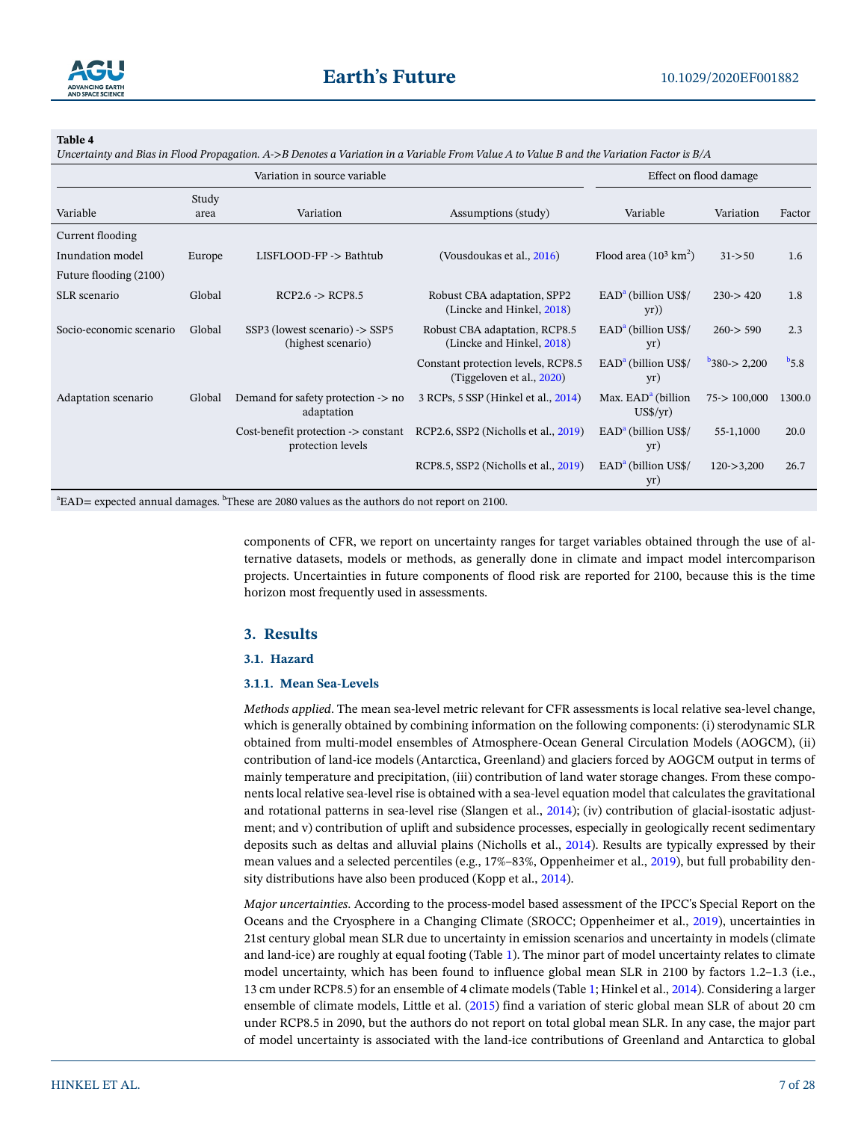

<span id="page-6-0"></span>*Uncertainty and Bias in Flood Propagation. A->B Denotes a Variation in a Variable From Value A to Value B and the Variation Factor is B/A*

| Variation in source variable |               |                                                                     |                                                                 | Effect on flood damage                                   |                       |           |
|------------------------------|---------------|---------------------------------------------------------------------|-----------------------------------------------------------------|----------------------------------------------------------|-----------------------|-----------|
| Variable                     | Study<br>area | Variation                                                           | Assumptions (study)                                             | Variable                                                 | Variation             | Factor    |
| Current flooding             |               |                                                                     |                                                                 |                                                          |                       |           |
| Inundation model             | Europe        | LISFLOOD-FP -> Bathtub                                              | (Vousdoukas et al., 2016)                                       | Flood area $(10^3 \text{ km}^2)$                         | $31 - 50$             | 1.6       |
| Future flooding (2100)       |               |                                                                     |                                                                 |                                                          |                       |           |
| SLR scenario                 | Global        | $RCP2.6 \rightarrow RCP8.5$                                         | Robust CBA adaptation, SPP2<br>(Lincke and Hinkel, 2018)        | $EADa$ (billion US\$/<br>$yr)$ )                         | $230 \rightarrow 420$ | 1.8       |
| Socio-economic scenario      | Global        | SSP3 (lowest scenario) -> SSP5<br>(highest scenario)                | Robust CBA adaptation, RCP8.5<br>(Lincke and Hinkel, 2018)      | $EADa$ (billion US\$/<br>yr)                             | $260 \geq 590$        | 2.3       |
|                              |               |                                                                     | Constant protection levels, RCP8.5<br>(Tiggeloven et al., 2020) | $EADa$ (billion US\$/<br>yr)                             | 380 > 2,200           | $b_{5,8}$ |
| Adaptation scenario          | Global        | Demand for safety protection -> no<br>adaptation                    | 3 RCPs, 5 SSP (Hinkel et al., 2014)                             | Max. EAD <sup>a</sup> (billion<br>$US\frac{\sqrt{y}}{y}$ | 75 > 100,000          | 1300.0    |
|                              |               | Cost-benefit protection $\rightarrow$ constant<br>protection levels | RCP2.6, SSP2 (Nicholls et al., 2019)                            | $EADa$ (billion US\$/<br>yr)                             | 55-1,1000             | 20.0      |
|                              |               |                                                                     | RCP8.5, SSP2 (Nicholls et al., 2019)                            | $EADa$ (billion US\$/<br>yr)                             | $120 - >3,200$        | 26.7      |

 $\mathrm{^{a}EAD}=$  expected annual damages.  $\mathrm{^{b}These}$  are 2080 values as the authors do not report on 2100.

components of CFR, we report on uncertainty ranges for target variables obtained through the use of alternative datasets, models or methods, as generally done in climate and impact model intercomparison projects. Uncertainties in future components of flood risk are reported for 2100, because this is the time horizon most frequently used in assessments.

## **3. Results**

#### <span id="page-6-2"></span>**3.1. Hazard**

#### <span id="page-6-1"></span>**3.1.1. Mean Sea-Levels**

*Methods applied*. The mean sea-level metric relevant for CFR assessments is local relative sea-level change, which is generally obtained by combining information on the following components: (i) sterodynamic SLR obtained from multi-model ensembles of Atmosphere-Ocean General Circulation Models (AOGCM), (ii) contribution of land-ice models (Antarctica, Greenland) and glaciers forced by AOGCM output in terms of mainly temperature and precipitation, (iii) contribution of land water storage changes. From these components local relative sea-level rise is obtained with a sea-level equation model that calculates the gravitational and rotational patterns in sea-level rise (Slangen et al., [2014](#page-26-10)); (iv) contribution of glacial-isostatic adjustment; and v) contribution of uplift and subsidence processes, especially in geologically recent sedimentary deposits such as deltas and alluvial plains (Nicholls et al., [2014](#page-25-13)). Results are typically expressed by their mean values and a selected percentiles (e.g., 17%–83%, Oppenheimer et al., [2019\)](#page-25-6), but full probability density distributions have also been produced (Kopp et al., [2014](#page-24-7)).

*Major uncertainties*. According to the process-model based assessment of the IPCC's Special Report on the Oceans and the Cryosphere in a Changing Climate (SROCC; Oppenheimer et al., [2019](#page-25-6)), uncertainties in 21st century global mean SLR due to uncertainty in emission scenarios and uncertainty in models (climate and land-ice) are roughly at equal footing (Table [1](#page-3-0)). The minor part of model uncertainty relates to climate model uncertainty, which has been found to influence global mean SLR in 2100 by factors 1.2–1.3 (i.e., 13 cm under RCP8.5) for an ensemble of 4 climate models (Table [1;](#page-3-0) Hinkel et al., [2014](#page-23-5)). Considering a larger ensemble of climate models, Little et al. ([2015\)](#page-24-8) find a variation of steric global mean SLR of about 20 cm under RCP8.5 in 2090, but the authors do not report on total global mean SLR. In any case, the major part of model uncertainty is associated with the land-ice contributions of Greenland and Antarctica to global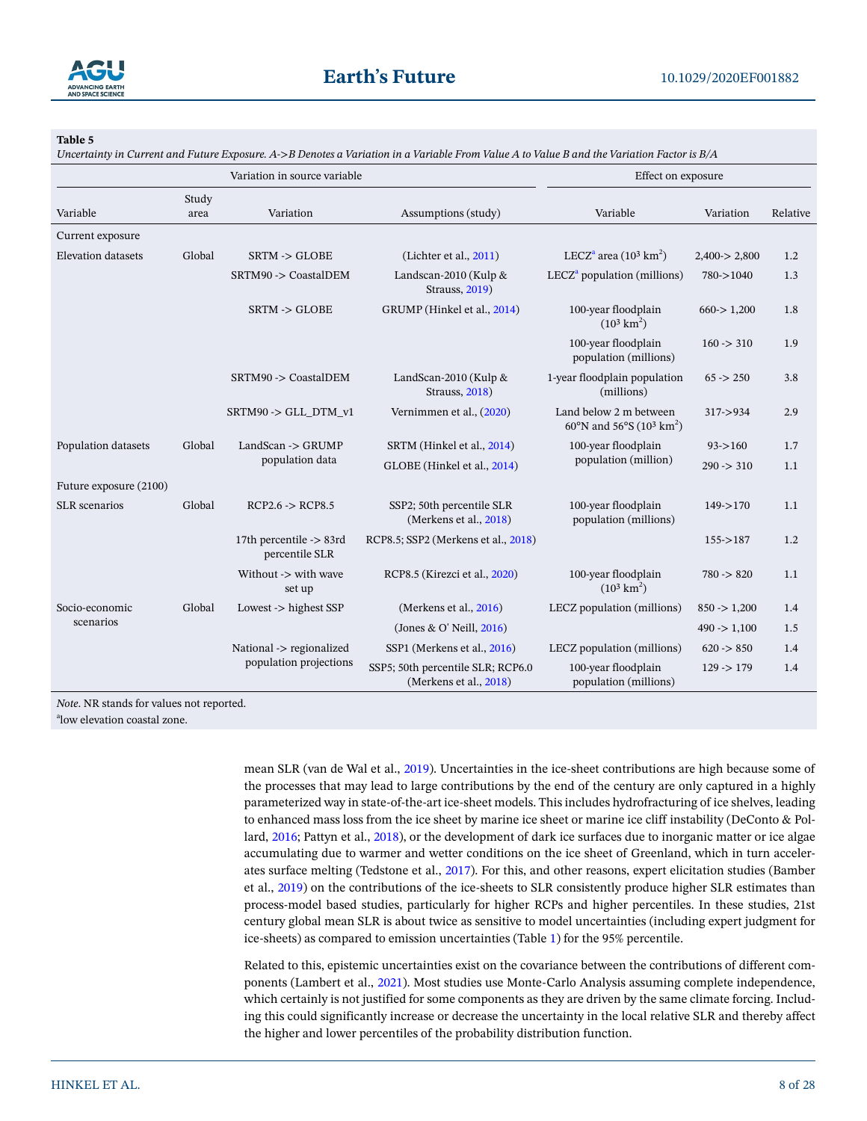

<span id="page-7-0"></span>*Uncertainty in Current and Future Exposure. A->B Denotes a Variation in a Variable From Value A to Value B and the Variation Factor is B/A*

| Variation in source variable |               |                                           | Effect on exposure                                          |                                                                            |                  |          |  |
|------------------------------|---------------|-------------------------------------------|-------------------------------------------------------------|----------------------------------------------------------------------------|------------------|----------|--|
| Variable                     | Study<br>area | Variation                                 | Assumptions (study)                                         | Variable                                                                   | Variation        | Relative |  |
| Current exposure             |               |                                           |                                                             |                                                                            |                  |          |  |
| <b>Elevation datasets</b>    | Global        | $SRTM \rightarrow GLOBE$                  | (Lichter et al., 2011)                                      | LECZ <sup>a</sup> area (10 <sup>3</sup> km <sup>2</sup> )                  | 2,400 > 2,800    | 1.2      |  |
|                              |               | SRTM90 -> CoastalDEM                      | Landscan-2010 (Kulp &<br><b>Strauss</b> , 2019)             | $LECZa$ population (millions)                                              | 780->1040        | 1.3      |  |
|                              |               | $SRTM \rightarrow GLOBE$                  | GRUMP (Hinkel et al., 2014)                                 | 100-year floodplain<br>$(10^3 \text{ km}^2)$                               | 660 > 1,200      | 1.8      |  |
|                              |               |                                           |                                                             | 100-year floodplain<br>population (millions)                               | $160 \div 310$   | 1.9      |  |
|                              |               | SRTM90 -> CoastalDEM                      | LandScan-2010 (Kulp &<br>Strauss, 2018)                     | 1-year floodplain population<br>(millions)                                 | $65 - 250$       | 3.8      |  |
|                              |               | SRTM90 -> GLL_DTM_v1                      | Vernimmen et al., (2020)                                    | Land below 2 m between<br>60°N and 56°S (10 <sup>3</sup> km <sup>2</sup> ) | $317 - 934$      | 2.9      |  |
| Population datasets          | Global        | LandScan -> GRUMP                         | SRTM (Hinkel et al., 2014)                                  | 100-year floodplain                                                        | $93 - 160$       | 1.7      |  |
|                              |               | population data                           | GLOBE (Hinkel et al., 2014)                                 | population (million)                                                       | $290 \div 310$   | 1.1      |  |
| Future exposure (2100)       |               |                                           |                                                             |                                                                            |                  |          |  |
| <b>SLR</b> scenarios         | Global        | $RCP2.6 \rightarrow RCP8.5$               | SSP2; 50th percentile SLR<br>(Merkens et al., 2018)         | 100-year floodplain<br>population (millions)                               | $149 - > 170$    | 1.1      |  |
|                              |               | 17th percentile -> 83rd<br>percentile SLR | RCP8.5; SSP2 (Merkens et al., 2018)                         |                                                                            | $155 - 187$      | 1.2      |  |
|                              |               | Without -> with wave<br>set up            | RCP8.5 (Kirezci et al., 2020)                               | 100-year floodplain<br>$(10^3 \text{ km}^2)$                               | $780 \div 820$   | 1.1      |  |
| Socio-economic               | Global        | Lowest $\rightarrow$ highest SSP          | (Merkens et al., 2016)                                      | LECZ population (millions)                                                 | $850 \div 1,200$ | 1.4      |  |
| scenarios                    |               |                                           | (Jones & O' Neill, 2016)                                    |                                                                            | $490 \div 1,100$ | 1.5      |  |
|                              |               | National -> regionalized                  | SSP1 (Merkens et al., 2016)                                 | LECZ population (millions)                                                 | $620 \geq 850$   | 1.4      |  |
|                              |               | population projections                    | SSP5; 50th percentile SLR; RCP6.0<br>(Merkens et al., 2018) | 100-year floodplain<br>population (millions)                               | $129 - 179$      | 1.4      |  |

*Note*. NR stands for values not reported.

a low elevation coastal zone.

mean SLR (van de Wal et al., [2019](#page-27-11)). Uncertainties in the ice-sheet contributions are high because some of the processes that may lead to large contributions by the end of the century are only captured in a highly parameterized way in state-of-the-art ice-sheet models. This includes hydrofracturing of ice shelves, leading to enhanced mass loss from the ice sheet by marine ice sheet or marine ice cliff instability (DeConto & Pollard, [2016;](#page-22-6) Pattyn et al., [2018\)](#page-25-15), or the development of dark ice surfaces due to inorganic matter or ice algae accumulating due to warmer and wetter conditions on the ice sheet of Greenland, which in turn accelerates surface melting (Tedstone et al., [2017](#page-26-11)). For this, and other reasons, expert elicitation studies (Bamber et al., [2019\)](#page-21-4) on the contributions of the ice-sheets to SLR consistently produce higher SLR estimates than process-model based studies, particularly for higher RCPs and higher percentiles. In these studies, 21st century global mean SLR is about twice as sensitive to model uncertainties (including expert judgment for ice-sheets) as compared to emission uncertainties (Table [1](#page-3-0)) for the 95% percentile.

Related to this, epistemic uncertainties exist on the covariance between the contributions of different components (Lambert et al., [2021\)](#page-24-9). Most studies use Monte-Carlo Analysis assuming complete independence, which certainly is not justified for some components as they are driven by the same climate forcing. Including this could significantly increase or decrease the uncertainty in the local relative SLR and thereby affect the higher and lower percentiles of the probability distribution function.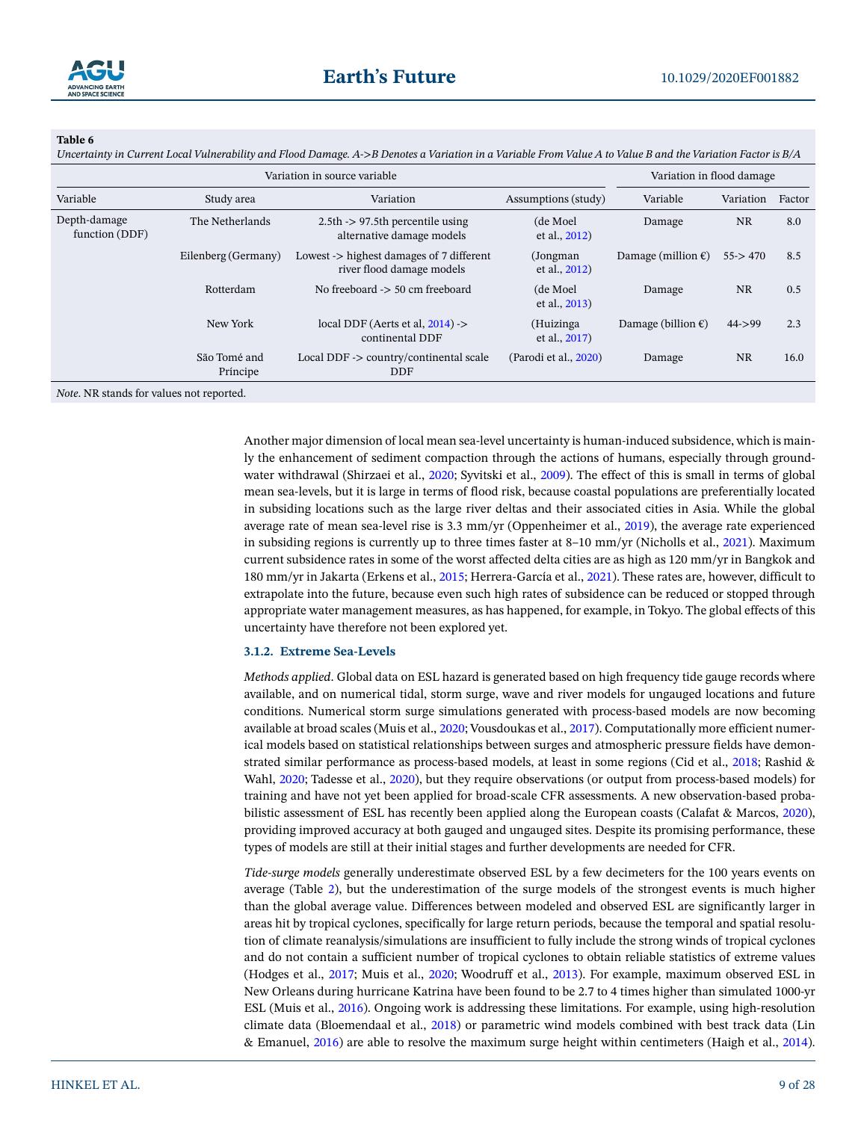

<span id="page-8-0"></span>*Uncertainty in Current Local Vulnerability and Flood Damage. A->B Denotes a Variation in a Variable From Value A to Value B and the Variation Factor is B/A*

|                                | Variation in flood damage |                                                                                  |                            |                              |           |        |
|--------------------------------|---------------------------|----------------------------------------------------------------------------------|----------------------------|------------------------------|-----------|--------|
| Variable                       | Study area                | Variation                                                                        | Assumptions (study)        | Variable                     | Variation | Factor |
| Depth-damage<br>function (DDF) | The Netherlands           | $2.5th$ -> 97.5th percentile using<br>alternative damage models                  | (de Moel<br>et al., 2012)  | Damage                       | <b>NR</b> | 8.0    |
|                                | Eilenberg (Germany)       | Lowest $\rightarrow$ highest damages of 7 different<br>river flood damage models | (Jongman)<br>et al., 2012) | Damage (million $\epsilon$ ) | 55 > 470  | 8.5    |
|                                | Rotterdam                 | No freeboard $\geq$ 50 cm freeboard                                              | (de Moel<br>et al., 2013)  | Damage                       | <b>NR</b> | 0.5    |
|                                | New York                  | local DDF (Aerts et al, $2014$ ) -><br>continental DDF                           | (Huizinga<br>et al., 2017) | Damage (billion $\epsilon$ ) | $44 - 99$ | 2.3    |
|                                | São Tomé and<br>Príncipe  | Local DDF -> country/continental scale<br><b>DDF</b>                             | (Parodi et al., 2020)      | Damage                       | <b>NR</b> | 16.0   |
|                                |                           |                                                                                  |                            |                              |           |        |

*Note*. NR stands for values not reported.

Another major dimension of local mean sea-level uncertainty is human-induced subsidence, which is mainly the enhancement of sediment compaction through the actions of humans, especially through ground-water withdrawal (Shirzaei et al., [2020;](#page-26-12) Syvitski et al., [2009\)](#page-26-13). The effect of this is small in terms of global mean sea-levels, but it is large in terms of flood risk, because coastal populations are preferentially located in subsiding locations such as the large river deltas and their associated cities in Asia. While the global average rate of mean sea-level rise is 3.3 mm/yr (Oppenheimer et al., [2019\)](#page-25-6), the average rate experienced in subsiding regions is currently up to three times faster at 8–10 mm/yr (Nicholls et al., [2021](#page-25-17)). Maximum current subsidence rates in some of the worst affected delta cities are as high as 120 mm/yr in Bangkok and 180 mm/yr in Jakarta (Erkens et al., [2015](#page-22-7); Herrera-García et al., [2021\)](#page-23-11). These rates are, however, difficult to extrapolate into the future, because even such high rates of subsidence can be reduced or stopped through appropriate water management measures, as has happened, for example, in Tokyo. The global effects of this uncertainty have therefore not been explored yet.

## **3.1.2. Extreme Sea-Levels**

*Methods applied*. Global data on ESL hazard is generated based on high frequency tide gauge records where available, and on numerical tidal, storm surge, wave and river models for ungauged locations and future conditions. Numerical storm surge simulations generated with process-based models are now becoming available at broad scales (Muis et al., [2020](#page-25-5); Vousdoukas et al., [2017](#page-27-5)). Computationally more efficient numerical models based on statistical relationships between surges and atmospheric pressure fields have demonstrated similar performance as process-based models, at least in some regions (Cid et al., [2018](#page-21-7); Rashid & Wahl, [2020](#page-26-14); Tadesse et al., [2020](#page-26-5)), but they require observations (or output from process-based models) for training and have not yet been applied for broad-scale CFR assessments. A new observation-based probabilistic assessment of ESL has recently been applied along the European coasts (Calafat & Marcos, [2020\)](#page-21-1), providing improved accuracy at both gauged and ungauged sites. Despite its promising performance, these types of models are still at their initial stages and further developments are needed for CFR.

*Tide-surge models* generally underestimate observed ESL by a few decimeters for the 100 years events on average (Table [2](#page-4-0)), but the underestimation of the surge models of the strongest events is much higher than the global average value. Differences between modeled and observed ESL are significantly larger in areas hit by tropical cyclones, specifically for large return periods, because the temporal and spatial resolution of climate reanalysis/simulations are insufficient to fully include the strong winds of tropical cyclones and do not contain a sufficient number of tropical cyclones to obtain reliable statistics of extreme values (Hodges et al., [2017](#page-23-12); Muis et al., [2020;](#page-25-5) Woodruff et al., [2013](#page-27-13)). For example, maximum observed ESL in New Orleans during hurricane Katrina have been found to be 2.7 to 4 times higher than simulated 1000-yr ESL (Muis et al., [2016\)](#page-25-18). Ongoing work is addressing these limitations. For example, using high-resolution climate data (Bloemendaal et al., [2018](#page-21-8)) or parametric wind models combined with best track data (Lin & Emanuel, [2016](#page-24-13)) are able to resolve the maximum surge height within centimeters (Haigh et al., [2014\)](#page-22-5).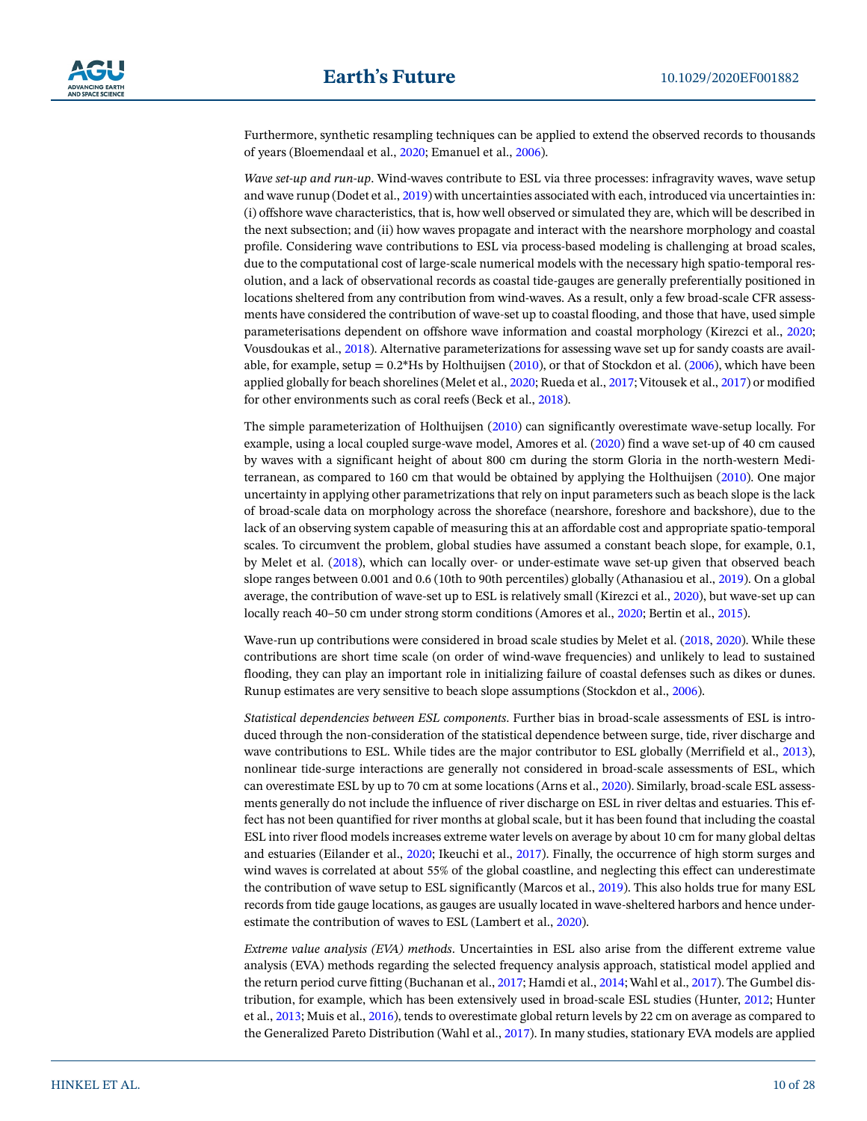Furthermore, synthetic resampling techniques can be applied to extend the observed records to thousands of years (Bloemendaal et al., [2020](#page-21-9); Emanuel et al., [2006](#page-22-10)).

*Wave set-up and run-up*. Wind-waves contribute to ESL via three processes: infragravity waves, wave setup and wave runup (Dodet et al., [2019](#page-22-11)) with uncertainties associated with each, introduced via uncertainties in: (i) offshore wave characteristics, that is, how well observed or simulated they are, which will be described in the next subsection; and (ii) how waves propagate and interact with the nearshore morphology and coastal profile. Considering wave contributions to ESL via process-based modeling is challenging at broad scales, due to the computational cost of large-scale numerical models with the necessary high spatio-temporal resolution, and a lack of observational records as coastal tide-gauges are generally preferentially positioned in locations sheltered from any contribution from wind-waves. As a result, only a few broad-scale CFR assessments have considered the contribution of wave-set up to coastal flooding, and those that have, used simple parameterisations dependent on offshore wave information and coastal morphology (Kirezci et al., [2020;](#page-23-8) Vousdoukas et al., [2018](#page-27-3)). Alternative parameterizations for assessing wave set up for sandy coasts are available, for example, setup  $= 0.2*$  Hs by Holthuijsen ([2010\)](#page-23-14), or that of Stockdon et al. ([2006\)](#page-26-15), which have been applied globally for beach shorelines (Melet et al., [2020](#page-24-14); Rueda et al., [2017;](#page-26-16) Vitousek et al., [2017](#page-27-4)) or modified for other environments such as coral reefs (Beck et al., [2018](#page-21-10)).

The simple parameterization of Holthuijsen ([2010\)](#page-23-14) can significantly overestimate wave-setup locally. For example, using a local coupled surge-wave model, Amores et al. [\(2020](#page-21-11)) find a wave set-up of 40 cm caused by waves with a significant height of about 800 cm during the storm Gloria in the north-western Mediterranean, as compared to 160 cm that would be obtained by applying the Holthuijsen [\(2010](#page-23-14)). One major uncertainty in applying other parametrizations that rely on input parameters such as beach slope is the lack of broad-scale data on morphology across the shoreface (nearshore, foreshore and backshore), due to the lack of an observing system capable of measuring this at an affordable cost and appropriate spatio-temporal scales. To circumvent the problem, global studies have assumed a constant beach slope, for example, 0.1, by Melet et al. [\(2018\)](#page-24-15), which can locally over- or under-estimate wave set-up given that observed beach slope ranges between 0.001 and 0.6 (10th to 90th percentiles) globally (Athanasiou et al., [2019](#page-21-12)). On a global average, the contribution of wave-set up to ESL is relatively small (Kirezci et al., [2020\)](#page-23-8), but wave-set up can locally reach 40–50 cm under strong storm conditions (Amores et al., [2020](#page-21-11); Bertin et al., [2015\)](#page-21-13).

Wave-run up contributions were considered in broad scale studies by Melet et al. ([2018](#page-24-15), [2020\)](#page-24-14). While these contributions are short time scale (on order of wind-wave frequencies) and unlikely to lead to sustained flooding, they can play an important role in initializing failure of coastal defenses such as dikes or dunes. Runup estimates are very sensitive to beach slope assumptions (Stockdon et al., [2006\)](#page-26-15).

*Statistical dependencies between ESL components*. Further bias in broad-scale assessments of ESL is introduced through the non-consideration of the statistical dependence between surge, tide, river discharge and wave contributions to ESL. While tides are the major contributor to ESL globally (Merrifield et al., [2013\)](#page-25-20), nonlinear tide-surge interactions are generally not considered in broad-scale assessments of ESL, which can overestimate ESL by up to 70 cm at some locations (Arns et al., [2020\)](#page-21-5). Similarly, broad-scale ESL assessments generally do not include the influence of river discharge on ESL in river deltas and estuaries. This effect has not been quantified for river months at global scale, but it has been found that including the coastal ESL into river flood models increases extreme water levels on average by about 10 cm for many global deltas and estuaries (Eilander et al., [2020](#page-22-12); Ikeuchi et al., [2017\)](#page-23-15). Finally, the occurrence of high storm surges and wind waves is correlated at about 55% of the global coastline, and neglecting this effect can underestimate the contribution of wave setup to ESL significantly (Marcos et al., [2019](#page-24-3)). This also holds true for many ESL records from tide gauge locations, as gauges are usually located in wave-sheltered harbors and hence underestimate the contribution of waves to ESL (Lambert et al., [2020\)](#page-24-16).

*Extreme value analysis (EVA) methods*. Uncertainties in ESL also arise from the different extreme value analysis (EVA) methods regarding the selected frequency analysis approach, statistical model applied and the return period curve fitting (Buchanan et al., [2017](#page-21-14); Hamdi et al., [2014](#page-23-16); Wahl et al., [2017](#page-27-1)). The Gumbel distribution, for example, which has been extensively used in broad-scale ESL studies (Hunter, [2012;](#page-23-17) Hunter et al., [2013;](#page-23-18) Muis et al., [2016](#page-25-18)), tends to overestimate global return levels by 22 cm on average as compared to the Generalized Pareto Distribution (Wahl et al., [2017](#page-27-1)). In many studies, stationary EVA models are applied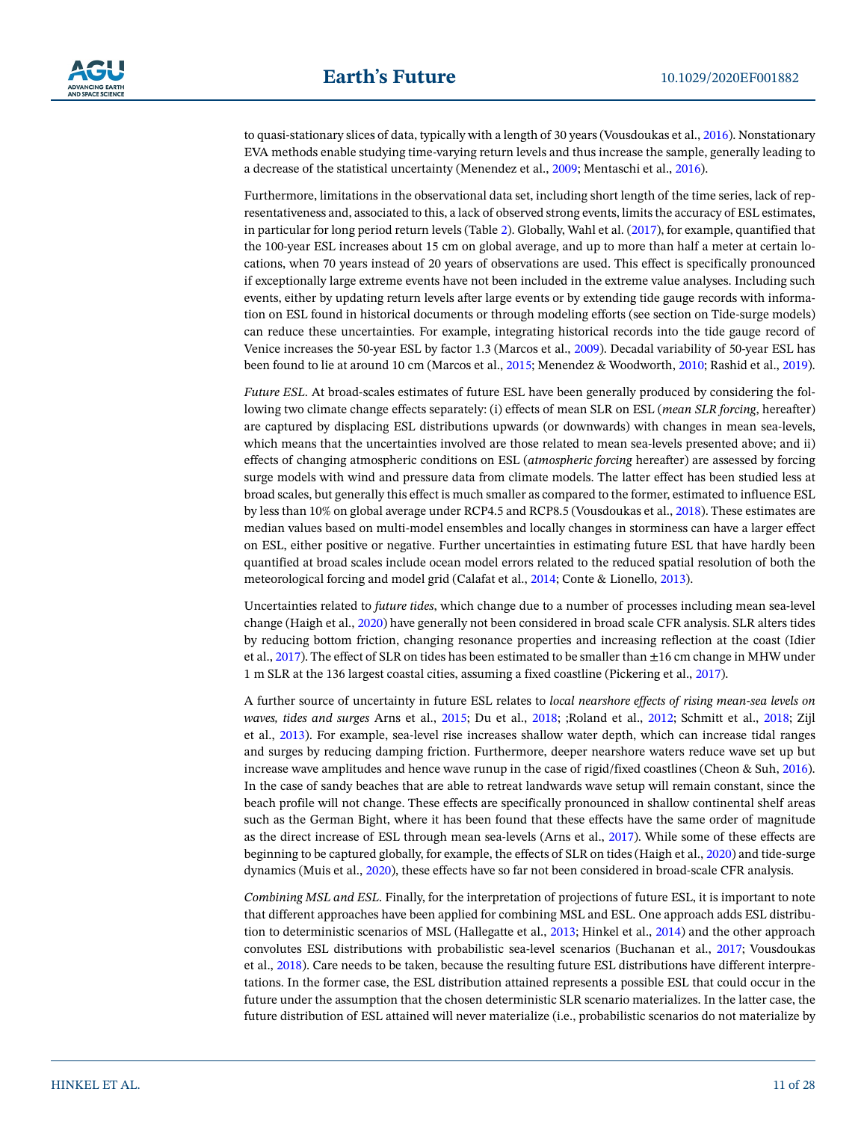to quasi-stationary slices of data, typically with a length of 30 years (Vousdoukas et al., [2016\)](#page-27-14). Nonstationary EVA methods enable studying time-varying return levels and thus increase the sample, generally leading to a decrease of the statistical uncertainty (Menendez et al., [2009;](#page-24-17) Mentaschi et al., [2016\)](#page-25-3).

Furthermore, limitations in the observational data set, including short length of the time series, lack of representativeness and, associated to this, a lack of observed strong events, limits the accuracy of ESL estimates, in particular for long period return levels (Table [2](#page-4-0)). Globally, Wahl et al. [\(2017\)](#page-27-1), for example, quantified that the 100-year ESL increases about 15 cm on global average, and up to more than half a meter at certain locations, when 70 years instead of 20 years of observations are used. This effect is specifically pronounced if exceptionally large extreme events have not been included in the extreme value analyses. Including such events, either by updating return levels after large events or by extending tide gauge records with information on ESL found in historical documents or through modeling efforts (see section on Tide-surge models) can reduce these uncertainties. For example, integrating historical records into the tide gauge record of Venice increases the 50-year ESL by factor 1.3 (Marcos et al., [2009\)](#page-24-18). Decadal variability of 50-year ESL has been found to lie at around 10 cm (Marcos et al., [2015;](#page-24-4) Menendez & Woodworth, [2010](#page-24-19); Rashid et al., [2019\)](#page-26-17).

*Future ESL*. At broad-scales estimates of future ESL have been generally produced by considering the following two climate change effects separately: (i) effects of mean SLR on ESL (*mean SLR forcing*, hereafter) are captured by displacing ESL distributions upwards (or downwards) with changes in mean sea-levels, which means that the uncertainties involved are those related to mean sea-levels presented above; and ii) effects of changing atmospheric conditions on ESL (*atmospheric forcing* hereafter) are assessed by forcing surge models with wind and pressure data from climate models. The latter effect has been studied less at broad scales, but generally this effect is much smaller as compared to the former, estimated to influence ESL by less than 10% on global average under RCP4.5 and RCP8.5 (Vousdoukas et al., [2018](#page-27-8)). These estimates are median values based on multi-model ensembles and locally changes in storminess can have a larger effect on ESL, either positive or negative. Further uncertainties in estimating future ESL that have hardly been quantified at broad scales include ocean model errors related to the reduced spatial resolution of both the meteorological forcing and model grid (Calafat et al., [2014;](#page-21-15) Conte & Lionello, [2013](#page-22-13)).

Uncertainties related to *future tides*, which change due to a number of processes including mean sea-level change (Haigh et al., [2020](#page-23-19)) have generally not been considered in broad scale CFR analysis. SLR alters tides by reducing bottom friction, changing resonance properties and increasing reflection at the coast (Idier et al., [2017](#page-23-20)). The effect of SLR on tides has been estimated to be smaller than  $\pm 16$  cm change in MHW under 1 m SLR at the 136 largest coastal cities, assuming a fixed coastline (Pickering et al., [2017](#page-25-21)).

A further source of uncertainty in future ESL relates to *local nearshore effects of rising mean-sea levels on waves, tides and surges* Arns et al., [2015;](#page-21-16) Du et al., [2018;](#page-22-14) ;Roland et al., [2012;](#page-26-18) Schmitt et al., [2018;](#page-26-19) Zijl et al., [2013](#page-27-15)). For example, sea-level rise increases shallow water depth, which can increase tidal ranges and surges by reducing damping friction. Furthermore, deeper nearshore waters reduce wave set up but increase wave amplitudes and hence wave runup in the case of rigid/fixed coastlines (Cheon & Suh, [2016\)](#page-21-17). In the case of sandy beaches that are able to retreat landwards wave setup will remain constant, since the beach profile will not change. These effects are specifically pronounced in shallow continental shelf areas such as the German Bight, where it has been found that these effects have the same order of magnitude as the direct increase of ESL through mean sea-levels (Arns et al., [2017\)](#page-21-18). While some of these effects are beginning to be captured globally, for example, the effects of SLR on tides (Haigh et al., [2020\)](#page-23-19) and tide-surge dynamics (Muis et al., [2020](#page-25-5)), these effects have so far not been considered in broad-scale CFR analysis.

*Combining MSL and ESL*. Finally, for the interpretation of projections of future ESL, it is important to note that different approaches have been applied for combining MSL and ESL. One approach adds ESL distribution to deterministic scenarios of MSL (Hallegatte et al., [2013;](#page-23-4) Hinkel et al., [2014](#page-23-5)) and the other approach convolutes ESL distributions with probabilistic sea-level scenarios (Buchanan et al., [2017](#page-21-14); Vousdoukas et al., [2018](#page-27-8)). Care needs to be taken, because the resulting future ESL distributions have different interpretations. In the former case, the ESL distribution attained represents a possible ESL that could occur in the future under the assumption that the chosen deterministic SLR scenario materializes. In the latter case, the future distribution of ESL attained will never materialize (i.e., probabilistic scenarios do not materialize by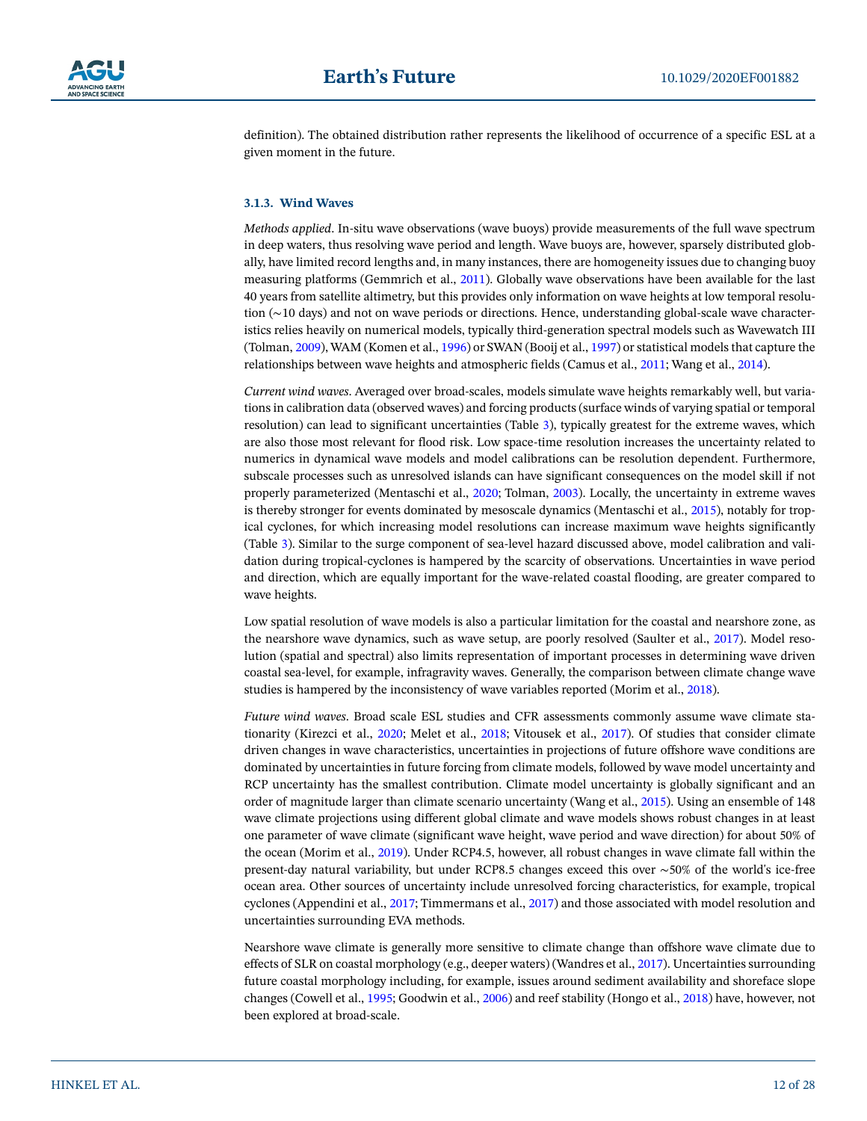

definition). The obtained distribution rather represents the likelihood of occurrence of a specific ESL at a given moment in the future.

## **3.1.3. Wind Waves**

*Methods applied*. In-situ wave observations (wave buoys) provide measurements of the full wave spectrum in deep waters, thus resolving wave period and length. Wave buoys are, however, sparsely distributed globally, have limited record lengths and, in many instances, there are homogeneity issues due to changing buoy measuring platforms (Gemmrich et al., [2011\)](#page-22-15). Globally wave observations have been available for the last 40 years from satellite altimetry, but this provides only information on wave heights at low temporal resolution (∼10 days) and not on wave periods or directions. Hence, understanding global-scale wave characteristics relies heavily on numerical models, typically third-generation spectral models such as Wavewatch III (Tolman, [2009\)](#page-26-20), WAM (Komen et al., [1996\)](#page-24-20) or SWAN (Booij et al., [1997](#page-21-19)) or statistical models that capture the relationships between wave heights and atmospheric fields (Camus et al., [2011](#page-21-20); Wang et al., [2014](#page-27-16)).

*Current wind waves*. Averaged over broad-scales, models simulate wave heights remarkably well, but variations in calibration data (observed waves) and forcing products (surface winds of varying spatial or temporal resolution) can lead to significant uncertainties (Table [3\)](#page-5-0), typically greatest for the extreme waves, which are also those most relevant for flood risk. Low space-time resolution increases the uncertainty related to numerics in dynamical wave models and model calibrations can be resolution dependent. Furthermore, subscale processes such as unresolved islands can have significant consequences on the model skill if not properly parameterized (Mentaschi et al., [2020;](#page-25-22) Tolman, [2003\)](#page-26-21). Locally, the uncertainty in extreme waves is thereby stronger for events dominated by mesoscale dynamics (Mentaschi et al., [2015\)](#page-24-21), notably for tropical cyclones, for which increasing model resolutions can increase maximum wave heights significantly (Table [3](#page-5-0)). Similar to the surge component of sea-level hazard discussed above, model calibration and validation during tropical-cyclones is hampered by the scarcity of observations. Uncertainties in wave period and direction, which are equally important for the wave-related coastal flooding, are greater compared to wave heights.

Low spatial resolution of wave models is also a particular limitation for the coastal and nearshore zone, as the nearshore wave dynamics, such as wave setup, are poorly resolved (Saulter et al., [2017](#page-26-22)). Model resolution (spatial and spectral) also limits representation of important processes in determining wave driven coastal sea-level, for example, infragravity waves. Generally, the comparison between climate change wave studies is hampered by the inconsistency of wave variables reported (Morim et al., [2018](#page-25-23)).

*Future wind waves*. Broad scale ESL studies and CFR assessments commonly assume wave climate stationarity (Kirezci et al., [2020;](#page-23-8) Melet et al., [2018;](#page-24-15) Vitousek et al., [2017\)](#page-27-4). Of studies that consider climate driven changes in wave characteristics, uncertainties in projections of future offshore wave conditions are dominated by uncertainties in future forcing from climate models, followed by wave model uncertainty and RCP uncertainty has the smallest contribution. Climate model uncertainty is globally significant and an order of magnitude larger than climate scenario uncertainty (Wang et al., [2015\)](#page-27-17). Using an ensemble of 148 wave climate projections using different global climate and wave models shows robust changes in at least one parameter of wave climate (significant wave height, wave period and wave direction) for about 50% of the ocean (Morim et al., [2019\)](#page-25-4). Under RCP4.5, however, all robust changes in wave climate fall within the present-day natural variability, but under RCP8.5 changes exceed this over ∼50% of the world's ice-free ocean area. Other sources of uncertainty include unresolved forcing characteristics, for example, tropical cyclones (Appendini et al., [2017](#page-21-21); Timmermans et al., [2017](#page-26-9)) and those associated with model resolution and uncertainties surrounding EVA methods.

Nearshore wave climate is generally more sensitive to climate change than offshore wave climate due to effects of SLR on coastal morphology (e.g., deeper waters) (Wandres et al., [2017](#page-27-18)). Uncertainties surrounding future coastal morphology including, for example, issues around sediment availability and shoreface slope changes (Cowell et al., [1995](#page-22-16); Goodwin et al., [2006\)](#page-22-17) and reef stability (Hongo et al., [2018](#page-23-21)) have, however, not been explored at broad-scale.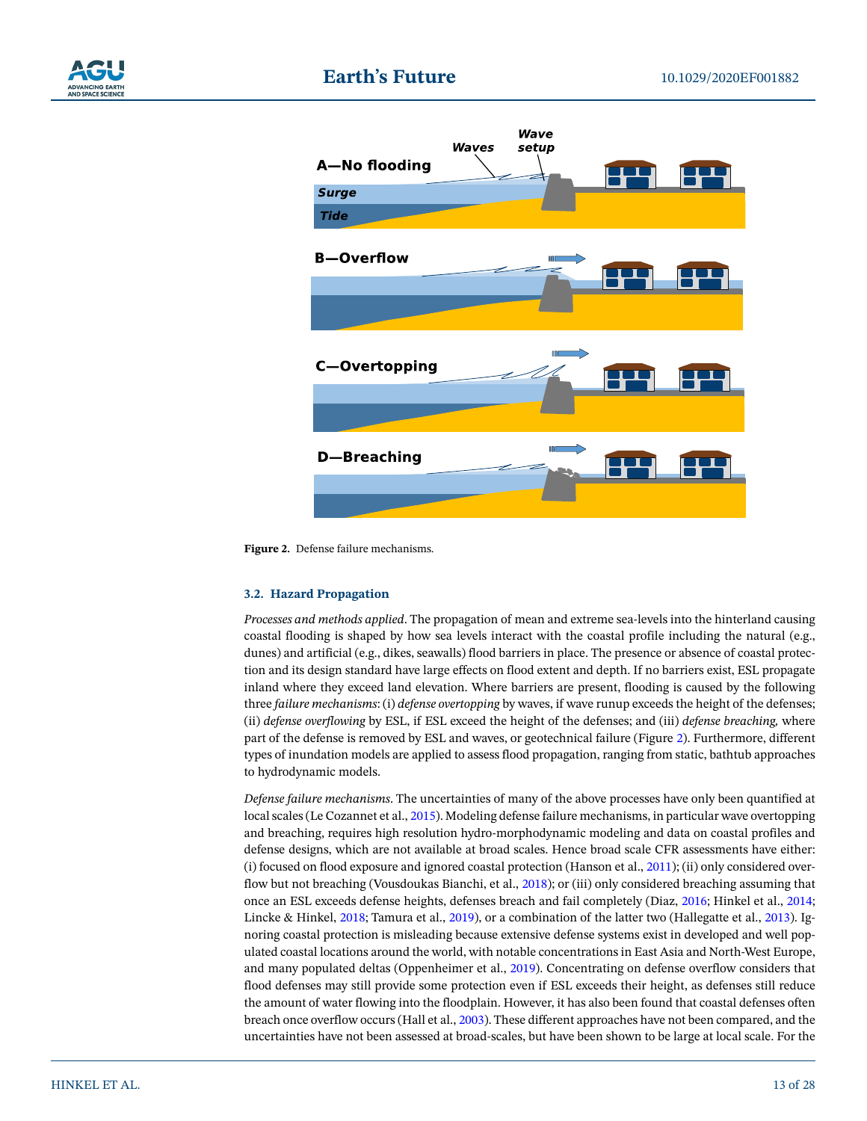



<span id="page-12-0"></span>**Figure 2.** Defense failure mechanisms.

#### <span id="page-12-1"></span>**3.2. Hazard Propagation**

*Processes and methods applied*. The propagation of mean and extreme sea-levels into the hinterland causing coastal flooding is shaped by how sea levels interact with the coastal profile including the natural (e.g., dunes) and artificial (e.g., dikes, seawalls) flood barriers in place. The presence or absence of coastal protection and its design standard have large effects on flood extent and depth. If no barriers exist, ESL propagate inland where they exceed land elevation. Where barriers are present, flooding is caused by the following three *failure mechanisms*: (i) *defense overtopping* by waves, if wave runup exceeds the height of the defenses; (ii) *defense overflowing* by ESL, if ESL exceed the height of the defenses; and (iii) *defense breaching,* where part of the defense is removed by ESL and waves, or geotechnical failure (Figure [2](#page-12-0)). Furthermore, different types of inundation models are applied to assess flood propagation, ranging from static, bathtub approaches to hydrodynamic models.

*Defense failure mechanisms*. The uncertainties of many of the above processes have only been quantified at local scales (Le Cozannet et al., [2015\)](#page-24-22). Modeling defense failure mechanisms, in particular wave overtopping and breaching, requires high resolution hydro-morphodynamic modeling and data on coastal profiles and defense designs, which are not available at broad scales. Hence broad scale CFR assessments have either: (i) focused on flood exposure and ignored coastal protection (Hanson et al., [2011\)](#page-23-22); (ii) only considered overflow but not breaching (Vousdoukas Bianchi, et al., [2018\)](#page-27-3); or (iii) only considered breaching assuming that once an ESL exceeds defense heights, defenses breach and fail completely (Diaz, [2016](#page-22-2); Hinkel et al., [2014;](#page-23-5) Lincke & Hinkel, [2018](#page-24-1); Tamura et al., [2019](#page-26-23)), or a combination of the latter two (Hallegatte et al., [2013](#page-23-4)). Ignoring coastal protection is misleading because extensive defense systems exist in developed and well populated coastal locations around the world, with notable concentrations in East Asia and North-West Europe, and many populated deltas (Oppenheimer et al., [2019](#page-25-6)). Concentrating on defense overflow considers that flood defenses may still provide some protection even if ESL exceeds their height, as defenses still reduce the amount of water flowing into the floodplain. However, it has also been found that coastal defenses often breach once overflow occurs (Hall et al., [2003](#page-23-23)). These different approaches have not been compared, and the uncertainties have not been assessed at broad-scales, but have been shown to be large at local scale. For the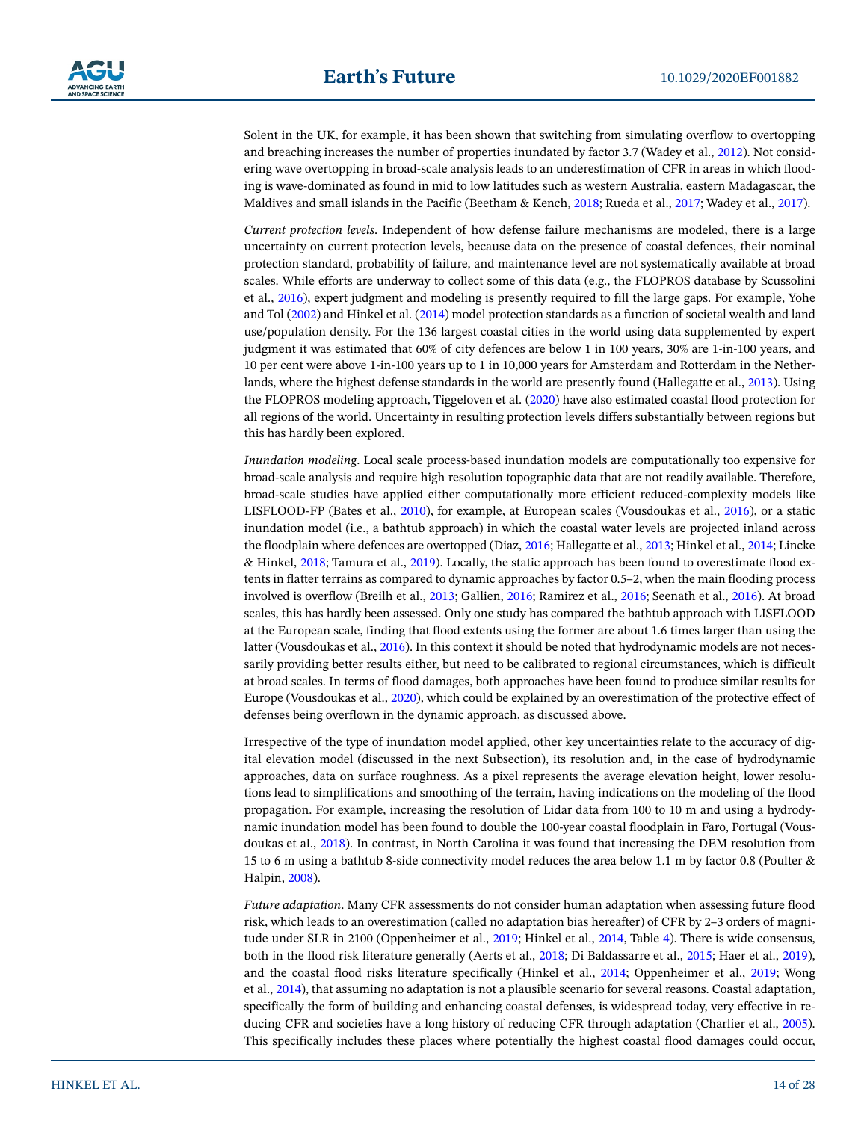Solent in the UK, for example, it has been shown that switching from simulating overflow to overtopping and breaching increases the number of properties inundated by factor 3.7 (Wadey et al., [2012\)](#page-27-19). Not considering wave overtopping in broad-scale analysis leads to an underestimation of CFR in areas in which flooding is wave-dominated as found in mid to low latitudes such as western Australia, eastern Madagascar, the Maldives and small islands in the Pacific (Beetham & Kench, [2018](#page-21-22); Rueda et al., [2017;](#page-26-16) Wadey et al., [2017](#page-27-20)).

*Current protection levels*. Independent of how defense failure mechanisms are modeled, there is a large uncertainty on current protection levels, because data on the presence of coastal defences, their nominal protection standard, probability of failure, and maintenance level are not systematically available at broad scales. While efforts are underway to collect some of this data (e.g., the FLOPROS database by Scussolini et al., [2016](#page-26-24)), expert judgment and modeling is presently required to fill the large gaps. For example, Yohe and Tol ([2002\)](#page-27-21) and Hinkel et al. [\(2014](#page-23-5)) model protection standards as a function of societal wealth and land use/population density. For the 136 largest coastal cities in the world using data supplemented by expert judgment it was estimated that 60% of city defences are below 1 in 100 years, 30% are 1-in-100 years, and 10 per cent were above 1-in-100 years up to 1 in 10,000 years for Amsterdam and Rotterdam in the Netherlands, where the highest defense standards in the world are presently found (Hallegatte et al., [2013](#page-23-4)). Using the FLOPROS modeling approach, Tiggeloven et al. [\(2020](#page-26-4)) have also estimated coastal flood protection for all regions of the world. Uncertainty in resulting protection levels differs substantially between regions but this has hardly been explored.

*Inundation modeling*. Local scale process-based inundation models are computationally too expensive for broad-scale analysis and require high resolution topographic data that are not readily available. Therefore, broad-scale studies have applied either computationally more efficient reduced-complexity models like LISFLOOD-FP (Bates et al., [2010\)](#page-21-23), for example, at European scales (Vousdoukas et al., [2016\)](#page-27-10), or a static inundation model (i.e., a bathtub approach) in which the coastal water levels are projected inland across the floodplain where defences are overtopped (Diaz, [2016;](#page-22-2) Hallegatte et al., [2013;](#page-23-4) Hinkel et al., [2014](#page-23-5); Lincke & Hinkel, [2018](#page-24-1); Tamura et al., [2019\)](#page-26-23). Locally, the static approach has been found to overestimate flood extents in flatter terrains as compared to dynamic approaches by factor 0.5–2, when the main flooding process involved is overflow (Breilh et al., [2013](#page-21-24); Gallien, [2016](#page-22-18); Ramirez et al., [2016](#page-26-25); Seenath et al., [2016\)](#page-26-26). At broad scales, this has hardly been assessed. Only one study has compared the bathtub approach with LISFLOOD at the European scale, finding that flood extents using the former are about 1.6 times larger than using the latter (Vousdoukas et al., [2016](#page-27-10)). In this context it should be noted that hydrodynamic models are not necessarily providing better results either, but need to be calibrated to regional circumstances, which is difficult at broad scales. In terms of flood damages, both approaches have been found to produce similar results for Europe (Vousdoukas et al., [2020](#page-27-2)), which could be explained by an overestimation of the protective effect of defenses being overflown in the dynamic approach, as discussed above.

Irrespective of the type of inundation model applied, other key uncertainties relate to the accuracy of digital elevation model (discussed in the next Subsection), its resolution and, in the case of hydrodynamic approaches, data on surface roughness. As a pixel represents the average elevation height, lower resolutions lead to simplifications and smoothing of the terrain, having indications on the modeling of the flood propagation. For example, increasing the resolution of Lidar data from 100 to 10 m and using a hydrodynamic inundation model has been found to double the 100-year coastal floodplain in Faro, Portugal (Vousdoukas et al., [2018](#page-27-22)). In contrast, in North Carolina it was found that increasing the DEM resolution from 15 to 6 m using a bathtub 8-side connectivity model reduces the area below 1.1 m by factor 0.8 (Poulter & Halpin, [2008](#page-25-24)).

*Future adaptation*. Many CFR assessments do not consider human adaptation when assessing future flood risk, which leads to an overestimation (called no adaptation bias hereafter) of CFR by 2–3 orders of magnitude under SLR in 2100 (Oppenheimer et al., [2019;](#page-25-6) Hinkel et al., [2014,](#page-23-5) Table [4\)](#page-6-0). There is wide consensus, both in the flood risk literature generally (Aerts et al., [2018;](#page-20-4) Di Baldassarre et al., [2015](#page-22-19); Haer et al., [2019\)](#page-22-20), and the coastal flood risks literature specifically (Hinkel et al., [2014](#page-23-5); Oppenheimer et al., [2019](#page-25-6); Wong et al., [2014\)](#page-27-7), that assuming no adaptation is not a plausible scenario for several reasons. Coastal adaptation, specifically the form of building and enhancing coastal defenses, is widespread today, very effective in re-ducing CFR and societies have a long history of reducing CFR through adaptation (Charlier et al., [2005\)](#page-21-25). This specifically includes these places where potentially the highest coastal flood damages could occur,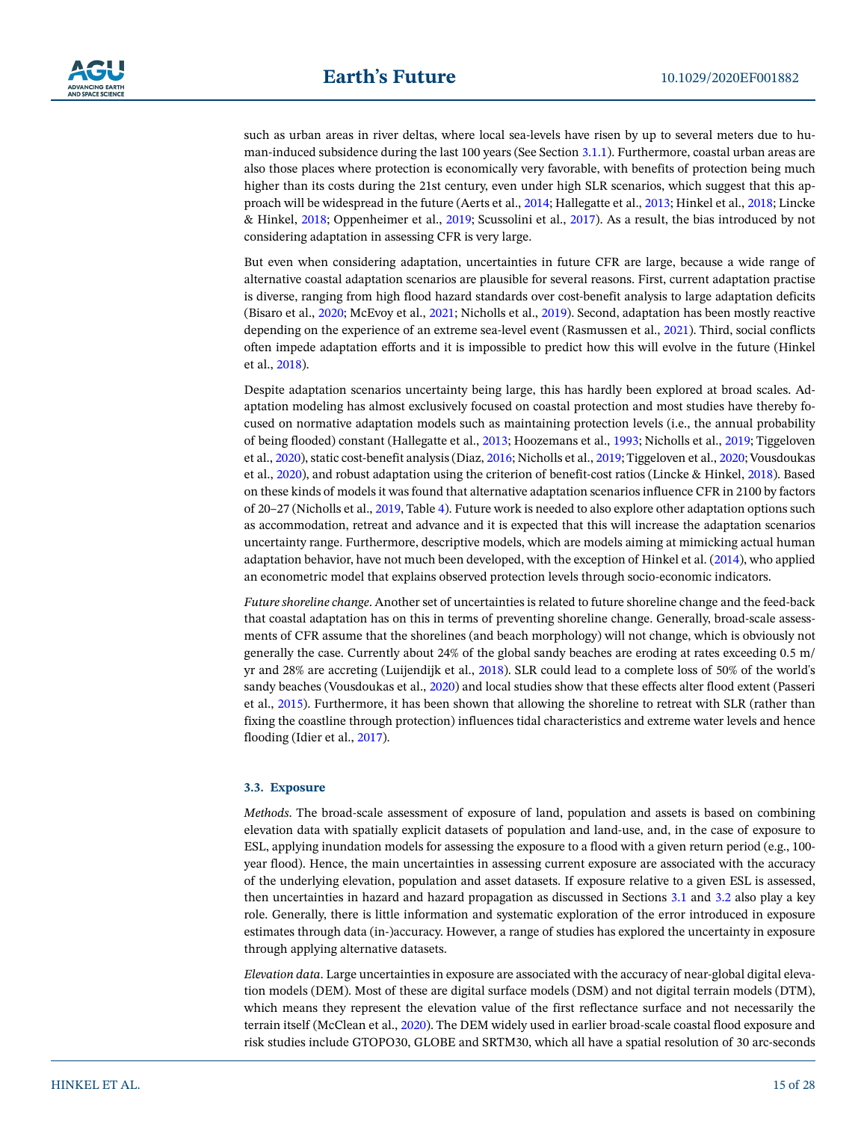

such as urban areas in river deltas, where local sea-levels have risen by up to several meters due to human-induced subsidence during the last 100 years (See Section [3.1.1\)](#page-6-1). Furthermore, coastal urban areas are also those places where protection is economically very favorable, with benefits of protection being much higher than its costs during the 21st century, even under high SLR scenarios, which suggest that this approach will be widespread in the future (Aerts et al., [2014](#page-20-3); Hallegatte et al., [2013](#page-23-4); Hinkel et al., [2018;](#page-23-24) Lincke & Hinkel, [2018;](#page-24-1) Oppenheimer et al., [2019](#page-25-6); Scussolini et al., [2017\)](#page-26-27). As a result, the bias introduced by not considering adaptation in assessing CFR is very large.

But even when considering adaptation, uncertainties in future CFR are large, because a wide range of alternative coastal adaptation scenarios are plausible for several reasons. First, current adaptation practise is diverse, ranging from high flood hazard standards over cost-benefit analysis to large adaptation deficits (Bisaro et al., [2020;](#page-21-26) McEvoy et al., [2021](#page-24-23); Nicholls et al., [2019](#page-25-14)). Second, adaptation has been mostly reactive depending on the experience of an extreme sea-level event (Rasmussen et al., [2021\)](#page-26-28). Third, social conflicts often impede adaptation efforts and it is impossible to predict how this will evolve in the future (Hinkel et al., [2018](#page-23-24)).

Despite adaptation scenarios uncertainty being large, this has hardly been explored at broad scales. Adaptation modeling has almost exclusively focused on coastal protection and most studies have thereby focused on normative adaptation models such as maintaining protection levels (i.e., the annual probability of being flooded) constant (Hallegatte et al., [2013;](#page-23-4) Hoozemans et al., [1993](#page-23-25); Nicholls et al., [2019](#page-25-14); Tiggeloven et al., [2020](#page-26-4)), static cost-benefit analysis (Diaz, [2016;](#page-22-2) Nicholls et al., [2019;](#page-25-14) Tiggeloven et al., [2020](#page-26-4); Vousdoukas et al., [2020](#page-27-2)), and robust adaptation using the criterion of benefit-cost ratios (Lincke & Hinkel, [2018](#page-24-1)). Based on these kinds of models it was found that alternative adaptation scenarios influence CFR in 2100 by factors of 20–27 (Nicholls et al., [2019](#page-25-14), Table [4](#page-6-0)). Future work is needed to also explore other adaptation options such as accommodation, retreat and advance and it is expected that this will increase the adaptation scenarios uncertainty range. Furthermore, descriptive models, which are models aiming at mimicking actual human adaptation behavior, have not much been developed, with the exception of Hinkel et al. ([2014](#page-23-5)), who applied an econometric model that explains observed protection levels through socio-economic indicators.

*Future shoreline change*. Another set of uncertainties is related to future shoreline change and the feed-back that coastal adaptation has on this in terms of preventing shoreline change. Generally, broad-scale assessments of CFR assume that the shorelines (and beach morphology) will not change, which is obviously not generally the case. Currently about 24% of the global sandy beaches are eroding at rates exceeding 0.5 m/ yr and 28% are accreting (Luijendijk et al., [2018\)](#page-24-24). SLR could lead to a complete loss of 50% of the world's sandy beaches (Vousdoukas et al., [2020](#page-27-23)) and local studies show that these effects alter flood extent (Passeri et al., [2015](#page-25-25)). Furthermore, it has been shown that allowing the shoreline to retreat with SLR (rather than fixing the coastline through protection) influences tidal characteristics and extreme water levels and hence flooding (Idier et al., [2017](#page-23-20)).

#### **3.3. Exposure**

*Methods*. The broad-scale assessment of exposure of land, population and assets is based on combining elevation data with spatially explicit datasets of population and land-use, and, in the case of exposure to ESL, applying inundation models for assessing the exposure to a flood with a given return period (e.g., 100 year flood). Hence, the main uncertainties in assessing current exposure are associated with the accuracy of the underlying elevation, population and asset datasets. If exposure relative to a given ESL is assessed, then uncertainties in hazard and hazard propagation as discussed in Sections [3.1](#page-6-2) and [3.2](#page-12-1) also play a key role. Generally, there is little information and systematic exploration of the error introduced in exposure estimates through data (in-)accuracy. However, a range of studies has explored the uncertainty in exposure through applying alternative datasets.

*Elevation data*. Large uncertainties in exposure are associated with the accuracy of near-global digital elevation models (DEM). Most of these are digital surface models (DSM) and not digital terrain models (DTM), which means they represent the elevation value of the first reflectance surface and not necessarily the terrain itself (McClean et al., [2020](#page-24-25)). The DEM widely used in earlier broad-scale coastal flood exposure and risk studies include GTOPO30, GLOBE and SRTM30, which all have a spatial resolution of 30 arc-seconds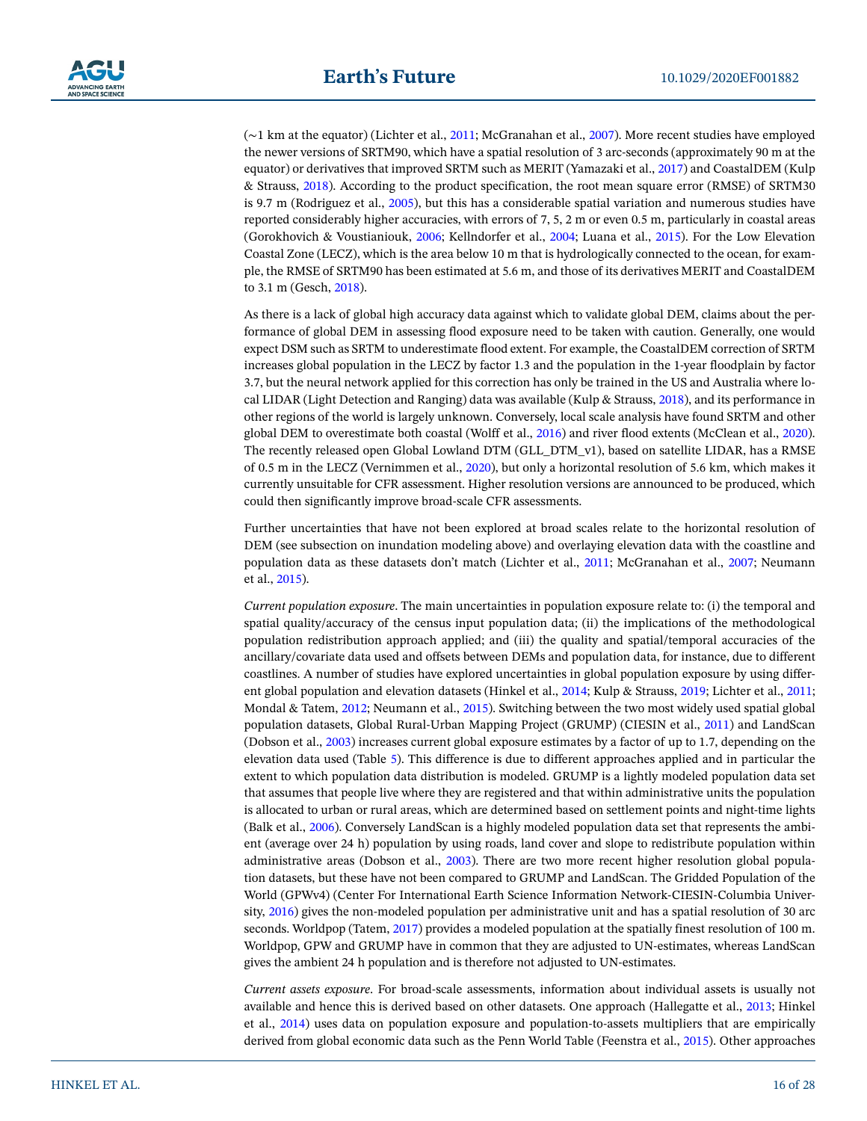

(∼1 km at the equator) (Lichter et al., [2011;](#page-24-10) McGranahan et al., [2007\)](#page-24-26). More recent studies have employed the newer versions of SRTM90, which have a spatial resolution of 3 arc-seconds (approximately 90 m at the equator) or derivatives that improved SRTM such as MERIT (Yamazaki et al., [2017\)](#page-27-24) and CoastalDEM (Kulp & Strauss, [2018](#page-24-12)). According to the product specification, the root mean square error (RMSE) of SRTM30 is 9.7 m (Rodriguez et al., [2005](#page-26-29)), but this has a considerable spatial variation and numerous studies have reported considerably higher accuracies, with errors of 7, 5, 2 m or even 0.5 m, particularly in coastal areas (Gorokhovich & Voustianiouk, [2006;](#page-22-21) Kellndorfer et al., [2004](#page-23-26); Luana et al., [2015\)](#page-24-27). For the Low Elevation Coastal Zone (LECZ), which is the area below 10 m that is hydrologically connected to the ocean, for example, the RMSE of SRTM90 has been estimated at 5.6 m, and those of its derivatives MERIT and CoastalDEM to 3.1 m (Gesch, [2018](#page-22-22)).

As there is a lack of global high accuracy data against which to validate global DEM, claims about the performance of global DEM in assessing flood exposure need to be taken with caution. Generally, one would expect DSM such as SRTM to underestimate flood extent. For example, the CoastalDEM correction of SRTM increases global population in the LECZ by factor 1.3 and the population in the 1-year floodplain by factor 3.7, but the neural network applied for this correction has only be trained in the US and Australia where local LIDAR (Light Detection and Ranging) data was available (Kulp & Strauss, [2018](#page-24-12)), and its performance in other regions of the world is largely unknown. Conversely, local scale analysis have found SRTM and other global DEM to overestimate both coastal (Wolff et al., [2016\)](#page-27-25) and river flood extents (McClean et al., [2020\)](#page-24-25). The recently released open Global Lowland DTM (GLL\_DTM\_v1), based on satellite LIDAR, has a RMSE of 0.5 m in the LECZ (Vernimmen et al., [2020\)](#page-27-12), but only a horizontal resolution of 5.6 km, which makes it currently unsuitable for CFR assessment. Higher resolution versions are announced to be produced, which could then significantly improve broad-scale CFR assessments.

Further uncertainties that have not been explored at broad scales relate to the horizontal resolution of DEM (see subsection on inundation modeling above) and overlaying elevation data with the coastline and population data as these datasets don't match (Lichter et al., [2011;](#page-24-10) McGranahan et al., [2007](#page-24-26); Neumann et al., [2015](#page-25-26)).

*Current population exposure*. The main uncertainties in population exposure relate to: (i) the temporal and spatial quality/accuracy of the census input population data; (ii) the implications of the methodological population redistribution approach applied; and (iii) the quality and spatial/temporal accuracies of the ancillary/covariate data used and offsets between DEMs and population data, for instance, due to different coastlines. A number of studies have explored uncertainties in global population exposure by using different global population and elevation datasets (Hinkel et al., [2014;](#page-23-5) Kulp & Strauss, [2019;](#page-24-11) Lichter et al., [2011;](#page-24-10) Mondal & Tatem, [2012](#page-25-27); Neumann et al., [2015\)](#page-25-26). Switching between the two most widely used spatial global population datasets, Global Rural-Urban Mapping Project (GRUMP) (CIESIN et al., [2011](#page-22-23)) and LandScan (Dobson et al., [2003\)](#page-22-24) increases current global exposure estimates by a factor of up to 1.7, depending on the elevation data used (Table [5](#page-7-0)). This difference is due to different approaches applied and in particular the extent to which population data distribution is modeled. GRUMP is a lightly modeled population data set that assumes that people live where they are registered and that within administrative units the population is allocated to urban or rural areas, which are determined based on settlement points and night-time lights (Balk et al., [2006](#page-21-27)). Conversely LandScan is a highly modeled population data set that represents the ambient (average over 24 h) population by using roads, land cover and slope to redistribute population within administrative areas (Dobson et al., [2003\)](#page-22-24). There are two more recent higher resolution global population datasets, but these have not been compared to GRUMP and LandScan. The Gridded Population of the World (GPWv4) (Center For International Earth Science Information Network-CIESIN-Columbia University, [2016\)](#page-21-28) gives the non-modeled population per administrative unit and has a spatial resolution of 30 arc seconds. Worldpop (Tatem, [2017](#page-26-30)) provides a modeled population at the spatially finest resolution of 100 m. Worldpop, GPW and GRUMP have in common that they are adjusted to UN-estimates, whereas LandScan gives the ambient 24 h population and is therefore not adjusted to UN-estimates.

*Current assets exposure*. For broad-scale assessments, information about individual assets is usually not available and hence this is derived based on other datasets. One approach (Hallegatte et al., [2013](#page-23-4); Hinkel et al., [2014\)](#page-23-5) uses data on population exposure and population-to-assets multipliers that are empirically derived from global economic data such as the Penn World Table (Feenstra et al., [2015\)](#page-22-25). Other approaches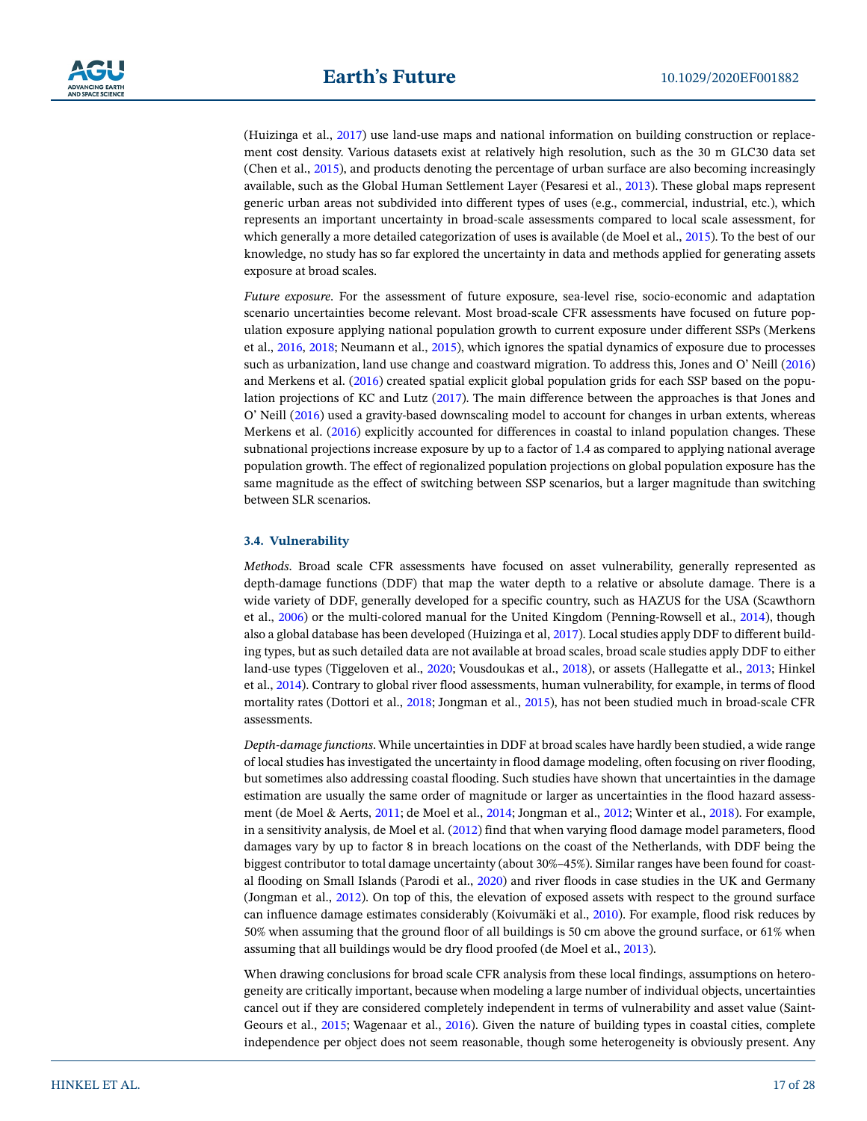

(Huizinga et al., [2017\)](#page-23-3) use land-use maps and national information on building construction or replacement cost density. Various datasets exist at relatively high resolution, such as the 30 m GLC30 data set (Chen et al., [2015\)](#page-21-29), and products denoting the percentage of urban surface are also becoming increasingly available, such as the Global Human Settlement Layer (Pesaresi et al., [2013\)](#page-25-28). These global maps represent generic urban areas not subdivided into different types of uses (e.g., commercial, industrial, etc.), which represents an important uncertainty in broad-scale assessments compared to local scale assessment, for which generally a more detailed categorization of uses is available (de Moel et al., [2015](#page-22-1)). To the best of our knowledge, no study has so far explored the uncertainty in data and methods applied for generating assets exposure at broad scales.

*Future exposure*. For the assessment of future exposure, sea-level rise, socio-economic and adaptation scenario uncertainties become relevant. Most broad-scale CFR assessments have focused on future population exposure applying national population growth to current exposure under different SSPs (Merkens et al., [2016,](#page-25-2) [2018](#page-25-16); Neumann et al., [2015\)](#page-25-26), which ignores the spatial dynamics of exposure due to processes such as urbanization, land use change and coastward migration. To address this, Jones and O' Neill [\(2016\)](#page-23-10) and Merkens et al. ([2016\)](#page-25-2) created spatial explicit global population grids for each SSP based on the population projections of KC and Lutz [\(2017](#page-23-27)). The main difference between the approaches is that Jones and O' Neill [\(2016\)](#page-23-10) used a gravity-based downscaling model to account for changes in urban extents, whereas Merkens et al. [\(2016\)](#page-25-2) explicitly accounted for differences in coastal to inland population changes. These subnational projections increase exposure by up to a factor of 1.4 as compared to applying national average population growth. The effect of regionalized population projections on global population exposure has the same magnitude as the effect of switching between SSP scenarios, but a larger magnitude than switching between SLR scenarios.

#### **3.4. Vulnerability**

*Methods*. Broad scale CFR assessments have focused on asset vulnerability, generally represented as depth-damage functions (DDF) that map the water depth to a relative or absolute damage. There is a wide variety of DDF, generally developed for a specific country, such as HAZUS for the USA (Scawthorn et al., [2006](#page-26-31)) or the multi-colored manual for the United Kingdom (Penning-Rowsell et al., [2014\)](#page-25-29), though also a global database has been developed (Huizinga et al, [2017\)](#page-23-3). Local studies apply DDF to different building types, but as such detailed data are not available at broad scales, broad scale studies apply DDF to either land-use types (Tiggeloven et al., [2020;](#page-26-4) Vousdoukas et al., [2018](#page-27-3)), or assets (Hallegatte et al., [2013;](#page-23-4) Hinkel et al., [2014](#page-23-5)). Contrary to global river flood assessments, human vulnerability, for example, in terms of flood mortality rates (Dottori et al., [2018](#page-22-26); Jongman et al., [2015\)](#page-23-28), has not been studied much in broad-scale CFR assessments.

*Depth-damage functions*. While uncertainties in DDF at broad scales have hardly been studied, a wide range of local studies has investigated the uncertainty in flood damage modeling, often focusing on river flooding, but sometimes also addressing coastal flooding. Such studies have shown that uncertainties in the damage estimation are usually the same order of magnitude or larger as uncertainties in the flood hazard assessment (de Moel & Aerts, [2011;](#page-22-27) de Moel et al., [2014;](#page-22-28) Jongman et al., [2012](#page-23-13); Winter et al., [2018\)](#page-27-26). For example, in a sensitivity analysis, de Moel et al. ([2012](#page-22-8)) find that when varying flood damage model parameters, flood damages vary by up to factor 8 in breach locations on the coast of the Netherlands, with DDF being the biggest contributor to total damage uncertainty (about 30%–45%). Similar ranges have been found for coastal flooding on Small Islands (Parodi et al., [2020](#page-25-19)) and river floods in case studies in the UK and Germany (Jongman et al., [2012](#page-23-13)). On top of this, the elevation of exposed assets with respect to the ground surface can influence damage estimates considerably (Koivumäki et al., [2010\)](#page-24-28). For example, flood risk reduces by 50% when assuming that the ground floor of all buildings is 50 cm above the ground surface, or 61% when assuming that all buildings would be dry flood proofed (de Moel et al., [2013](#page-22-9)).

When drawing conclusions for broad scale CFR analysis from these local findings, assumptions on heterogeneity are critically important, because when modeling a large number of individual objects, uncertainties cancel out if they are considered completely independent in terms of vulnerability and asset value (Saint-Geours et al., [2015;](#page-26-32) Wagenaar et al., [2016\)](#page-27-27). Given the nature of building types in coastal cities, complete independence per object does not seem reasonable, though some heterogeneity is obviously present. Any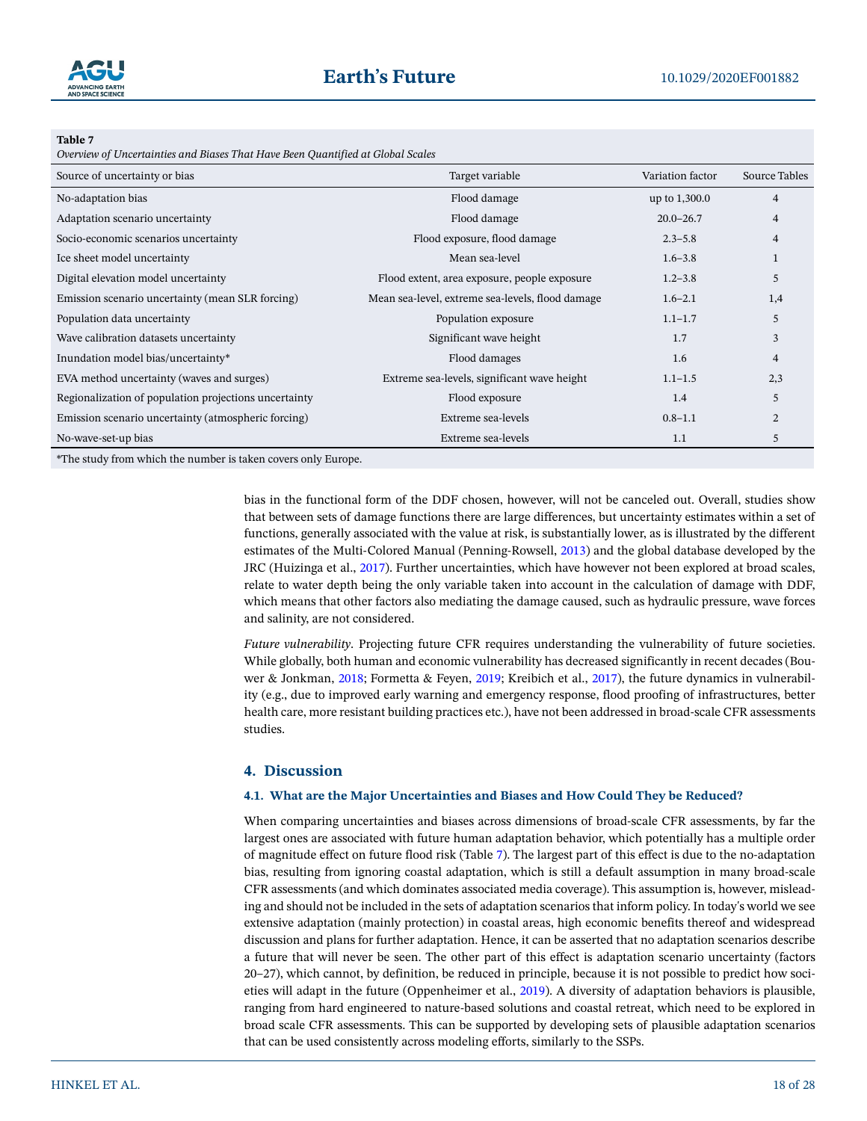

<span id="page-17-0"></span>*Overview of Uncertainties and Biases That Have Been Quantified at Global Scales*

| Source of uncertainty or bias                         | Target variable                                  | Variation factor | <b>Source Tables</b> |
|-------------------------------------------------------|--------------------------------------------------|------------------|----------------------|
| No-adaptation bias                                    | Flood damage                                     | up to 1,300.0    | $\overline{4}$       |
| Adaptation scenario uncertainty                       | Flood damage                                     | $20.0 - 26.7$    | 4                    |
| Socio-economic scenarios uncertainty                  | Flood exposure, flood damage                     | $2.3 - 5.8$      | 4                    |
| Ice sheet model uncertainty                           | Mean sea-level                                   | $1.6 - 3.8$      |                      |
| Digital elevation model uncertainty                   | Flood extent, area exposure, people exposure     | $1.2 - 3.8$      | 5                    |
| Emission scenario uncertainty (mean SLR forcing)      | Mean sea-level, extreme sea-levels, flood damage | $1.6 - 2.1$      | 1,4                  |
| Population data uncertainty                           | Population exposure                              | $1.1 - 1.7$      | 5                    |
| Wave calibration datasets uncertainty                 | Significant wave height                          | 1.7              | 3                    |
| Inundation model bias/uncertainty*                    | Flood damages                                    | 1.6              | 4                    |
| EVA method uncertainty (waves and surges)             | Extreme sea-levels, significant wave height      | $1.1 - 1.5$      | 2,3                  |
| Regionalization of population projections uncertainty | Flood exposure                                   | 1.4              | 5                    |
| Emission scenario uncertainty (atmospheric forcing)   | Extreme sea-levels                               | $0.8 - 1.1$      | $\overline{c}$       |
| No-wave-set-up bias                                   | Extreme sea-levels                               | 1.1              | 5                    |
|                                                       |                                                  |                  |                      |

\*The study from which the number is taken covers only Europe.

bias in the functional form of the DDF chosen, however, will not be canceled out. Overall, studies show that between sets of damage functions there are large differences, but uncertainty estimates within a set of functions, generally associated with the value at risk, is substantially lower, as is illustrated by the different estimates of the Multi-Colored Manual (Penning-Rowsell, [2013\)](#page-25-30) and the global database developed by the JRC (Huizinga et al., [2017](#page-23-3)). Further uncertainties, which have however not been explored at broad scales, relate to water depth being the only variable taken into account in the calculation of damage with DDF, which means that other factors also mediating the damage caused, such as hydraulic pressure, wave forces and salinity, are not considered.

*Future vulnerability*. Projecting future CFR requires understanding the vulnerability of future societies. While globally, both human and economic vulnerability has decreased significantly in recent decades (Bouwer & Jonkman, [2018;](#page-21-30) Formetta & Feyen, [2019;](#page-22-29) Kreibich et al., [2017](#page-24-29)), the future dynamics in vulnerability (e.g., due to improved early warning and emergency response, flood proofing of infrastructures, better health care, more resistant building practices etc.), have not been addressed in broad-scale CFR assessments studies.

# **4. Discussion**

#### **4.1. What are the Major Uncertainties and Biases and How Could They be Reduced?**

When comparing uncertainties and biases across dimensions of broad-scale CFR assessments, by far the largest ones are associated with future human adaptation behavior, which potentially has a multiple order of magnitude effect on future flood risk (Table [7](#page-17-0)). The largest part of this effect is due to the no-adaptation bias, resulting from ignoring coastal adaptation, which is still a default assumption in many broad-scale CFR assessments (and which dominates associated media coverage). This assumption is, however, misleading and should not be included in the sets of adaptation scenarios that inform policy. In today's world we see extensive adaptation (mainly protection) in coastal areas, high economic benefits thereof and widespread discussion and plans for further adaptation. Hence, it can be asserted that no adaptation scenarios describe a future that will never be seen. The other part of this effect is adaptation scenario uncertainty (factors 20–27), which cannot, by definition, be reduced in principle, because it is not possible to predict how societies will adapt in the future (Oppenheimer et al., [2019](#page-25-6)). A diversity of adaptation behaviors is plausible, ranging from hard engineered to nature-based solutions and coastal retreat, which need to be explored in broad scale CFR assessments. This can be supported by developing sets of plausible adaptation scenarios that can be used consistently across modeling efforts, similarly to the SSPs.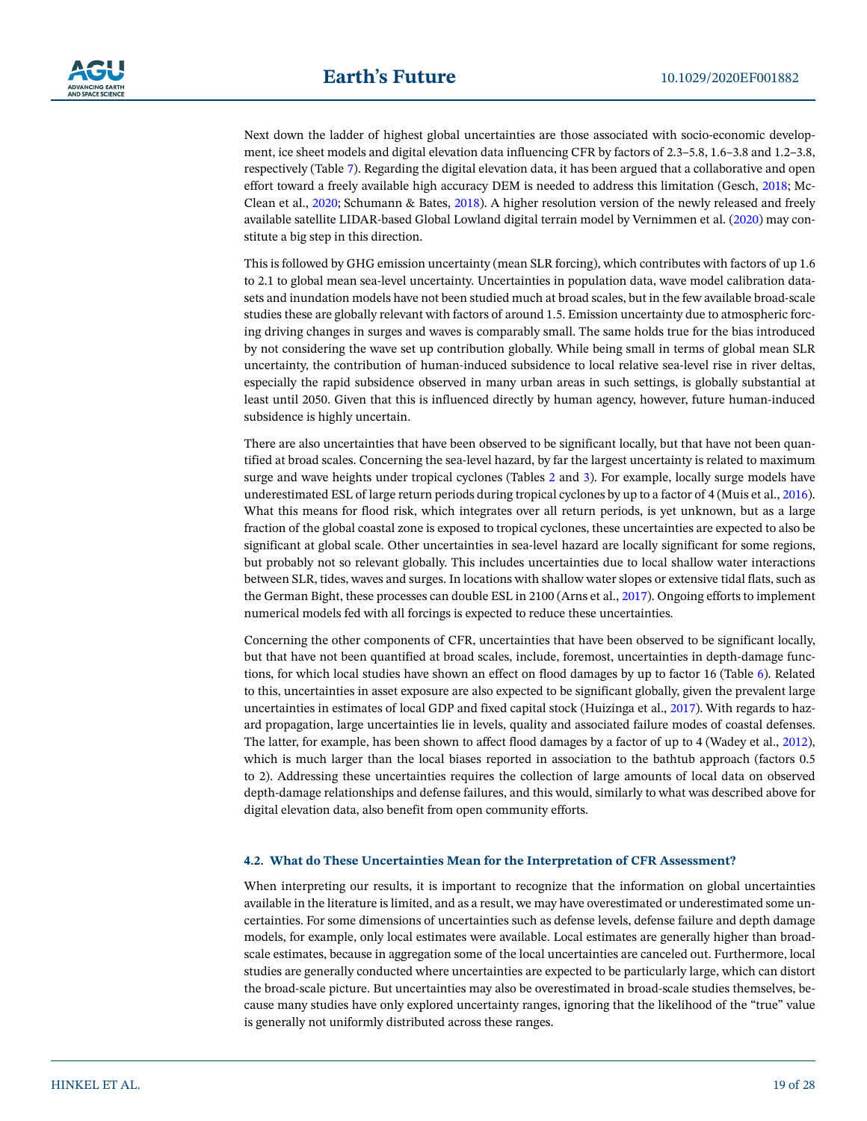Next down the ladder of highest global uncertainties are those associated with socio-economic development, ice sheet models and digital elevation data influencing CFR by factors of 2.3–5.8, 1.6–3.8 and 1.2–3.8, respectively (Table [7\)](#page-17-0). Regarding the digital elevation data, it has been argued that a collaborative and open effort toward a freely available high accuracy DEM is needed to address this limitation (Gesch, [2018](#page-22-22); Mc-Clean et al., [2020;](#page-24-25) Schumann & Bates, [2018\)](#page-26-33). A higher resolution version of the newly released and freely available satellite LIDAR-based Global Lowland digital terrain model by Vernimmen et al. [\(2020\)](#page-27-12) may constitute a big step in this direction.

This is followed by GHG emission uncertainty (mean SLR forcing), which contributes with factors of up 1.6 to 2.1 to global mean sea-level uncertainty. Uncertainties in population data, wave model calibration datasets and inundation models have not been studied much at broad scales, but in the few available broad-scale studies these are globally relevant with factors of around 1.5. Emission uncertainty due to atmospheric forcing driving changes in surges and waves is comparably small. The same holds true for the bias introduced by not considering the wave set up contribution globally. While being small in terms of global mean SLR uncertainty, the contribution of human-induced subsidence to local relative sea-level rise in river deltas, especially the rapid subsidence observed in many urban areas in such settings, is globally substantial at least until 2050. Given that this is influenced directly by human agency, however, future human-induced subsidence is highly uncertain.

There are also uncertainties that have been observed to be significant locally, but that have not been quantified at broad scales. Concerning the sea-level hazard, by far the largest uncertainty is related to maximum surge and wave heights under tropical cyclones (Tables [2](#page-4-0) and [3\)](#page-5-0). For example, locally surge models have underestimated ESL of large return periods during tropical cyclones by up to a factor of 4 (Muis et al., [2016\)](#page-25-18). What this means for flood risk, which integrates over all return periods, is yet unknown, but as a large fraction of the global coastal zone is exposed to tropical cyclones, these uncertainties are expected to also be significant at global scale. Other uncertainties in sea-level hazard are locally significant for some regions, but probably not so relevant globally. This includes uncertainties due to local shallow water interactions between SLR, tides, waves and surges. In locations with shallow water slopes or extensive tidal flats, such as the German Bight, these processes can double ESL in 2100 (Arns et al., [2017](#page-21-18)). Ongoing efforts to implement numerical models fed with all forcings is expected to reduce these uncertainties.

Concerning the other components of CFR, uncertainties that have been observed to be significant locally, but that have not been quantified at broad scales, include, foremost, uncertainties in depth-damage functions, for which local studies have shown an effect on flood damages by up to factor 16 (Table [6\)](#page-8-0). Related to this, uncertainties in asset exposure are also expected to be significant globally, given the prevalent large uncertainties in estimates of local GDP and fixed capital stock (Huizinga et al., [2017](#page-23-3)). With regards to hazard propagation, large uncertainties lie in levels, quality and associated failure modes of coastal defenses. The latter, for example, has been shown to affect flood damages by a factor of up to 4 (Wadey et al., [2012\)](#page-27-19), which is much larger than the local biases reported in association to the bathtub approach (factors 0.5 to 2). Addressing these uncertainties requires the collection of large amounts of local data on observed depth-damage relationships and defense failures, and this would, similarly to what was described above for digital elevation data, also benefit from open community efforts.

#### **4.2. What do These Uncertainties Mean for the Interpretation of CFR Assessment?**

When interpreting our results, it is important to recognize that the information on global uncertainties available in the literature is limited, and as a result, we may have overestimated or underestimated some uncertainties. For some dimensions of uncertainties such as defense levels, defense failure and depth damage models, for example, only local estimates were available. Local estimates are generally higher than broadscale estimates, because in aggregation some of the local uncertainties are canceled out. Furthermore, local studies are generally conducted where uncertainties are expected to be particularly large, which can distort the broad-scale picture. But uncertainties may also be overestimated in broad-scale studies themselves, because many studies have only explored uncertainty ranges, ignoring that the likelihood of the "true" value is generally not uniformly distributed across these ranges.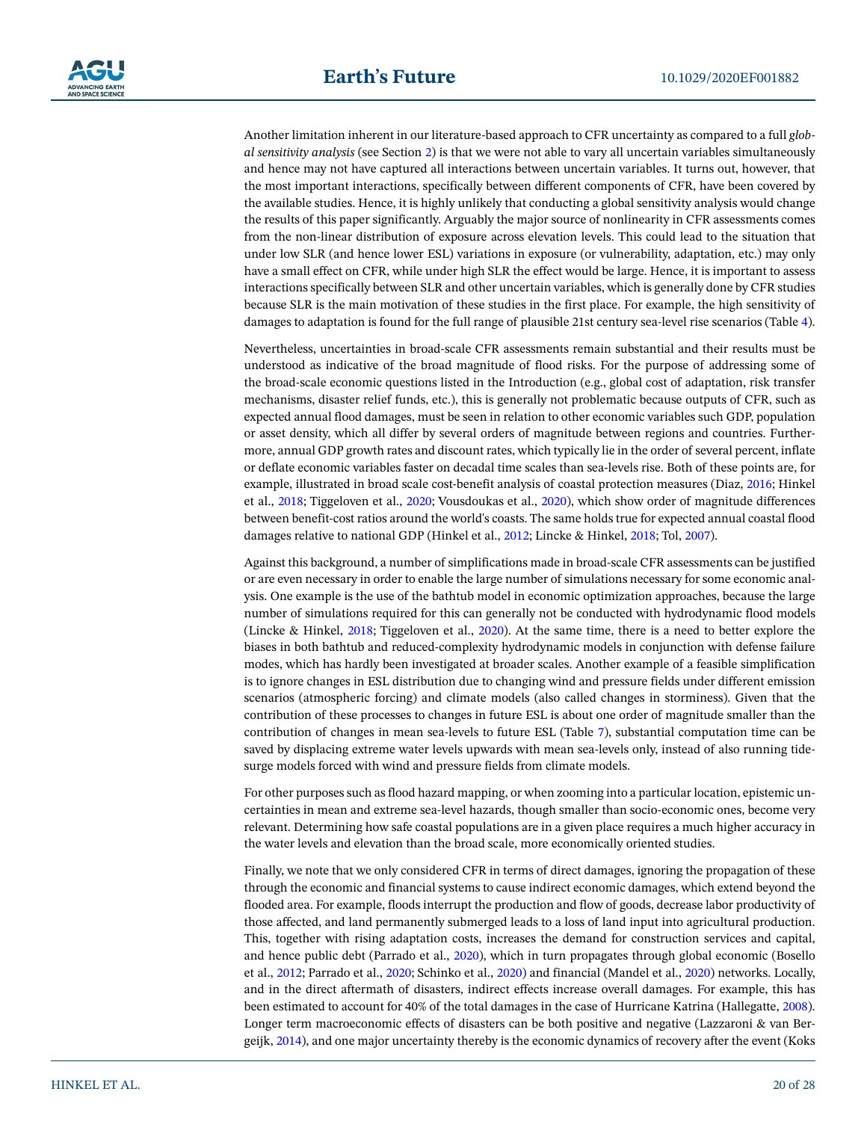Another limitation inherent in our literature-based approach to CFR uncertainty as compared to a full *global sensitivity analysis* (see Section [2\)](#page-2-1) is that we were not able to vary all uncertain variables simultaneously and hence may not have captured all interactions between uncertain variables. It turns out, however, that the most important interactions, specifically between different components of CFR, have been covered by the available studies. Hence, it is highly unlikely that conducting a global sensitivity analysis would change the results of this paper significantly. Arguably the major source of nonlinearity in CFR assessments comes from the non-linear distribution of exposure across elevation levels. This could lead to the situation that under low SLR (and hence lower ESL) variations in exposure (or vulnerability, adaptation, etc.) may only have a small effect on CFR, while under high SLR the effect would be large. Hence, it is important to assess interactions specifically between SLR and other uncertain variables, which is generally done by CFR studies because SLR is the main motivation of these studies in the first place. For example, the high sensitivity of damages to adaptation is found for the full range of plausible 21st century sea-level rise scenarios (Table [4\)](#page-6-0).

Nevertheless, uncertainties in broad-scale CFR assessments remain substantial and their results must be understood as indicative of the broad magnitude of flood risks. For the purpose of addressing some of the broad-scale economic questions listed in the Introduction (e.g., global cost of adaptation, risk transfer mechanisms, disaster relief funds, etc.), this is generally not problematic because outputs of CFR, such as expected annual flood damages, must be seen in relation to other economic variables such GDP, population or asset density, which all differ by several orders of magnitude between regions and countries. Furthermore, annual GDP growth rates and discount rates, which typically lie in the order of several percent, inflate or deflate economic variables faster on decadal time scales than sea-levels rise. Both of these points are, for example, illustrated in broad scale cost-benefit analysis of coastal protection measures (Diaz, [2016](#page-22-2); Hinkel et al., [2018](#page-23-24); Tiggeloven et al., [2020](#page-26-4); Vousdoukas et al., [2020](#page-27-2)), which show order of magnitude differences between benefit-cost ratios around the world's coasts. The same holds true for expected annual coastal flood damages relative to national GDP (Hinkel et al., [2012;](#page-23-29) Lincke & Hinkel, [2018](#page-24-1); Tol, [2007\)](#page-26-34).

Against this background, a number of simplifications made in broad-scale CFR assessments can be justified or are even necessary in order to enable the large number of simulations necessary for some economic analysis. One example is the use of the bathtub model in economic optimization approaches, because the large number of simulations required for this can generally not be conducted with hydrodynamic flood models (Lincke & Hinkel, [2018](#page-24-1); Tiggeloven et al., [2020\)](#page-26-4). At the same time, there is a need to better explore the biases in both bathtub and reduced-complexity hydrodynamic models in conjunction with defense failure modes, which has hardly been investigated at broader scales. Another example of a feasible simplification is to ignore changes in ESL distribution due to changing wind and pressure fields under different emission scenarios (atmospheric forcing) and climate models (also called changes in storminess). Given that the contribution of these processes to changes in future ESL is about one order of magnitude smaller than the contribution of changes in mean sea-levels to future ESL (Table [7\)](#page-17-0), substantial computation time can be saved by displacing extreme water levels upwards with mean sea-levels only, instead of also running tidesurge models forced with wind and pressure fields from climate models.

For other purposes such as flood hazard mapping, or when zooming into a particular location, epistemic uncertainties in mean and extreme sea-level hazards, though smaller than socio-economic ones, become very relevant. Determining how safe coastal populations are in a given place requires a much higher accuracy in the water levels and elevation than the broad scale, more economically oriented studies.

Finally, we note that we only considered CFR in terms of direct damages, ignoring the propagation of these through the economic and financial systems to cause indirect economic damages, which extend beyond the flooded area. For example, floods interrupt the production and flow of goods, decrease labor productivity of those affected, and land permanently submerged leads to a loss of land input into agricultural production. This, together with rising adaptation costs, increases the demand for construction services and capital, and hence public debt (Parrado et al., [2020](#page-25-31)), which in turn propagates through global economic (Bosello et al., [2012](#page-21-31); Parrado et al., [2020;](#page-25-31) Schinko et al., [2020\)](#page-26-35) and financial (Mandel et al., [2020\)](#page-24-30) networks. Locally, and in the direct aftermath of disasters, indirect effects increase overall damages. For example, this has been estimated to account for 40% of the total damages in the case of Hurricane Katrina (Hallegatte, [2008\)](#page-23-30). Longer term macroeconomic effects of disasters can be both positive and negative (Lazzaroni & van Bergeijk, [2014](#page-24-31)), and one major uncertainty thereby is the economic dynamics of recovery after the event (Koks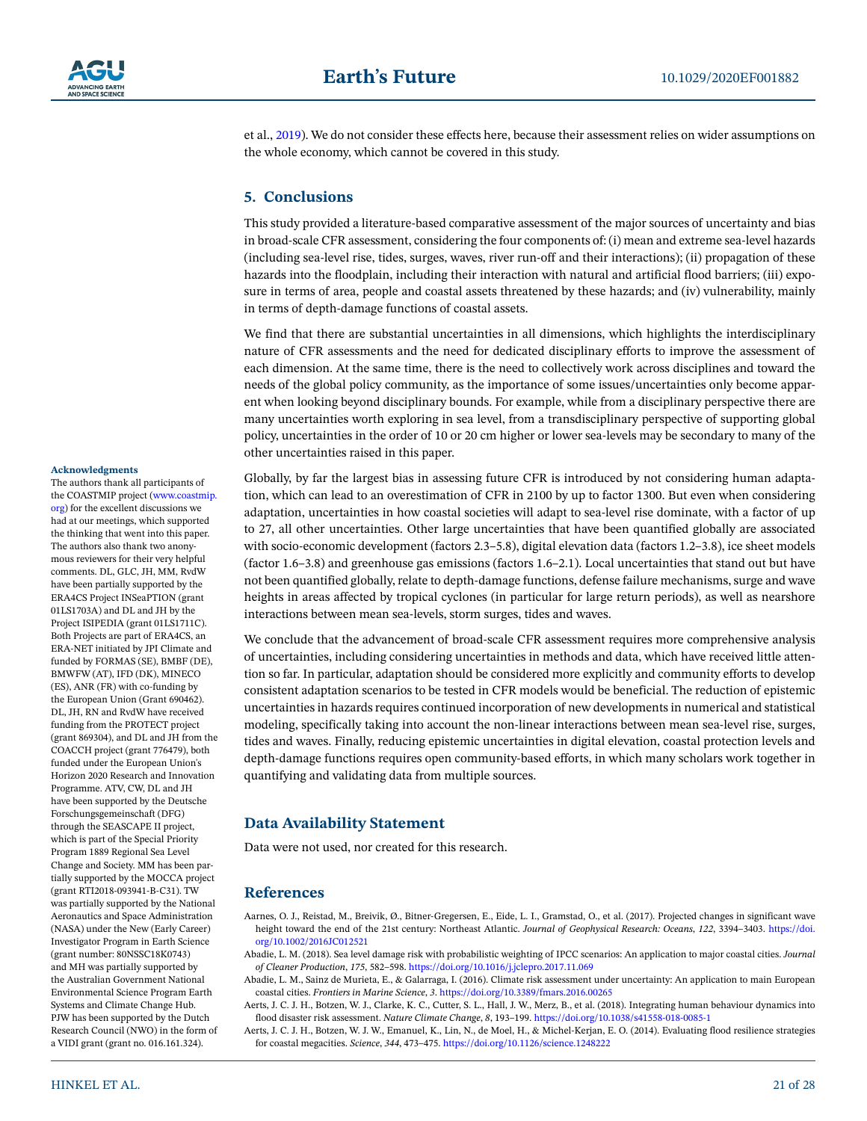

et al., [2019\)](#page-24-32). We do not consider these effects here, because their assessment relies on wider assumptions on the whole economy, which cannot be covered in this study.

# **5. Conclusions**

This study provided a literature-based comparative assessment of the major sources of uncertainty and bias in broad-scale CFR assessment, considering the four components of: (i) mean and extreme sea-level hazards (including sea-level rise, tides, surges, waves, river run-off and their interactions); (ii) propagation of these hazards into the floodplain, including their interaction with natural and artificial flood barriers; (iii) exposure in terms of area, people and coastal assets threatened by these hazards; and (iv) vulnerability, mainly in terms of depth-damage functions of coastal assets.

We find that there are substantial uncertainties in all dimensions, which highlights the interdisciplinary nature of CFR assessments and the need for dedicated disciplinary efforts to improve the assessment of each dimension. At the same time, there is the need to collectively work across disciplines and toward the needs of the global policy community, as the importance of some issues/uncertainties only become apparent when looking beyond disciplinary bounds. For example, while from a disciplinary perspective there are many uncertainties worth exploring in sea level, from a transdisciplinary perspective of supporting global policy, uncertainties in the order of 10 or 20 cm higher or lower sea-levels may be secondary to many of the other uncertainties raised in this paper.

Globally, by far the largest bias in assessing future CFR is introduced by not considering human adaptation, which can lead to an overestimation of CFR in 2100 by up to factor 1300. But even when considering adaptation, uncertainties in how coastal societies will adapt to sea-level rise dominate, with a factor of up to 27, all other uncertainties. Other large uncertainties that have been quantified globally are associated with socio-economic development (factors 2.3–5.8), digital elevation data (factors 1.2–3.8), ice sheet models (factor 1.6–3.8) and greenhouse gas emissions (factors 1.6–2.1). Local uncertainties that stand out but have not been quantified globally, relate to depth-damage functions, defense failure mechanisms, surge and wave heights in areas affected by tropical cyclones (in particular for large return periods), as well as nearshore interactions between mean sea-levels, storm surges, tides and waves.

We conclude that the advancement of broad-scale CFR assessment requires more comprehensive analysis of uncertainties, including considering uncertainties in methods and data, which have received little attention so far. In particular, adaptation should be considered more explicitly and community efforts to develop consistent adaptation scenarios to be tested in CFR models would be beneficial. The reduction of epistemic uncertainties in hazards requires continued incorporation of new developments in numerical and statistical modeling, specifically taking into account the non-linear interactions between mean sea-level rise, surges, tides and waves. Finally, reducing epistemic uncertainties in digital elevation, coastal protection levels and depth-damage functions requires open community-based efforts, in which many scholars work together in quantifying and validating data from multiple sources.

# **Data Availability Statement**

Data were not used, nor created for this research.

# **References**

- <span id="page-20-2"></span>Aarnes, O. J., Reistad, M., Breivik, Ø., Bitner-Gregersen, E., Eide, L. I., Gramstad, O., et al. (2017). Projected changes in significant wave height toward the end of the 21st century: Northeast Atlantic. *Journal of Geophysical Research: Oceans*, *122*, 3394–3403. [https://doi.](https://doi.org/10.1002/2016JC012521) [org/10.1002/2016JC012521](https://doi.org/10.1002/2016JC012521)
- <span id="page-20-1"></span>Abadie, L. M. (2018). Sea level damage risk with probabilistic weighting of IPCC scenarios: An application to major coastal cities. *Journal of Cleaner Production*, *175*, 582–598. <https://doi.org/10.1016/j.jclepro.2017.11.069>
- <span id="page-20-0"></span>Abadie, L. M., Sainz de Murieta, E., & Galarraga, I. (2016). Climate risk assessment under uncertainty: An application to main European coastal cities. *Frontiers in Marine Science*, *3*. <https://doi.org/10.3389/fmars.2016.00265>
- <span id="page-20-4"></span>Aerts, J. C. J. H., Botzen, W. J., Clarke, K. C., Cutter, S. L., Hall, J. W., Merz, B., et al. (2018). Integrating human behaviour dynamics into flood disaster risk assessment. *Nature Climate Change*, *8*, 193–199.<https://doi.org/10.1038/s41558-018-0085-1>
- <span id="page-20-3"></span>Aerts, J. C. J. H., Botzen, W. J. W., Emanuel, K., Lin, N., de Moel, H., & Michel-Kerjan, E. O. (2014). Evaluating flood resilience strategies for coastal megacities. *Science*, *344*, 473–475.<https://doi.org/10.1126/science.1248222>

#### **Acknowledgments**

The authors thank all participants of the COASTMIP project (www.coastmip. org) for the excellent discussions we had at our meetings, which supported the thinking that went into this paper. The authors also thank two anonymous reviewers for their very helpful comments. DL, GLC, JH, MM, RvdW have been partially supported by the ERA4CS Project INSeaPTION (grant 01LS1703A) and DL and JH by the Project ISIPEDIA (grant 01LS1711C). Both Projects are part of ERA4CS, an ERA-NET initiated by JPI Climate and funded by FORMAS (SE), BMBF (DE), BMWFW (AT), IFD (DK), MINECO (ES), ANR (FR) with co-funding by the European Union (Grant 690462). DL, JH, RN and RvdW have received funding from the PROTECT project (grant 869304), and DL and JH from the COACCH project (grant 776479), both funded under the European Union's Horizon 2020 Research and Innovation Programme. ATV, CW, DL and JH have been supported by the Deutsche Forschungsgemeinschaft (DFG) through the SEASCAPE II project, which is part of the Special Priority Program 1889 Regional Sea Level Change and Society. MM has been partially supported by the MOCCA project (grant RTI2018-093941-B-C31). TW was partially supported by the National Aeronautics and Space Administration (NASA) under the New (Early Career) Investigator Program in Earth Science (grant number: 80NSSC18K0743) and MH was partially supported by the Australian Government National Environmental Science Program Earth Systems and Climate Change Hub. PJW has been supported by the Dutch Research Council (NWO) in the form of a VIDI grant (grant no. 016.161.324).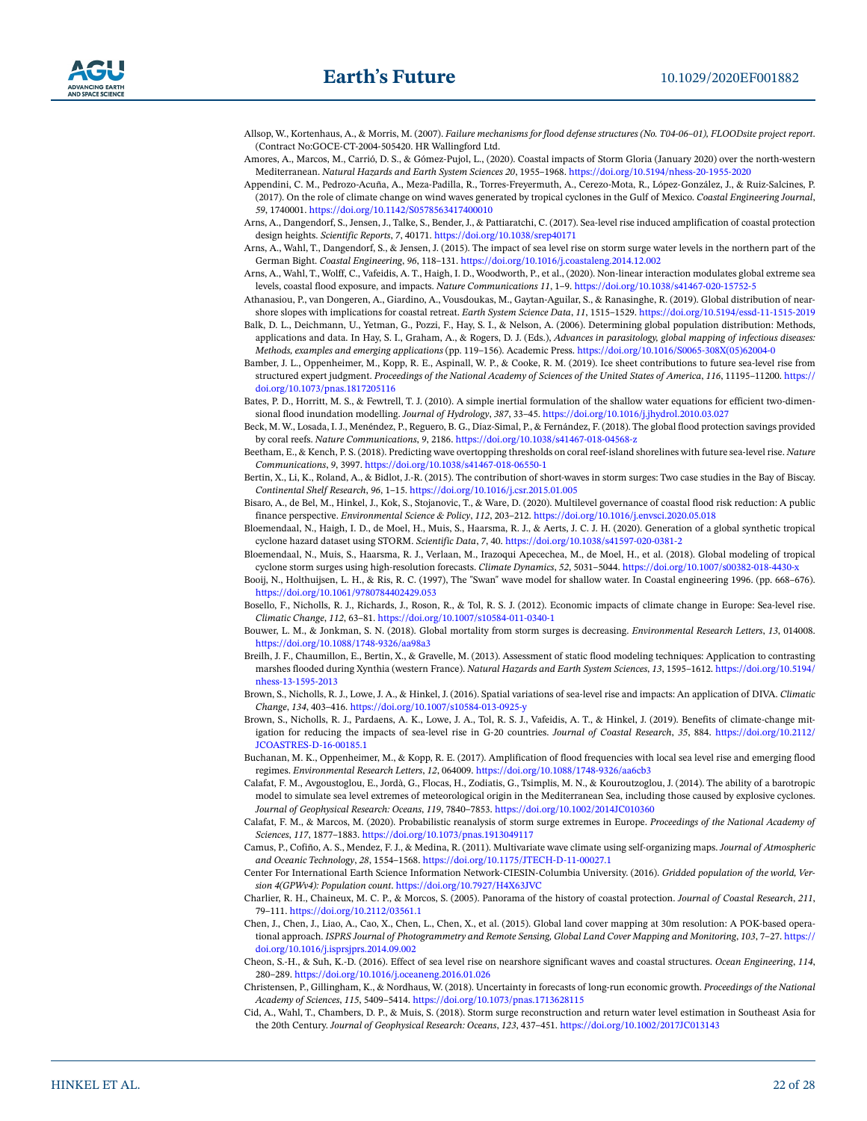

- <span id="page-21-0"></span>Allsop, W., Kortenhaus, A., & Morris, M. (2007). *Failure mechanisms for flood defense structures (No. T04-06–01), FLOODsite project report*. (Contract No:GOCE-CT-2004-505420. HR Wallingford Ltd.
- <span id="page-21-11"></span>Amores, A., Marcos, M., Carrió, D. S., & Gómez-Pujol, L., (2020). Coastal impacts of Storm Gloria (January 2020) over the north-western Mediterranean. *Natural Hazards and Earth System Sciences 20*, 1955–1968. [https://doi.org/10.5194/nhess-20-1955-2020](https://doi.org/10.5194/nhess%2D20-1955-2020)
- <span id="page-21-21"></span>Appendini, C. M., Pedrozo-Acuña, A., Meza-Padilla, R., Torres-Freyermuth, A., Cerezo-Mota, R., López-González, J., & Ruiz-Salcines, P. (2017). On the role of climate change on wind waves generated by tropical cyclones in the Gulf of Mexico. *Coastal Engineering Journal*, *59*, 1740001.<https://doi.org/10.1142/S0578563417400010>
- <span id="page-21-18"></span>Arns, A., Dangendorf, S., Jensen, J., Talke, S., Bender, J., & Pattiaratchi, C. (2017). Sea-level rise induced amplification of coastal protection design heights. *Scientific Reports*, *7*, 40171. <https://doi.org/10.1038/srep40171>
- <span id="page-21-16"></span>Arns, A., Wahl, T., Dangendorf, S., & Jensen, J. (2015). The impact of sea level rise on storm surge water levels in the northern part of the German Bight. *Coastal Engineering*, *96*, 118–131.<https://doi.org/10.1016/j.coastaleng.2014.12.002>
- <span id="page-21-5"></span>Arns, A., Wahl, T., Wolff, C., Vafeidis, A. T., Haigh, I. D., Woodworth, P., et al., (2020). Non-linear interaction modulates global extreme sea levels, coastal flood exposure, and impacts. *Nature Communications 11*, 1–9. <https://doi.org/10.1038/s41467-020-15752-5>
- <span id="page-21-12"></span>Athanasiou, P., van Dongeren, A., Giardino, A., Vousdoukas, M., Gaytan-Aguilar, S., & Ranasinghe, R. (2019). Global distribution of nearshore slopes with implications for coastal retreat. *Earth System Science Data*, *11*, 1515–1529. [https://doi.org/10.5194/essd-11-1515-2019](https://doi.org/10.5194/essd%2D11-1515-2019)
- <span id="page-21-27"></span>Balk, D. L., Deichmann, U., Yetman, G., Pozzi, F., Hay, S. I., & Nelson, A. (2006). Determining global population distribution: Methods, applications and data. In Hay, S. I., Graham, A., & Rogers, D. J. (Eds.), *Advances in parasitology, global mapping of infectious diseases: Methods, examples and emerging applications* (pp. 119–156). Academic Press. [https://doi.org/10.1016/S0065-308X\(05\)62004-0](https://doi.org/10.1016/S0065-308X%2805%2962004-0)
- <span id="page-21-4"></span>Bamber, J. L., Oppenheimer, M., Kopp, R. E., Aspinall, W. P., & Cooke, R. M. (2019). Ice sheet contributions to future sea-level rise from structured expert judgment. *Proceedings of the National Academy of Sciences of the United States of America*, *116*, 11195–11200. [https://](https://doi.org/10.1073/pnas.1817205116) [doi.org/10.1073/pnas.1817205116](https://doi.org/10.1073/pnas.1817205116)
- <span id="page-21-23"></span>Bates, P. D., Horritt, M. S., & Fewtrell, T. J. (2010). A simple inertial formulation of the shallow water equations for efficient two-dimensional flood inundation modelling. *Journal of Hydrology*, *387*, 33–45.<https://doi.org/10.1016/j.jhydrol.2010.03.027>
- <span id="page-21-10"></span>Beck, M. W., Losada, I. J., Menéndez, P., Reguero, B. G., Díaz-Simal, P., & Fernández, F. (2018). The global flood protection savings provided by coral reefs. *Nature Communications*, *9*, 2186. [https://doi.org/10.1038/s41467-018-04568-z](https://doi.org/10.1038/s41467-018-04568%2Dz)
- <span id="page-21-22"></span>Beetham, E., & Kench, P. S. (2018). Predicting wave overtopping thresholds on coral reef-island shorelines with future sea-level rise. *Nature Communications*, *9*, 3997. <https://doi.org/10.1038/s41467-018-06550-1>
- <span id="page-21-13"></span>Bertin, X., Li, K., Roland, A., & Bidlot, J.-R. (2015). The contribution of short-waves in storm surges: Two case studies in the Bay of Biscay. *Continental Shelf Research*, *96*, 1–15.<https://doi.org/10.1016/j.csr.2015.01.005>
- <span id="page-21-26"></span>Bisaro, A., de Bel, M., Hinkel, J., Kok, S., Stojanovic, T., & Ware, D. (2020). Multilevel governance of coastal flood risk reduction: A public finance perspective. *Environmental Science & Policy*, *112*, 203–212.<https://doi.org/10.1016/j.envsci.2020.05.018>
- <span id="page-21-9"></span>Bloemendaal, N., Haigh, I. D., de Moel, H., Muis, S., Haarsma, R. J., & Aerts, J. C. J. H. (2020). Generation of a global synthetic tropical cyclone hazard dataset using STORM. *Scientific Data*, *7*, 40. <https://doi.org/10.1038/s41597-020-0381-2>
- <span id="page-21-8"></span>Bloemendaal, N., Muis, S., Haarsma, R. J., Verlaan, M., Irazoqui Apecechea, M., de Moel, H., et al. (2018). Global modeling of tropical cyclone storm surges using high-resolution forecasts. *Climate Dynamics*, *52*, 5031–5044. [https://doi.org/10.1007/s00382-018-4430-x](https://doi.org/10.1007/s00382-018-4430%2Dx)
- <span id="page-21-19"></span>Booij, N., Holthuijsen, L. H., & Ris, R. C. (1997), The "Swan" wave model for shallow water. In Coastal engineering 1996. (pp. 668–676). <https://doi.org/10.1061/9780784402429.053>
- <span id="page-21-31"></span>Bosello, F., Nicholls, R. J., Richards, J., Roson, R., & Tol, R. S. J. (2012). Economic impacts of climate change in Europe: Sea-level rise. *Climatic Change*, *112*, 63–81. <https://doi.org/10.1007/s10584-011-0340-1>
- <span id="page-21-30"></span>Bouwer, L. M., & Jonkman, S. N. (2018). Global mortality from storm surges is decreasing. *Environmental Research Letters*, *13*, 014008. <https://doi.org/10.1088/1748-9326/aa98a3>
- <span id="page-21-24"></span>Breilh, J. F., Chaumillon, E., Bertin, X., & Gravelle, M. (2013). Assessment of static flood modeling techniques: Application to contrasting marshes flooded during Xynthia (western France). *Natural Hazards and Earth System Sciences*, *13*, 1595–1612. [https://doi.org/10.5194/](https://doi.org/10.5194/nhess%2D13-1595-2013) [nhess-13-1595-2013](https://doi.org/10.5194/nhess%2D13-1595-2013)
- <span id="page-21-2"></span>Brown, S., Nicholls, R. J., Lowe, J. A., & Hinkel, J. (2016). Spatial variations of sea-level rise and impacts: An application of DIVA. *Climatic Change*, *134*, 403–416. [https://doi.org/10.1007/s10584-013-0925-y](https://doi.org/10.1007/s10584-013-0925%2Dy)
- <span id="page-21-3"></span>Brown, S., Nicholls, R. J., Pardaens, A. K., Lowe, J. A., Tol, R. S. J., Vafeidis, A. T., & Hinkel, J. (2019). Benefits of climate-change mitigation for reducing the impacts of sea-level rise in G-20 countries. *Journal of Coastal Research*, *35*, 884. [https://doi.org/10.2112/](https://doi.org/10.2112/JCOASTRES%2DD%2D16-00185.1) [JCOASTRES-D-16-00185.1](https://doi.org/10.2112/JCOASTRES%2DD%2D16-00185.1)
- <span id="page-21-14"></span>Buchanan, M. K., Oppenheimer, M., & Kopp, R. E. (2017). Amplification of flood frequencies with local sea level rise and emerging flood regimes. *Environmental Research Letters*, *12*, 064009.<https://doi.org/10.1088/1748-9326/aa6cb3>
- <span id="page-21-15"></span>Calafat, F. M., Avgoustoglou, E., Jordà, G., Flocas, H., Zodiatis, G., Tsimplis, M. N., & Kouroutzoglou, J. (2014). The ability of a barotropic model to simulate sea level extremes of meteorological origin in the Mediterranean Sea, including those caused by explosive cyclones. *Journal of Geophysical Research: Oceans*, *119*, 7840–7853. <https://doi.org/10.1002/2014JC010360>
- <span id="page-21-1"></span>Calafat, F. M., & Marcos, M. (2020). Probabilistic reanalysis of storm surge extremes in Europe. *Proceedings of the National Academy of Sciences*, *117*, 1877–1883. <https://doi.org/10.1073/pnas.1913049117>
- <span id="page-21-20"></span>Camus, P., Cofiño, A. S., Mendez, F. J., & Medina, R. (2011). Multivariate wave climate using self-organizing maps. *Journal of Atmospheric and Oceanic Technology*, *28*, 1554–1568. [https://doi.org/10.1175/JTECH-D-11-00027.1](https://doi.org/10.1175/JTECH%2DD%2D11-00027.1)
- <span id="page-21-28"></span>Center For International Earth Science Information Network-CIESIN-Columbia University. (2016). *Gridded population of the world, Version 4(GPWv4): Population count*. <https://doi.org/10.7927/H4X63JVC>
- <span id="page-21-25"></span>Charlier, R. H., Chaineux, M. C. P., & Morcos, S. (2005). Panorama of the history of coastal protection. *Journal of Coastal Research*, *211*, 79–111. <https://doi.org/10.2112/03561.1>
- <span id="page-21-29"></span>Chen, J., Chen, J., Liao, A., Cao, X., Chen, L., Chen, X., et al. (2015). Global land cover mapping at 30m resolution: A POK-based operational approach. *ISPRS Journal of Photogrammetry and Remote Sensing, Global Land Cover Mapping and Monitoring*, *103*, 7–27. [https://](https://doi.org/10.1016/j.isprsjprs.2014.09.002) [doi.org/10.1016/j.isprsjprs.2014.09.002](https://doi.org/10.1016/j.isprsjprs.2014.09.002)
- <span id="page-21-17"></span>Cheon, S.-H., & Suh, K.-D. (2016). Effect of sea level rise on nearshore significant waves and coastal structures. *Ocean Engineering*, *114*, 280–289.<https://doi.org/10.1016/j.oceaneng.2016.01.026>
- <span id="page-21-6"></span>Christensen, P., Gillingham, K., & Nordhaus, W. (2018). Uncertainty in forecasts of long-run economic growth. *Proceedings of the National Academy of Sciences*, *115*, 5409–5414. <https://doi.org/10.1073/pnas.1713628115>
- <span id="page-21-7"></span>Cid, A., Wahl, T., Chambers, D. P., & Muis, S. (2018). Storm surge reconstruction and return water level estimation in Southeast Asia for the 20th Century. *Journal of Geophysical Research: Oceans*, *123*, 437–451. <https://doi.org/10.1002/2017JC013143>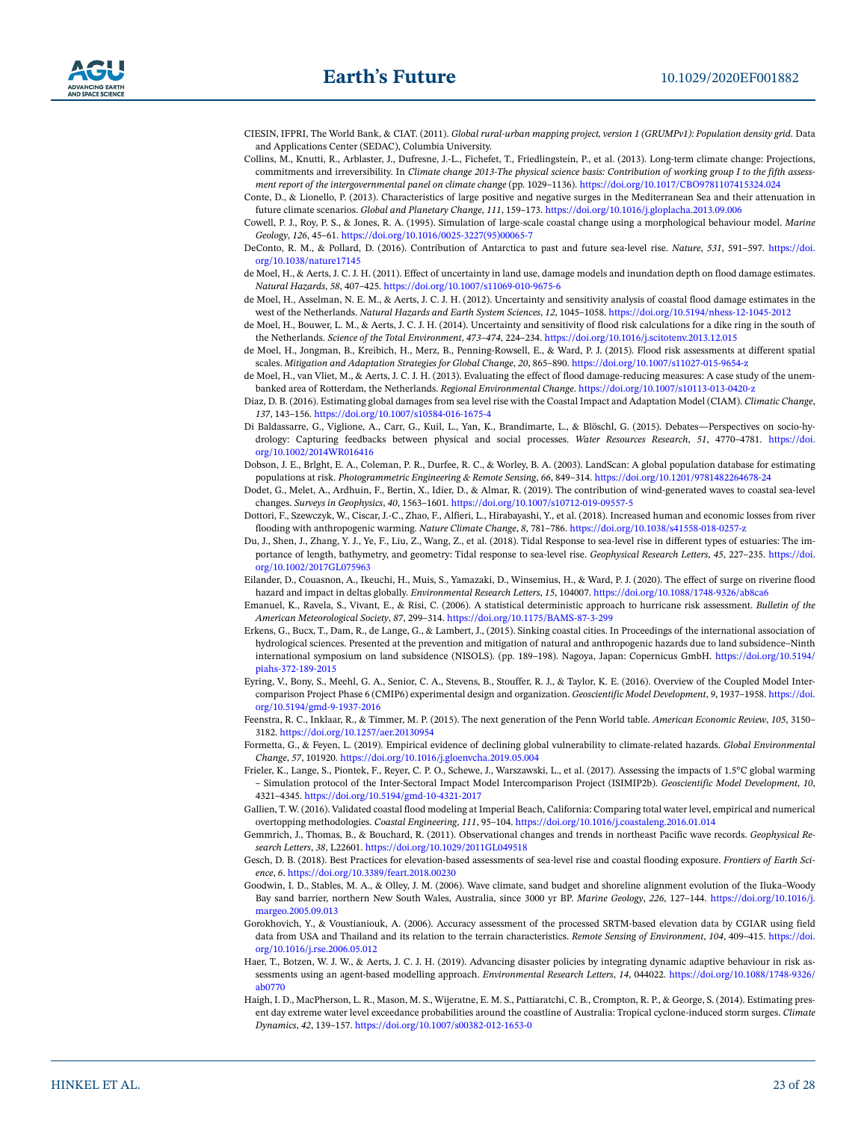- <span id="page-22-23"></span>CIESIN, IFPRI, The World Bank, & CIAT. (2011). *Global rural-urban mapping project, version 1 (GRUMPv1): Population density grid*. Data and Applications Center (SEDAC), Columbia University.
- <span id="page-22-4"></span>Collins, M., Knutti, R., Arblaster, J., Dufresne, J.-L., Fichefet, T., Friedlingstein, P., et al. (2013). Long-term climate change: Projections, commitments and irreversibility. In *Climate change 2013-The physical science basis: Contribution of working group I to the fifth assessment report of the intergovernmental panel on climate change* (pp. 1029–1136).<https://doi.org/10.1017/CBO9781107415324.024>
- <span id="page-22-13"></span>Conte, D., & Lionello, P. (2013). Characteristics of large positive and negative surges in the Mediterranean Sea and their attenuation in future climate scenarios. *Global and Planetary Change*, *111*, 159–173.<https://doi.org/10.1016/j.gloplacha.2013.09.006>
- <span id="page-22-16"></span>Cowell, P. J., Roy, P. S., & Jones, R. A. (1995). Simulation of large-scale coastal change using a morphological behaviour model. *Marine Geology*, *126*, 45–61. [https://doi.org/10.1016/0025-3227\(95\)00065-7](https://doi.org/10.1016/0025-3227%2895%2900065-7)
- <span id="page-22-6"></span>DeConto, R. M., & Pollard, D. (2016). Contribution of Antarctica to past and future sea-level rise. *Nature*, *531*, 591–597. [https://doi.](https://doi.org/10.1038/nature17145) [org/10.1038/nature17145](https://doi.org/10.1038/nature17145)
- <span id="page-22-27"></span>de Moel, H., & Aerts, J. C. J. H. (2011). Effect of uncertainty in land use, damage models and inundation depth on flood damage estimates. *Natural Hazards*, *58*, 407–425.<https://doi.org/10.1007/s11069-010-9675-6>
- <span id="page-22-8"></span>de Moel, H., Asselman, N. E. M., & Aerts, J. C. J. H. (2012). Uncertainty and sensitivity analysis of coastal flood damage estimates in the west of the Netherlands. *Natural Hazards and Earth System Sciences*, *12*, 1045–1058. [https://doi.org/10.5194/nhess-12-1045-2012](https://doi.org/10.5194/nhess%2D12-1045-2012)
- <span id="page-22-28"></span>de Moel, H., Bouwer, L. M., & Aerts, J. C. J. H. (2014). Uncertainty and sensitivity of flood risk calculations for a dike ring in the south of the Netherlands. *Science of the Total Environment*, *473–474*, 224–234. <https://doi.org/10.1016/j.scitotenv.2013.12.015>
- <span id="page-22-1"></span>de Moel, H., Jongman, B., Kreibich, H., Merz, B., Penning-Rowsell, E., & Ward, P. J. (2015). Flood risk assessments at different spatial scales. *Mitigation and Adaptation Strategies for Global Change*, *20*, 865–890. [https://doi.org/10.1007/s11027-015-9654-z](https://doi.org/10.1007/s11027-015-9654%2Dz)
- <span id="page-22-9"></span>de Moel, H., van Vliet, M., & Aerts, J. C. J. H. (2013). Evaluating the effect of flood damage-reducing measures: A case study of the unembanked area of Rotterdam, the Netherlands. *Regional Environmental Change*. [https://doi.org/10.1007/s10113-013-0420-z](https://doi.org/10.1007/s10113-013-0420%2Dz)
- <span id="page-22-2"></span>Diaz, D. B. (2016). Estimating global damages from sea level rise with the Coastal Impact and Adaptation Model (CIAM). *Climatic Change*, *137*, 143–156. <https://doi.org/10.1007/s10584-016-1675-4>
- <span id="page-22-19"></span>Di Baldassarre, G., Viglione, A., Carr, G., Kuil, L., Yan, K., Brandimarte, L., & Blöschl, G. (2015). Debates—Perspectives on socio-hydrology: Capturing feedbacks between physical and social processes. *Water Resources Research*, *51*, 4770–4781. [https://doi.](https://doi.org/10.1002/2014WR016416) [org/10.1002/2014WR016416](https://doi.org/10.1002/2014WR016416)
- <span id="page-22-24"></span>Dobson, J. E., Brlght, E. A., Coleman, P. R., Durfee, R. C., & Worley, B. A. (2003). LandScan: A global population database for estimating populations at risk. *Photogrammetric Engineering & Remote Sensing*, *66*, 849–314.<https://doi.org/10.1201/9781482264678-24>
- <span id="page-22-11"></span>Dodet, G., Melet, A., Ardhuin, F., Bertin, X., Idier, D., & Almar, R. (2019). The contribution of wind-generated waves to coastal sea-level changes. *Surveys in Geophysics*, *40*, 1563–1601. <https://doi.org/10.1007/s10712-019-09557-5>
- <span id="page-22-26"></span>Dottori, F., Szewczyk, W., Ciscar, J.-C., Zhao, F., Alfieri, L., Hirabayashi, Y., et al. (2018). Increased human and economic losses from river flooding with anthropogenic warming. *Nature Climate Change*, *8*, 781–786. [https://doi.org/10.1038/s41558-018-0257-z](https://doi.org/10.1038/s41558-018-0257%2Dz)
- <span id="page-22-14"></span>Du, J., Shen, J., Zhang, Y. J., Ye, F., Liu, Z., Wang, Z., et al. (2018). Tidal Response to sea-level rise in different types of estuaries: The importance of length, bathymetry, and geometry: Tidal response to sea-level rise. *Geophysical Research Letters*, *45*, 227–235. [https://doi.](https://doi.org/10.1002/2017GL075963) [org/10.1002/2017GL075963](https://doi.org/10.1002/2017GL075963)
- <span id="page-22-12"></span>Eilander, D., Couasnon, A., Ikeuchi, H., Muis, S., Yamazaki, D., Winsemius, H., & Ward, P. J. (2020). The effect of surge on riverine flood hazard and impact in deltas globally. *Environmental Research Letters*, *15*, 104007.<https://doi.org/10.1088/1748-9326/ab8ca6>
- <span id="page-22-10"></span>Emanuel, K., Ravela, S., Vivant, E., & Risi, C. (2006). A statistical deterministic approach to hurricane risk assessment. *Bulletin of the American Meteorological Society*, *87*, 299–314. [https://doi.org/10.1175/BAMS-87-3-299](https://doi.org/10.1175/BAMS%2D87-3%2D299)
- <span id="page-22-7"></span>Erkens, G., Bucx, T., Dam, R., de Lange, G., & Lambert, J., (2015). Sinking coastal cities. In Proceedings of the international association of hydrological sciences. Presented at the prevention and mitigation of natural and anthropogenic hazards due to land subsidence–Ninth international symposium on land subsidence (NISOLS). (pp. 189–198). Nagoya, Japan: Copernicus GmbH. [https://doi.org/10.5194/](https://doi.org/10.5194/piahs-372-189-2015) [piahs-372-189-2015](https://doi.org/10.5194/piahs-372-189-2015)
- <span id="page-22-0"></span>Eyring, V., Bony, S., Meehl, G. A., Senior, C. A., Stevens, B., Stouffer, R. J., & Taylor, K. E. (2016). Overview of the Coupled Model Intercomparison Project Phase 6 (CMIP6) experimental design and organization. *Geoscientific Model Development*, *9*, 1937–1958. [https://doi.](https://doi.org/10.5194/gmd%2D9-1937-2016) [org/10.5194/gmd-9-1937-2016](https://doi.org/10.5194/gmd%2D9-1937-2016)
- <span id="page-22-25"></span>Feenstra, R. C., Inklaar, R., & Timmer, M. P. (2015). The next generation of the Penn World table. *American Economic Review*, *105*, 3150– 3182. <https://doi.org/10.1257/aer.20130954>
- <span id="page-22-29"></span>Formetta, G., & Feyen, L. (2019). Empirical evidence of declining global vulnerability to climate-related hazards. *Global Environmental Change*, *57*, 101920.<https://doi.org/10.1016/j.gloenvcha.2019.05.004>
- <span id="page-22-3"></span>Frieler, K., Lange, S., Piontek, F., Reyer, C. P. O., Schewe, J., Warszawski, L., et al. (2017). Assessing the impacts of 1.5°C global warming – Simulation protocol of the Inter-Sectoral Impact Model Intercomparison Project (ISIMIP2b). *Geoscientific Model Development*, *10*, 4321–4345. [https://doi.org/10.5194/gmd-10-4321-2017](https://doi.org/10.5194/gmd%2D10-4321-2017)
- <span id="page-22-18"></span>Gallien, T. W. (2016). Validated coastal flood modeling at Imperial Beach, California: Comparing total water level, empirical and numerical overtopping methodologies. *Coastal Engineering*, *111*, 95–104.<https://doi.org/10.1016/j.coastaleng.2016.01.014>
- <span id="page-22-15"></span>Gemmrich, J., Thomas, B., & Bouchard, R. (2011). Observational changes and trends in northeast Pacific wave records. *Geophysical Research Letters*, *38*, L22601.<https://doi.org/10.1029/2011GL049518>
- <span id="page-22-22"></span>Gesch, D. B. (2018). Best Practices for elevation-based assessments of sea-level rise and coastal flooding exposure. *Frontiers of Earth Science*, *6*.<https://doi.org/10.3389/feart.2018.00230>
- <span id="page-22-17"></span>Goodwin, I. D., Stables, M. A., & Olley, J. M. (2006). Wave climate, sand budget and shoreline alignment evolution of the Iluka–Woody Bay sand barrier, northern New South Wales, Australia, since 3000 yr BP. *Marine Geology*, *226*, 127–144. [https://doi.org/10.1016/j.](https://doi.org/10.1016/j.margeo.2005.09.013) [margeo.2005.09.013](https://doi.org/10.1016/j.margeo.2005.09.013)
- <span id="page-22-21"></span>Gorokhovich, Y., & Voustianiouk, A. (2006). Accuracy assessment of the processed SRTM-based elevation data by CGIAR using field data from USA and Thailand and its relation to the terrain characteristics. *Remote Sensing of Environment*, *104*, 409–415. [https://doi.](https://doi.org/10.1016/j.rse.2006.05.012) [org/10.1016/j.rse.2006.05.012](https://doi.org/10.1016/j.rse.2006.05.012)
- <span id="page-22-20"></span>Haer, T., Botzen, W. J. W., & Aerts, J. C. J. H. (2019). Advancing disaster policies by integrating dynamic adaptive behaviour in risk assessments using an agent-based modelling approach. *Environmental Research Letters*, *14*, 044022. [https://doi.org/10.1088/1748-9326/](https://doi.org/10.1088/1748-9326/ab0770) [ab0770](https://doi.org/10.1088/1748-9326/ab0770)
- <span id="page-22-5"></span>Haigh, I. D., MacPherson, L. R., Mason, M. S., Wijeratne, E. M. S., Pattiaratchi, C. B., Crompton, R. P., & George, S. (2014). Estimating present day extreme water level exceedance probabilities around the coastline of Australia: Tropical cyclone-induced storm surges. *Climate Dynamics*, *42*, 139–157. <https://doi.org/10.1007/s00382-012-1653-0>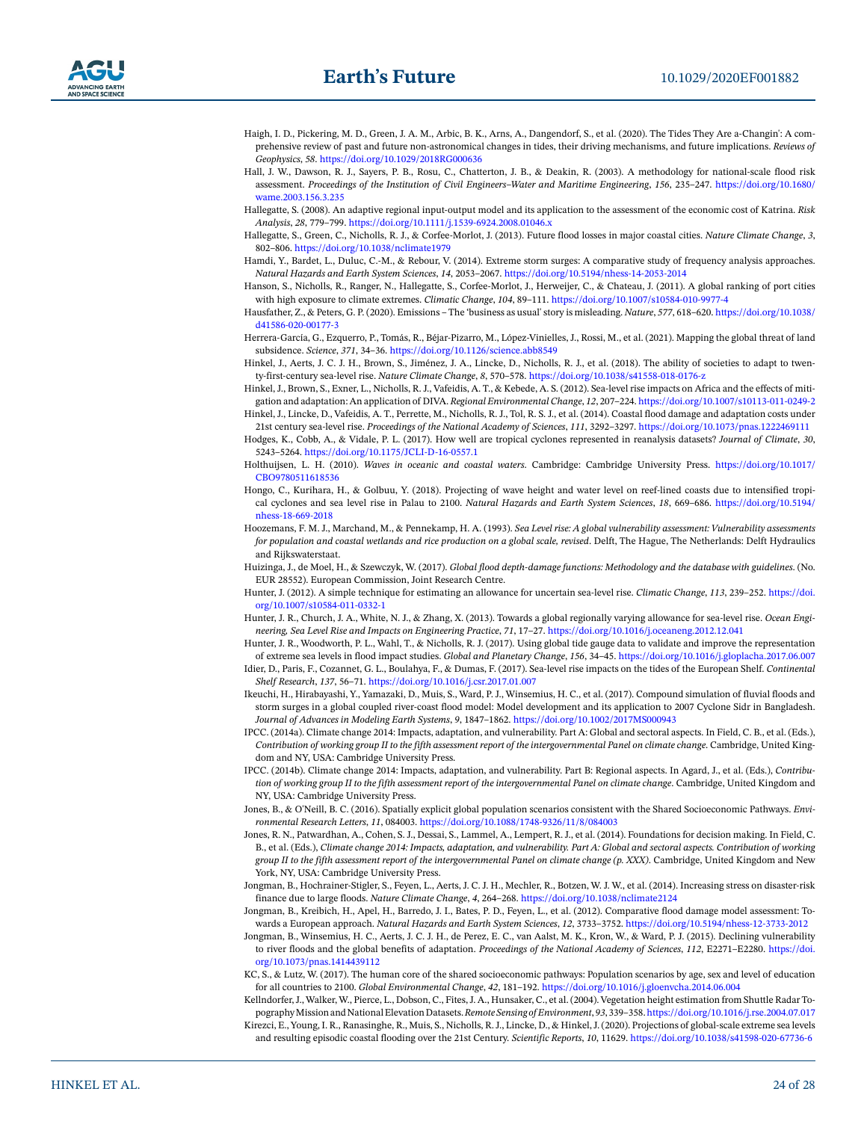

- <span id="page-23-19"></span>Haigh, I. D., Pickering, M. D., Green, J. A. M., Arbic, B. K., Arns, A., Dangendorf, S., et al. (2020). The Tides They Are a-Changin': A comprehensive review of past and future non-astronomical changes in tides, their driving mechanisms, and future implications. *Reviews of Geophysics*, *58*. <https://doi.org/10.1029/2018RG000636>
- <span id="page-23-23"></span>Hall, J. W., Dawson, R. J., Sayers, P. B., Rosu, C., Chatterton, J. B., & Deakin, R. (2003). A methodology for national-scale flood risk assessment. *Proceedings of the Institution of Civil Engineers–Water and Maritime Engineering*, *156*, 235–247. [https://doi.org/10.1680/](https://doi.org/10.1680/wame.2003.156.3.235) [wame.2003.156.3.235](https://doi.org/10.1680/wame.2003.156.3.235)
- <span id="page-23-30"></span>Hallegatte, S. (2008). An adaptive regional input-output model and its application to the assessment of the economic cost of Katrina. *Risk Analysis*, *28*, 779–799.<https://doi.org/10.1111/j.1539-6924.2008.01046.x>
- <span id="page-23-4"></span>Hallegatte, S., Green, C., Nicholls, R. J., & Corfee-Morlot, J. (2013). Future flood losses in major coastal cities. *Nature Climate Change*, *3*, 802–806.<https://doi.org/10.1038/nclimate1979>
- <span id="page-23-16"></span>Hamdi, Y., Bardet, L., Duluc, C.-M., & Rebour, V. (2014). Extreme storm surges: A comparative study of frequency analysis approaches. *Natural Hazards and Earth System Sciences*, *14*, 2053–2067. [https://doi.org/10.5194/nhess-14-2053-2014](https://doi.org/10.5194/nhess%2D14-2053-2014)
- <span id="page-23-22"></span>Hanson, S., Nicholls, R., Ranger, N., Hallegatte, S., Corfee-Morlot, J., Herweijer, C., & Chateau, J. (2011). A global ranking of port cities with high exposure to climate extremes. *Climatic Change*, *104*, 89–111. <https://doi.org/10.1007/s10584-010-9977-4>
- <span id="page-23-9"></span>Hausfather, Z., & Peters, G. P. (2020). Emissions – The 'business as usual' story is misleading. *Nature*, *577*, 618–620. [https://doi.org/10.1038/](https://doi.org/10.1038/d41586-020-00177-3) [d41586-020-00177-3](https://doi.org/10.1038/d41586-020-00177-3)
- <span id="page-23-11"></span>Herrera-García, G., Ezquerro, P., Tomás, R., Béjar-Pizarro, M., López-Vinielles, J., Rossi, M., et al. (2021). Mapping the global threat of land subsidence. *Science*, *371*, 34–36.<https://doi.org/10.1126/science.abb8549>
- <span id="page-23-24"></span>Hinkel, J., Aerts, J. C. J. H., Brown, S., Jiménez, J. A., Lincke, D., Nicholls, R. J., et al. (2018). The ability of societies to adapt to twenty-first-century sea-level rise. *Nature Climate Change*, *8*, 570–578. [https://doi.org/10.1038/s41558-018-0176-z](https://doi.org/10.1038/s41558-018-0176%2Dz)
- <span id="page-23-29"></span>Hinkel, J., Brown, S., Exner, L., Nicholls, R. J., Vafeidis, A. T., & Kebede, A. S. (2012). Sea-level rise impacts on Africa and the effects of mitigation and adaptation: An application of DIVA. *Regional Environmental Change*, *12*, 207–224.<https://doi.org/10.1007/s10113-011-0249-2>
- <span id="page-23-5"></span>Hinkel, J., Lincke, D., Vafeidis, A. T., Perrette, M., Nicholls, R. J., Tol, R. S. J., et al. (2014). Coastal flood damage and adaptation costs under 21st century sea-level rise. *Proceedings of the National Academy of Sciences*, *111*, 3292–3297.<https://doi.org/10.1073/pnas.1222469111> Hodges, K., Cobb, A., & Vidale, P. L. (2017). How well are tropical cyclones represented in reanalysis datasets? *Journal of Climate*, *30*,
- <span id="page-23-12"></span>5243–5264. [https://doi.org/10.1175/JCLI-D-16-0557.1](https://doi.org/10.1175/JCLI%2DD%2D16-0557.1)
- <span id="page-23-14"></span>Holthuijsen, L. H. (2010). *Waves in oceanic and coastal waters*. Cambridge: Cambridge University Press. [https://doi.org/10.1017/](https://doi.org/10.1017/CBO9780511618536) [CBO9780511618536](https://doi.org/10.1017/CBO9780511618536)
- <span id="page-23-21"></span>Hongo, C., Kurihara, H., & Golbuu, Y. (2018). Projecting of wave height and water level on reef-lined coasts due to intensified tropical cyclones and sea level rise in Palau to 2100. *Natural Hazards and Earth System Sciences*, *18*, 669–686. [https://doi.org/10.5194/](https://doi.org/10.5194/nhess%2D18-669-2018) [nhess-18-669-2018](https://doi.org/10.5194/nhess%2D18-669-2018)
- <span id="page-23-25"></span>Hoozemans, F. M. J., Marchand, M., & Pennekamp, H. A. (1993). *Sea Level rise: A global vulnerability assessment: Vulnerability assessments for population and coastal wetlands and rice production on a global scale, revised*. Delft, The Hague, The Netherlands: Delft Hydraulics and Rijkswaterstaat.
- <span id="page-23-3"></span>Huizinga, J., de Moel, H., & Szewczyk, W. (2017). *Global flood depth-damage functions: Methodology and the database with guidelines*. (No. EUR 28552). European Commission, Joint Research Centre.
- <span id="page-23-17"></span>Hunter, J. (2012). A simple technique for estimating an allowance for uncertain sea-level rise. *Climatic Change*, *113*, 239–252. [https://doi.](https://doi.org/10.1007/s10584-011-0332-1) [org/10.1007/s10584-011-0332-1](https://doi.org/10.1007/s10584-011-0332-1)
- <span id="page-23-18"></span>Hunter, J. R., Church, J. A., White, N. J., & Zhang, X. (2013). Towards a global regionally varying allowance for sea-level rise. *Ocean Engineering, Sea Level Rise and Impacts on Engineering Practice*, *71*, 17–27. <https://doi.org/10.1016/j.oceaneng.2012.12.041>
- <span id="page-23-7"></span>Hunter, J. R., Woodworth, P. L., Wahl, T., & Nicholls, R. J. (2017). Using global tide gauge data to validate and improve the representation of extreme sea levels in flood impact studies. *Global and Planetary Change*, *156*, 34–45. <https://doi.org/10.1016/j.gloplacha.2017.06.007>
- <span id="page-23-20"></span>Idier, D., Paris, F., Cozannet, G. L., Boulahya, F., & Dumas, F. (2017). Sea-level rise impacts on the tides of the European Shelf. *Continental Shelf Research*, *137*, 56–71.<https://doi.org/10.1016/j.csr.2017.01.007>
- <span id="page-23-15"></span>Ikeuchi, H., Hirabayashi, Y., Yamazaki, D., Muis, S., Ward, P. J., Winsemius, H. C., et al. (2017). Compound simulation of fluvial floods and storm surges in a global coupled river-coast flood model: Model development and its application to 2007 Cyclone Sidr in Bangladesh. *Journal of Advances in Modeling Earth Systems*, *9*, 1847–1862. <https://doi.org/10.1002/2017MS000943>
- <span id="page-23-2"></span>IPCC. (2014a). Climate change 2014: Impacts, adaptation, and vulnerability. Part A: Global and sectoral aspects. In Field, C. B., et al. (Eds.), *Contribution of working group II to the fifth assessment report of the intergovernmental Panel on climate change*. Cambridge, United Kingdom and NY, USA: Cambridge University Press.
- <span id="page-23-6"></span>IPCC. (2014b). Climate change 2014: Impacts, adaptation, and vulnerability. Part B: Regional aspects. In Agard, J., et al. (Eds.), *Contribution of working group II to the fifth assessment report of the intergovernmental Panel on climate change*. Cambridge, United Kingdom and NY, USA: Cambridge University Press.
- <span id="page-23-10"></span>Jones, B., & O'Neill, B. C. (2016). Spatially explicit global population scenarios consistent with the Shared Socioeconomic Pathways. *Environmental Research Letters*, *11*, 084003. <https://doi.org/10.1088/1748-9326/11/8/084003>
- <span id="page-23-1"></span>Jones, R. N., Patwardhan, A., Cohen, S. J., Dessai, S., Lammel, A., Lempert, R. J., et al. (2014). Foundations for decision making. In Field, C. B., et al. (Eds.), *Climate change 2014: Impacts, adaptation, and vulnerability. Part A: Global and sectoral aspects. Contribution of working group II to the fifth assessment report of the intergovernmental Panel on climate change (p. XXX)*. Cambridge, United Kingdom and New York, NY, USA: Cambridge University Press.
- <span id="page-23-0"></span>Jongman, B., Hochrainer-Stigler, S., Feyen, L., Aerts, J. C. J. H., Mechler, R., Botzen, W. J. W., et al. (2014). Increasing stress on disaster-risk finance due to large floods. *Nature Climate Change*, *4*, 264–268.<https://doi.org/10.1038/nclimate2124>
- <span id="page-23-13"></span>Jongman, B., Kreibich, H., Apel, H., Barredo, J. I., Bates, P. D., Feyen, L., et al. (2012). Comparative flood damage model assessment: Towards a European approach. *Natural Hazards and Earth System Sciences*, *12*, 3733–3752. [https://doi.org/10.5194/nhess-12-3733-2012](https://doi.org/10.5194/nhess%2D12-3733-2012)
- <span id="page-23-28"></span>Jongman, B., Winsemius, H. C., Aerts, J. C. J. H., de Perez, E. C., van Aalst, M. K., Kron, W., & Ward, P. J. (2015). Declining vulnerability to river floods and the global benefits of adaptation. *Proceedings of the National Academy of Sciences*, *112*, E2271–E2280. [https://doi.](https://doi.org/10.1073/pnas.1414439112) [org/10.1073/pnas.1414439112](https://doi.org/10.1073/pnas.1414439112)
- <span id="page-23-27"></span>KC, S., & Lutz, W. (2017). The human core of the shared socioeconomic pathways: Population scenarios by age, sex and level of education for all countries to 2100. *Global Environmental Change*, *42*, 181–192. <https://doi.org/10.1016/j.gloenvcha.2014.06.004>
- <span id="page-23-26"></span>Kellndorfer, J., Walker, W., Pierce, L., Dobson, C., Fites, J. A., Hunsaker, C., et al. (2004). Vegetation height estimation from Shuttle Radar Topography Mission and National Elevation Datasets. *Remote Sensing of Environment*, *93*, 339–358.<https://doi.org/10.1016/j.rse.2004.07.017>
- <span id="page-23-8"></span>Kirezci, E., Young, I. R., Ranasinghe, R., Muis, S., Nicholls, R. J., Lincke, D., & Hinkel, J. (2020). Projections of global-scale extreme sea levels and resulting episodic coastal flooding over the 21st Century. *Scientific Reports*, *10*, 11629.<https://doi.org/10.1038/s41598-020-67736-6>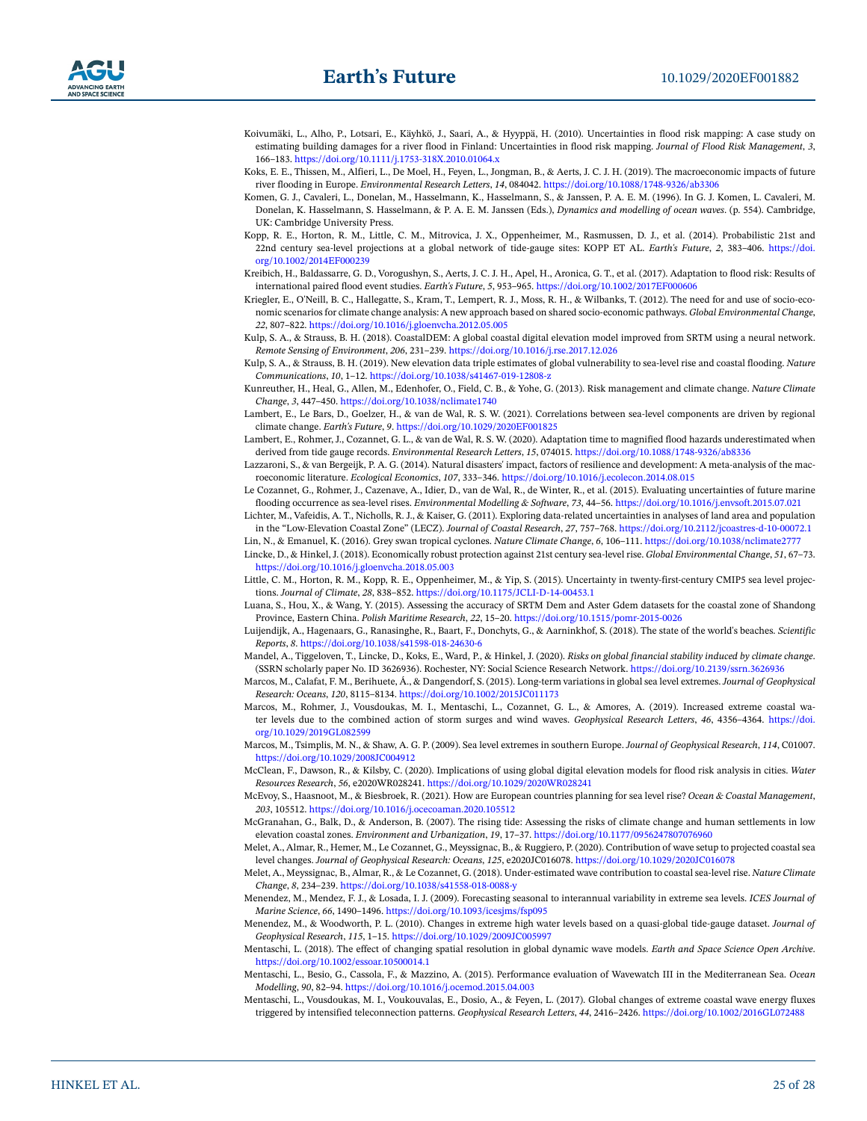- <span id="page-24-28"></span>Koivumäki, L., Alho, P., Lotsari, E., Käyhkö, J., Saari, A., & Hyyppä, H. (2010). Uncertainties in flood risk mapping: A case study on estimating building damages for a river flood in Finland: Uncertainties in flood risk mapping. *Journal of Flood Risk Management*, *3*, 166–183.<https://doi.org/10.1111/j.1753-318X.2010.01064.x>
- <span id="page-24-32"></span>Koks, E. E., Thissen, M., Alfieri, L., De Moel, H., Feyen, L., Jongman, B., & Aerts, J. C. J. H. (2019). The macroeconomic impacts of future river flooding in Europe. *Environmental Research Letters*, *14*, 084042. <https://doi.org/10.1088/1748-9326/ab3306>
- <span id="page-24-20"></span>Komen, G. J., Cavaleri, L., Donelan, M., Hasselmann, K., Hasselmann, S., & Janssen, P. A. E. M. (1996). In G. J. Komen, L. Cavaleri, M. Donelan, K. Hasselmann, S. Hasselmann, & P. A. E. M. Janssen (Eds.), *Dynamics and modelling of ocean waves*. (p. 554). Cambridge, UK: Cambridge University Press.
- <span id="page-24-7"></span>Kopp, R. E., Horton, R. M., Little, C. M., Mitrovica, J. X., Oppenheimer, M., Rasmussen, D. J., et al. (2014). Probabilistic 21st and 22nd century sea-level projections at a global network of tide-gauge sites: KOPP ET AL. *Earth's Future*, *2*, 383–406. [https://doi.](https://doi.org/10.1002/2014EF000239) [org/10.1002/2014EF000239](https://doi.org/10.1002/2014EF000239)
- <span id="page-24-29"></span>Kreibich, H., Baldassarre, G. D., Vorogushyn, S., Aerts, J. C. J. H., Apel, H., Aronica, G. T., et al. (2017). Adaptation to flood risk: Results of international paired flood event studies. *Earth's Future*, *5*, 953–965. <https://doi.org/10.1002/2017EF000606>
- <span id="page-24-5"></span>Kriegler, E., O'Neill, B. C., Hallegatte, S., Kram, T., Lempert, R. J., Moss, R. H., & Wilbanks, T. (2012). The need for and use of socio-economic scenarios for climate change analysis: A new approach based on shared socio-economic pathways. *Global Environmental Change*, *22*, 807–822.<https://doi.org/10.1016/j.gloenvcha.2012.05.005>
- <span id="page-24-12"></span>Kulp, S. A., & Strauss, B. H. (2018). CoastalDEM: A global coastal digital elevation model improved from SRTM using a neural network. *Remote Sensing of Environment*, *206*, 231–239.<https://doi.org/10.1016/j.rse.2017.12.026>
- <span id="page-24-11"></span>Kulp, S. A., & Strauss, B. H. (2019). New elevation data triple estimates of global vulnerability to sea-level rise and coastal flooding. *Nature Communications*, *10*, 1–12. [https://doi.org/10.1038/s41467-019-12808-z](https://doi.org/10.1038/s41467-019-12808%2Dz)
- <span id="page-24-0"></span>Kunreuther, H., Heal, G., Allen, M., Edenhofer, O., Field, C. B., & Yohe, G. (2013). Risk management and climate change. *Nature Climate Change*, *3*, 447–450.<https://doi.org/10.1038/nclimate1740>
- <span id="page-24-9"></span>Lambert, E., Le Bars, D., Goelzer, H., & van de Wal, R. S. W. (2021). Correlations between sea-level components are driven by regional climate change. *Earth's Future*, *9*.<https://doi.org/10.1029/2020EF001825>
- <span id="page-24-16"></span>Lambert, E., Rohmer, J., Cozannet, G. L., & van de Wal, R. S. W. (2020). Adaptation time to magnified flood hazards underestimated when derived from tide gauge records. *Environmental Research Letters*, *15*, 074015.<https://doi.org/10.1088/1748-9326/ab8336>
- <span id="page-24-31"></span>Lazzaroni, S., & van Bergeijk, P. A. G. (2014). Natural disasters' impact, factors of resilience and development: A meta-analysis of the macroeconomic literature. *Ecological Economics*, *107*, 333–346.<https://doi.org/10.1016/j.ecolecon.2014.08.015>
- <span id="page-24-22"></span>Le Cozannet, G., Rohmer, J., Cazenave, A., Idier, D., van de Wal, R., de Winter, R., et al. (2015). Evaluating uncertainties of future marine flooding occurrence as sea-level rises. *Environmental Modelling & Software*, *73*, 44–56. <https://doi.org/10.1016/j.envsoft.2015.07.021>
- <span id="page-24-10"></span>Lichter, M., Vafeidis, A. T., Nicholls, R. J., & Kaiser, G. (2011). Exploring data-related uncertainties in analyses of land area and population in the "Low-Elevation Coastal Zone" (LECZ). *Journal of Coastal Research*, *27*, 757–768. [https://doi.org/10.2112/jcoastres-d-10-00072.1](https://doi.org/10.2112/jcoastres%2Dd%2D10-00072.1)

<span id="page-24-13"></span>Lin, N., & Emanuel, K. (2016). Grey swan tropical cyclones. *Nature Climate Change*, *6*, 106–111.<https://doi.org/10.1038/nclimate2777>

<span id="page-24-1"></span>Lincke, D., & Hinkel, J. (2018). Economically robust protection against 21st century sea-level rise. *Global Environmental Change*, *51*, 67–73. <https://doi.org/10.1016/j.gloenvcha.2018.05.003>

- <span id="page-24-8"></span>Little, C. M., Horton, R. M., Kopp, R. E., Oppenheimer, M., & Yip, S. (2015). Uncertainty in twenty-first-century CMIP5 sea level projections. *Journal of Climate*, *28*, 838–852. [https://doi.org/10.1175/JCLI-D-14-00453.1](https://doi.org/10.1175/JCLI%2DD%2D14-00453.1)
- <span id="page-24-27"></span>Luana, S., Hou, X., & Wang, Y. (2015). Assessing the accuracy of SRTM Dem and Aster Gdem datasets for the coastal zone of Shandong Province, Eastern China. *Polish Maritime Research*, *22*, 15–20. [https://doi.org/10.1515/pomr-2015-0026](https://doi.org/10.1515/pomr%2D2015-0026)
- <span id="page-24-24"></span>Luijendijk, A., Hagenaars, G., Ranasinghe, R., Baart, F., Donchyts, G., & Aarninkhof, S. (2018). The state of the world's beaches. *Scientific Reports*, *8*.<https://doi.org/10.1038/s41598-018-24630-6>
- <span id="page-24-30"></span>Mandel, A., Tiggeloven, T., Lincke, D., Koks, E., Ward, P., & Hinkel, J. (2020). *Risks on global financial stability induced by climate change*. (SSRN scholarly paper No. ID 3626936). Rochester, NY: Social Science Research Network.<https://doi.org/10.2139/ssrn.3626936>
- <span id="page-24-4"></span>Marcos, M., Calafat, F. M., Berihuete, Á., & Dangendorf, S. (2015). Long-term variations in global sea level extremes. *Journal of Geophysical Research: Oceans*, *120*, 8115–8134.<https://doi.org/10.1002/2015JC011173>
- <span id="page-24-3"></span>Marcos, M., Rohmer, J., Vousdoukas, M. I., Mentaschi, L., Cozannet, G. L., & Amores, A. (2019). Increased extreme coastal water levels due to the combined action of storm surges and wind waves. *Geophysical Research Letters*, *46*, 4356–4364. [https://doi.](https://doi.org/10.1029/2019GL082599) [org/10.1029/2019GL082599](https://doi.org/10.1029/2019GL082599)
- <span id="page-24-18"></span>Marcos, M., Tsimplis, M. N., & Shaw, A. G. P. (2009). Sea level extremes in southern Europe. *Journal of Geophysical Research*, *114*, C01007. <https://doi.org/10.1029/2008JC004912>
- <span id="page-24-25"></span>McClean, F., Dawson, R., & Kilsby, C. (2020). Implications of using global digital elevation models for flood risk analysis in cities. *Water Resources Research*, *56*, e2020WR028241. <https://doi.org/10.1029/2020WR028241>
- <span id="page-24-23"></span>McEvoy, S., Haasnoot, M., & Biesbroek, R. (2021). How are European countries planning for sea level rise? *Ocean & Coastal Management*, *203*, 105512.<https://doi.org/10.1016/j.ocecoaman.2020.105512>
- <span id="page-24-26"></span>McGranahan, G., Balk, D., & Anderson, B. (2007). The rising tide: Assessing the risks of climate change and human settlements in low elevation coastal zones. *Environment and Urbanization*, *19*, 17–37.<https://doi.org/10.1177/0956247807076960>
- <span id="page-24-14"></span>Melet, A., Almar, R., Hemer, M., Le Cozannet, G., Meyssignac, B., & Ruggiero, P. (2020). Contribution of wave setup to projected coastal sea level changes. *Journal of Geophysical Research: Oceans*, *125*, e2020JC016078. <https://doi.org/10.1029/2020JC016078>
- <span id="page-24-15"></span>Melet, A., Meyssignac, B., Almar, R., & Le Cozannet, G. (2018). Under-estimated wave contribution to coastal sea-level rise. *Nature Climate Change*, *8*, 234–239. [https://doi.org/10.1038/s41558-018-0088-y](https://doi.org/10.1038/s41558-018-0088%2Dy)
- <span id="page-24-17"></span>Menendez, M., Mendez, F. J., & Losada, I. J. (2009). Forecasting seasonal to interannual variability in extreme sea levels. *ICES Journal of Marine Science*, *66*, 1490–1496. <https://doi.org/10.1093/icesjms/fsp095>
- <span id="page-24-19"></span>Menendez, M., & Woodworth, P. L. (2010). Changes in extreme high water levels based on a quasi-global tide-gauge dataset. *Journal of Geophysical Research*, *115*, 1–15. <https://doi.org/10.1029/2009JC005997>
- <span id="page-24-6"></span>Mentaschi, L. (2018). The effect of changing spatial resolution in global dynamic wave models. *Earth and Space Science Open Archive*. <https://doi.org/10.1002/essoar.10500014.1>
- <span id="page-24-21"></span>Mentaschi, L., Besio, G., Cassola, F., & Mazzino, A. (2015). Performance evaluation of Wavewatch III in the Mediterranean Sea. *Ocean Modelling*, *90*, 82–94. <https://doi.org/10.1016/j.ocemod.2015.04.003>
- <span id="page-24-2"></span>Mentaschi, L., Vousdoukas, M. I., Voukouvalas, E., Dosio, A., & Feyen, L. (2017). Global changes of extreme coastal wave energy fluxes triggered by intensified teleconnection patterns. *Geophysical Research Letters*, *44*, 2416–2426.<https://doi.org/10.1002/2016GL072488>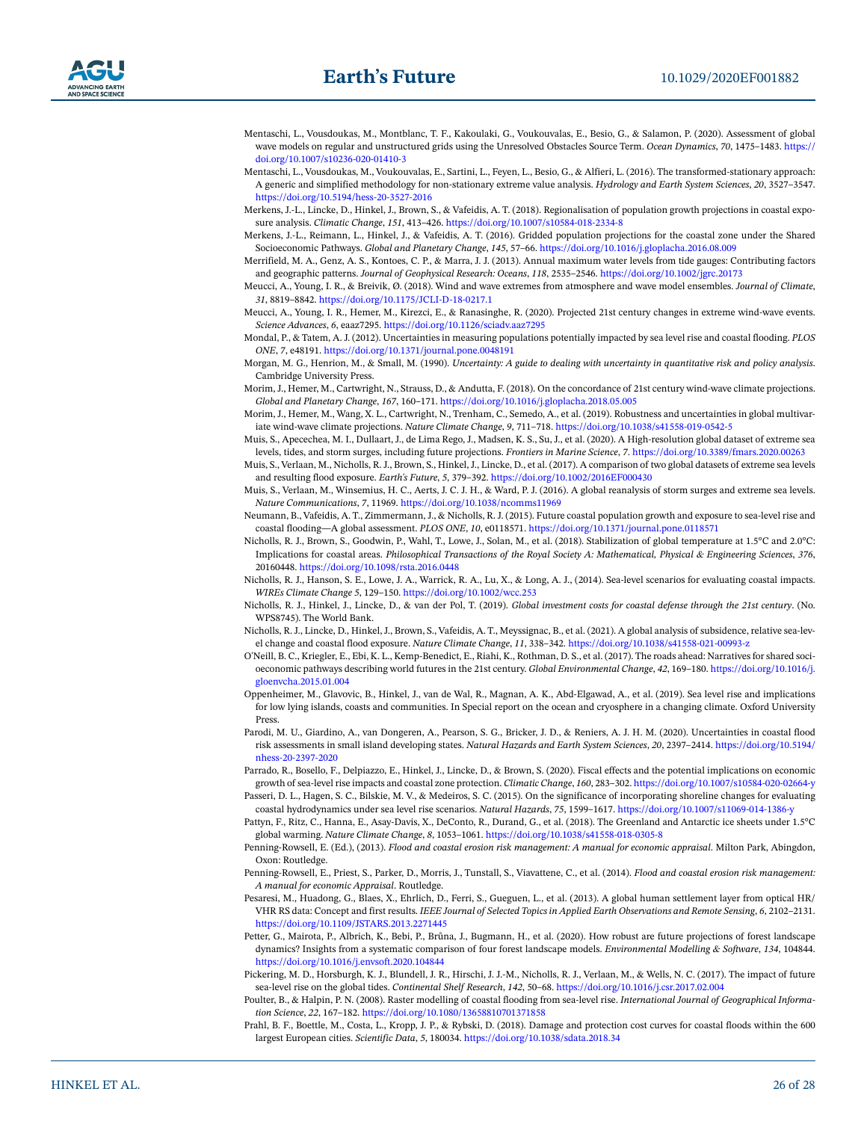

<span id="page-25-22"></span>Mentaschi, L., Vousdoukas, M., Montblanc, T. F., Kakoulaki, G., Voukouvalas, E., Besio, G., & Salamon, P. (2020). Assessment of global wave models on regular and unstructured grids using the Unresolved Obstacles Source Term. *Ocean Dynamics*, *70*, 1475–1483. [https://](https://doi.org/10.1007/s10236-020-01410-3) [doi.org/10.1007/s10236-020-01410-3](https://doi.org/10.1007/s10236-020-01410-3)

<span id="page-25-3"></span>Mentaschi, L., Vousdoukas, M., Voukouvalas, E., Sartini, L., Feyen, L., Besio, G., & Alfieri, L. (2016). The transformed-stationary approach: A generic and simplified methodology for non-stationary extreme value analysis. *Hydrology and Earth System Sciences*, *20*, 3527–3547. [https://doi.org/10.5194/hess-20-3527-2016](https://doi.org/10.5194/hess%2D20-3527-2016)

- <span id="page-25-16"></span>Merkens, J.-L., Lincke, D., Hinkel, J., Brown, S., & Vafeidis, A. T. (2018). Regionalisation of population growth projections in coastal exposure analysis. *Climatic Change*, *151*, 413–426.<https://doi.org/10.1007/s10584-018-2334-8>
- <span id="page-25-2"></span>Merkens, J.-L., Reimann, L., Hinkel, J., & Vafeidis, A. T. (2016). Gridded population projections for the coastal zone under the Shared Socioeconomic Pathways. *Global and Planetary Change*, *145*, 57–66.<https://doi.org/10.1016/j.gloplacha.2016.08.009>
- <span id="page-25-20"></span>Merrifield, M. A., Genz, A. S., Kontoes, C. P., & Marra, J. J. (2013). Annual maximum water levels from tide gauges: Contributing factors and geographic patterns. *Journal of Geophysical Research: Oceans*, *118*, 2535–2546. <https://doi.org/10.1002/jgrc.20173>
- <span id="page-25-11"></span>Meucci, A., Young, I. R., & Breivik, Ø. (2018). Wind and wave extremes from atmosphere and wave model ensembles. *Journal of Climate*, *31*, 8819–8842. [https://doi.org/10.1175/JCLI-D-18-0217.1](https://doi.org/10.1175/JCLI%2DD%2D18-0217.1)
- <span id="page-25-12"></span>Meucci, A., Young, I. R., Hemer, M., Kirezci, E., & Ranasinghe, R. (2020). Projected 21st century changes in extreme wind-wave events. *Science Advances*, *6*, eaaz7295.<https://doi.org/10.1126/sciadv.aaz7295>
- <span id="page-25-27"></span>Mondal, P., & Tatem, A. J. (2012). Uncertainties in measuring populations potentially impacted by sea level rise and coastal flooding. *PLOS ONE*, *7*, e48191. <https://doi.org/10.1371/journal.pone.0048191>
- <span id="page-25-0"></span>Morgan, M. G., Henrion, M., & Small, M. (1990). *Uncertainty: A guide to dealing with uncertainty in quantitative risk and policy analysis*. Cambridge University Press.
- <span id="page-25-23"></span>Morim, J., Hemer, M., Cartwright, N., Strauss, D., & Andutta, F. (2018). On the concordance of 21st century wind-wave climate projections. *Global and Planetary Change*, *167*, 160–171. <https://doi.org/10.1016/j.gloplacha.2018.05.005>
- <span id="page-25-4"></span>Morim, J., Hemer, M., Wang, X. L., Cartwright, N., Trenham, C., Semedo, A., et al. (2019). Robustness and uncertainties in global multivariate wind-wave climate projections. *Nature Climate Change*, *9*, 711–718. <https://doi.org/10.1038/s41558-019-0542-5>
- <span id="page-25-5"></span>Muis, S., Apecechea, M. I., Dullaart, J., de Lima Rego, J., Madsen, K. S., Su, J., et al. (2020). A High-resolution global dataset of extreme sea levels, tides, and storm surges, including future projections. *Frontiers in Marine Science*, *7*. <https://doi.org/10.3389/fmars.2020.00263>
- <span id="page-25-9"></span>Muis, S., Verlaan, M., Nicholls, R. J., Brown, S., Hinkel, J., Lincke, D., et al. (2017). A comparison of two global datasets of extreme sea levels and resulting flood exposure. *Earth's Future*, *5*, 379–392. <https://doi.org/10.1002/2016EF000430>
- <span id="page-25-18"></span>Muis, S., Verlaan, M., Winsemius, H. C., Aerts, J. C. J. H., & Ward, P. J. (2016). A global reanalysis of storm surges and extreme sea levels. *Nature Communications*, *7*, 11969.<https://doi.org/10.1038/ncomms11969>
- <span id="page-25-26"></span>Neumann, B., Vafeidis, A. T., Zimmermann, J., & Nicholls, R. J. (2015). Future coastal population growth and exposure to sea-level rise and coastal flooding—A global assessment. *PLOS ONE*, *10*, e0118571. <https://doi.org/10.1371/journal.pone.0118571>
- <span id="page-25-8"></span>Nicholls, R. J., Brown, S., Goodwin, P., Wahl, T., Lowe, J., Solan, M., et al. (2018). Stabilization of global temperature at 1.5°C and 2.0°C: Implications for coastal areas. *Philosophical Transactions of the Royal Society A: Mathematical, Physical & Engineering Sciences*, *376*, 20160448. <https://doi.org/10.1098/rsta.2016.0448>
- <span id="page-25-13"></span>Nicholls, R. J., Hanson, S. E., Lowe, J. A., Warrick, R. A., Lu, X., & Long, A. J., (2014). Sea-level scenarios for evaluating coastal impacts. *WIREs Climate Change 5*, 129–150. <https://doi.org/10.1002/wcc.253>
- <span id="page-25-14"></span>Nicholls, R. J., Hinkel, J., Lincke, D., & van der Pol, T. (2019). *Global investment costs for coastal defense through the 21st century*. (No. WPS8745). The World Bank.
- <span id="page-25-17"></span>Nicholls, R. J., Lincke, D., Hinkel, J., Brown, S., Vafeidis, A. T., Meyssignac, B., et al. (2021). A global analysis of subsidence, relative sea-level change and coastal flood exposure. *Nature Climate Change*, *11*, 338–342. [https://doi.org/10.1038/s41558-021-00993-z](https://doi.org/10.1038/s41558-021-00993%2Dz)
- <span id="page-25-10"></span>O'Neill, B. C., Kriegler, E., Ebi, K. L., Kemp-Benedict, E., Riahi, K., Rothman, D. S., et al. (2017). The roads ahead: Narratives for shared socioeconomic pathways describing world futures in the 21st century. *Global Environmental Change*, *42*, 169–180. [https://doi.org/10.1016/j.](https://doi.org/10.1016/j.gloenvcha.2015.01.004) [gloenvcha.2015.01.004](https://doi.org/10.1016/j.gloenvcha.2015.01.004)
- <span id="page-25-6"></span>Oppenheimer, M., Glavovic, B., Hinkel, J., van de Wal, R., Magnan, A. K., Abd-Elgawad, A., et al. (2019). Sea level rise and implications for low lying islands, coasts and communities. In Special report on the ocean and cryosphere in a changing climate. Oxford University Press.
- <span id="page-25-19"></span>Parodi, M. U., Giardino, A., van Dongeren, A., Pearson, S. G., Bricker, J. D., & Reniers, A. J. H. M. (2020). Uncertainties in coastal flood risk assessments in small island developing states. *Natural Hazards and Earth System Sciences*, *20*, 2397–2414. [https://doi.org/10.5194/](https://doi.org/10.5194/nhess%2D20-2397-2020) [nhess-20-2397-2020](https://doi.org/10.5194/nhess%2D20-2397-2020)
- <span id="page-25-31"></span>Parrado, R., Bosello, F., Delpiazzo, E., Hinkel, J., Lincke, D., & Brown, S. (2020). Fiscal effects and the potential implications on economic growth of sea-level rise impacts and coastal zone protection. *Climatic Change*, *160*, 283–302. [https://doi.org/10.1007/s10584-020-02664-y](https://doi.org/10.1007/s10584-020-02664%2Dy)
- <span id="page-25-25"></span>Passeri, D. L., Hagen, S. C., Bilskie, M. V., & Medeiros, S. C. (2015). On the significance of incorporating shoreline changes for evaluating coastal hydrodynamics under sea level rise scenarios. *Natural Hazards*, *75*, 1599–1617. [https://doi.org/10.1007/s11069-014-1386-y](https://doi.org/10.1007/s11069-014-1386%2Dy)
- <span id="page-25-15"></span>Pattyn, F., Ritz, C., Hanna, E., Asay-Davis, X., DeConto, R., Durand, G., et al. (2018). The Greenland and Antarctic ice sheets under 1.5°C global warming. *Nature Climate Change*, *8*, 1053–1061.<https://doi.org/10.1038/s41558-018-0305-8>
- <span id="page-25-30"></span>Penning-Rowsell, E. (Ed.), (2013). *Flood and coastal erosion risk management: A manual for economic appraisal*. Milton Park, Abingdon, Oxon: Routledge.
- <span id="page-25-29"></span>Penning-Rowsell, E., Priest, S., Parker, D., Morris, J., Tunstall, S., Viavattene, C., et al. (2014). *Flood and coastal erosion risk management: A manual for economic Appraisal*. Routledge.
- <span id="page-25-28"></span>Pesaresi, M., Huadong, G., Blaes, X., Ehrlich, D., Ferri, S., Gueguen, L., et al. (2013). A global human settlement layer from optical HR/ VHR RS data: Concept and first results. *IEEE Journal of Selected Topics in Applied Earth Observations and Remote Sensing*, *6*, 2102–2131. <https://doi.org/10.1109/JSTARS.2013.2271445>
- <span id="page-25-1"></span>Petter, G., Mairota, P., Albrich, K., Bebi, P., Brůna, J., Bugmann, H., et al. (2020). How robust are future projections of forest landscape dynamics? Insights from a systematic comparison of four forest landscape models. *Environmental Modelling & Software*, *134*, 104844. <https://doi.org/10.1016/j.envsoft.2020.104844>
- <span id="page-25-21"></span>Pickering, M. D., Horsburgh, K. J., Blundell, J. R., Hirschi, J. J.-M., Nicholls, R. J., Verlaan, M., & Wells, N. C. (2017). The impact of future sea-level rise on the global tides. *Continental Shelf Research*, *142*, 50–68.<https://doi.org/10.1016/j.csr.2017.02.004>
- <span id="page-25-24"></span>Poulter, B., & Halpin, P. N. (2008). Raster modelling of coastal flooding from sea-level rise. *International Journal of Geographical Information Science*, *22*, 167–182. <https://doi.org/10.1080/13658810701371858>
- <span id="page-25-7"></span>Prahl, B. F., Boettle, M., Costa, L., Kropp, J. P., & Rybski, D. (2018). Damage and protection cost curves for coastal floods within the 600 largest European cities. *Scientific Data*, *5*, 180034. <https://doi.org/10.1038/sdata.2018.34>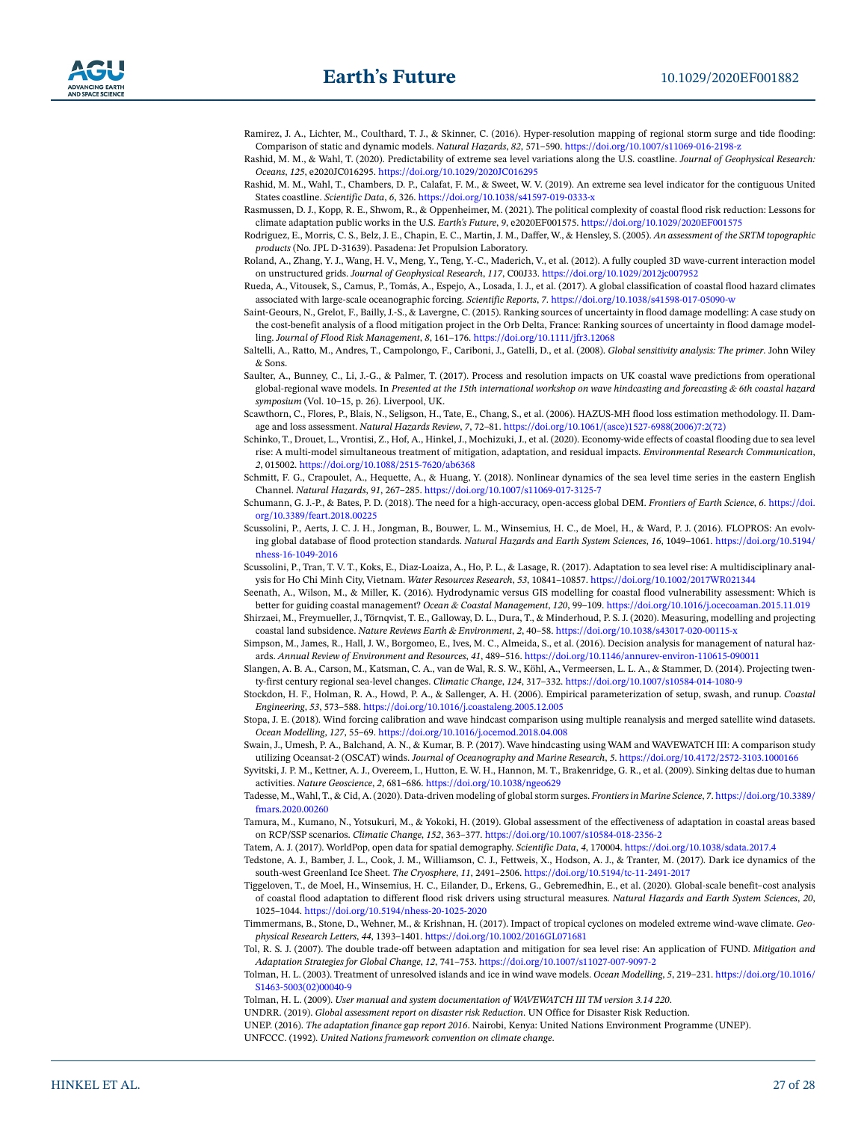- <span id="page-26-25"></span>Ramirez, J. A., Lichter, M., Coulthard, T. J., & Skinner, C. (2016). Hyper-resolution mapping of regional storm surge and tide flooding: Comparison of static and dynamic models. *Natural Hazards*, *82*, 571–590. [https://doi.org/10.1007/s11069-016-2198-z](https://doi.org/10.1007/s11069-016-2198%2Dz)
- <span id="page-26-14"></span>Rashid, M. M., & Wahl, T. (2020). Predictability of extreme sea level variations along the U.S. coastline. *Journal of Geophysical Research: Oceans*, *125*, e2020JC016295.<https://doi.org/10.1029/2020JC016295>
- <span id="page-26-17"></span>Rashid, M. M., Wahl, T., Chambers, D. P., Calafat, F. M., & Sweet, W. V. (2019). An extreme sea level indicator for the contiguous United States coastline. *Scientific Data*, *6*, 326. [https://doi.org/10.1038/s41597-019-0333-x](https://doi.org/10.1038/s41597-019-0333%2Dx)
- <span id="page-26-28"></span>Rasmussen, D. J., Kopp, R. E., Shwom, R., & Oppenheimer, M. (2021). The political complexity of coastal flood risk reduction: Lessons for climate adaptation public works in the U.S. *Earth's Future*, *9*, e2020EF001575. <https://doi.org/10.1029/2020EF001575>
- <span id="page-26-29"></span>Rodriguez, E., Morris, C. S., Belz, J. E., Chapin, E. C., Martin, J. M., Daffer, W., & Hensley, S. (2005). *An assessment of the SRTM topographic products* (No. JPL D-31639). Pasadena: Jet Propulsion Laboratory.
- <span id="page-26-18"></span>Roland, A., Zhang, Y. J., Wang, H. V., Meng, Y., Teng, Y.-C., Maderich, V., et al. (2012). A fully coupled 3D wave-current interaction model on unstructured grids. *Journal of Geophysical Research*, *117*, C00J33. <https://doi.org/10.1029/2012jc007952>
- <span id="page-26-16"></span>Rueda, A., Vitousek, S., Camus, P., Tomás, A., Espejo, A., Losada, I. J., et al. (2017). A global classification of coastal flood hazard climates associated with large-scale oceanographic forcing. *Scientific Reports*, *7*. [https://doi.org/10.1038/s41598-017-05090-w](https://doi.org/10.1038/s41598-017-05090%2Dw)
- <span id="page-26-32"></span>Saint-Geours, N., Grelot, F., Bailly, J.-S., & Lavergne, C. (2015). Ranking sources of uncertainty in flood damage modelling: A case study on the cost-benefit analysis of a flood mitigation project in the Orb Delta, France: Ranking sources of uncertainty in flood damage modelling. *Journal of Flood Risk Management*, *8*, 161–176. <https://doi.org/10.1111/jfr3.12068>
- <span id="page-26-6"></span>Saltelli, A., Ratto, M., Andres, T., Campolongo, F., Cariboni, J., Gatelli, D., et al. (2008). *Global sensitivity analysis: The primer*. John Wiley & Sons.
- <span id="page-26-22"></span>Saulter, A., Bunney, C., Li, J.-G., & Palmer, T. (2017). Process and resolution impacts on UK coastal wave predictions from operational global-regional wave models. In *Presented at the 15th international workshop on wave hindcasting and forecasting & 6th coastal hazard symposium* (Vol. 10–15, p. 26). Liverpool, UK.
- <span id="page-26-31"></span>Scawthorn, C., Flores, P., Blais, N., Seligson, H., Tate, E., Chang, S., et al. (2006). HAZUS-MH flood loss estimation methodology. II. Damage and loss assessment. *Natural Hazards Review*, *7*, 72–81. [https://doi.org/10.1061/\(asce\)1527-6988\(2006\)7:2\(72\)](https://doi.org/10.1061/%28asce%291527-6988%282006%297%3A2%2872%29)
- <span id="page-26-35"></span>Schinko, T., Drouet, L., Vrontisi, Z., Hof, A., Hinkel, J., Mochizuki, J., et al. (2020). Economy-wide effects of coastal flooding due to sea level rise: A multi-model simultaneous treatment of mitigation, adaptation, and residual impacts. *Environmental Research Communication*, *2*, 015002.<https://doi.org/10.1088/2515-7620/ab6368>
- <span id="page-26-19"></span>Schmitt, F. G., Crapoulet, A., Hequette, A., & Huang, Y. (2018). Nonlinear dynamics of the sea level time series in the eastern English Channel. *Natural Hazards*, *91*, 267–285. <https://doi.org/10.1007/s11069-017-3125-7>
- <span id="page-26-33"></span>Schumann, G. J.-P., & Bates, P. D. (2018). The need for a high-accuracy, open-access global DEM. *Frontiers of Earth Science*, *6*. [https://doi.](https://doi.org/10.3389/feart.2018.00225) [org/10.3389/feart.2018.00225](https://doi.org/10.3389/feart.2018.00225)
- <span id="page-26-24"></span>Scussolini, P., Aerts, J. C. J. H., Jongman, B., Bouwer, L. M., Winsemius, H. C., de Moel, H., & Ward, P. J. (2016). FLOPROS: An evolving global database of flood protection standards. *Natural Hazards and Earth System Sciences*, *16*, 1049–1061. [https://doi.org/10.5194/](https://doi.org/10.5194/nhess%2D16-1049-2016) [nhess-16-1049-2016](https://doi.org/10.5194/nhess%2D16-1049-2016)
- <span id="page-26-27"></span>Scussolini, P., Tran, T. V. T., Koks, E., Diaz-Loaiza, A., Ho, P. L., & Lasage, R. (2017). Adaptation to sea level rise: A multidisciplinary analysis for Ho Chi Minh City, Vietnam. *Water Resources Research*, *53*, 10841–10857.<https://doi.org/10.1002/2017WR021344>
- <span id="page-26-26"></span>Seenath, A., Wilson, M., & Miller, K. (2016). Hydrodynamic versus GIS modelling for coastal flood vulnerability assessment: Which is better for guiding coastal management? *Ocean & Coastal Management*, *120*, 99–109. <https://doi.org/10.1016/j.ocecoaman.2015.11.019>
- <span id="page-26-12"></span>Shirzaei, M., Freymueller, J., Törnqvist, T. E., Galloway, D. L., Dura, T., & Minderhoud, P. S. J. (2020). Measuring, modelling and projecting coastal land subsidence. *Nature Reviews Earth & Environment*, *2*, 40–58. [https://doi.org/10.1038/s43017-020-00115-x](https://doi.org/10.1038/s43017-020-00115%2Dx)
- <span id="page-26-3"></span>Simpson, M., James, R., Hall, J. W., Borgomeo, E., Ives, M. C., Almeida, S., et al. (2016). Decision analysis for management of natural hazards. *Annual Review of Environment and Resources*, *41*, 489–516. [https://doi.org/10.1146/annurev-environ-110615-090011](https://doi.org/10.1146/annurev%2Denviron%2D110615-090011)
- <span id="page-26-10"></span>Slangen, A. B. A., Carson, M., Katsman, C. A., van de Wal, R. S. W., Köhl, A., Vermeersen, L. L. A., & Stammer, D. (2014). Projecting twenty-first century regional sea-level changes. *Climatic Change*, *124*, 317–332.<https://doi.org/10.1007/s10584-014-1080-9>
- <span id="page-26-15"></span>Stockdon, H. F., Holman, R. A., Howd, P. A., & Sallenger, A. H. (2006). Empirical parameterization of setup, swash, and runup. *Coastal Engineering*, *53*, 573–588. <https://doi.org/10.1016/j.coastaleng.2005.12.005>
- <span id="page-26-7"></span>Stopa, J. E. (2018). Wind forcing calibration and wave hindcast comparison using multiple reanalysis and merged satellite wind datasets. *Ocean Modelling*, *127*, 55–69.<https://doi.org/10.1016/j.ocemod.2018.04.008>
- <span id="page-26-8"></span>Swain, J., Umesh, P. A., Balchand, A. N., & Kumar, B. P. (2017). Wave hindcasting using WAM and WAVEWATCH III: A comparison study utilizing Oceansat-2 (OSCAT) winds. *Journal of Oceanography and Marine Research*, *5*. <https://doi.org/10.4172/2572-3103.1000166>
- <span id="page-26-13"></span>Syvitski, J. P. M., Kettner, A. J., Overeem, I., Hutton, E. W. H., Hannon, M. T., Brakenridge, G. R., et al. (2009). Sinking deltas due to human activities. *Nature Geoscience*, *2*, 681–686. <https://doi.org/10.1038/ngeo629>
- <span id="page-26-5"></span>Tadesse, M., Wahl, T., & Cid, A. (2020). Data-driven modeling of global storm surges. *Frontiers in Marine Science*, *7*. [https://doi.org/10.3389/](https://doi.org/10.3389/fmars.2020.00260) [fmars.2020.00260](https://doi.org/10.3389/fmars.2020.00260)
- <span id="page-26-23"></span>Tamura, M., Kumano, N., Yotsukuri, M., & Yokoki, H. (2019). Global assessment of the effectiveness of adaptation in coastal areas based on RCP/SSP scenarios. *Climatic Change*, *152*, 363–377. <https://doi.org/10.1007/s10584-018-2356-2>
- <span id="page-26-30"></span>Tatem, A. J. (2017). WorldPop, open data for spatial demography. *Scientific Data*, *4*, 170004.<https://doi.org/10.1038/sdata.2017.4>
- <span id="page-26-11"></span>Tedstone, A. J., Bamber, J. L., Cook, J. M., Williamson, C. J., Fettweis, X., Hodson, A. J., & Tranter, M. (2017). Dark ice dynamics of the south-west Greenland Ice Sheet. *The Cryosphere*, *11*, 2491–2506. [https://doi.org/10.5194/tc-11-2491-2017](https://doi.org/10.5194/tc%2D11-2491-2017)
- <span id="page-26-4"></span>Tiggeloven, T., de Moel, H., Winsemius, H. C., Eilander, D., Erkens, G., Gebremedhin, E., et al. (2020). Global-scale benefit–cost analysis of coastal flood adaptation to different flood risk drivers using structural measures. *Natural Hazards and Earth System Sciences*, *20*, 1025–1044. [https://doi.org/10.5194/nhess-20-1025-2020](https://doi.org/10.5194/nhess%2D20-1025-2020)
- <span id="page-26-9"></span>Timmermans, B., Stone, D., Wehner, M., & Krishnan, H. (2017). Impact of tropical cyclones on modeled extreme wind-wave climate. *Geophysical Research Letters*, *44*, 1393–1401.<https://doi.org/10.1002/2016GL071681>
- <span id="page-26-34"></span>Tol, R. S. J. (2007). The double trade-off between adaptation and mitigation for sea level rise: An application of FUND. *Mitigation and Adaptation Strategies for Global Change*, *12*, 741–753.<https://doi.org/10.1007/s11027-007-9097-2>
- <span id="page-26-21"></span>Tolman, H. L. (2003). Treatment of unresolved islands and ice in wind wave models. *Ocean Modelling*, *5*, 219–231. [https://doi.org/10.1016/](https://doi.org/10.1016/S1463-5003%2802%2900040-9) [S1463-5003\(02\)00040-9](https://doi.org/10.1016/S1463-5003%2802%2900040-9)
- <span id="page-26-20"></span>Tolman, H. L. (2009). *User manual and system documentation of WAVEWATCH III TM version 3.14 220*.
- <span id="page-26-1"></span>UNDRR. (2019). *Global assessment report on disaster risk Reduction*. UN Office for Disaster Risk Reduction.

<span id="page-26-2"></span><span id="page-26-0"></span>UNEP. (2016). *The adaptation finance gap report 2016*. Nairobi, Kenya: United Nations Environment Programme (UNEP). UNFCCC. (1992). *United Nations framework convention on climate change*.